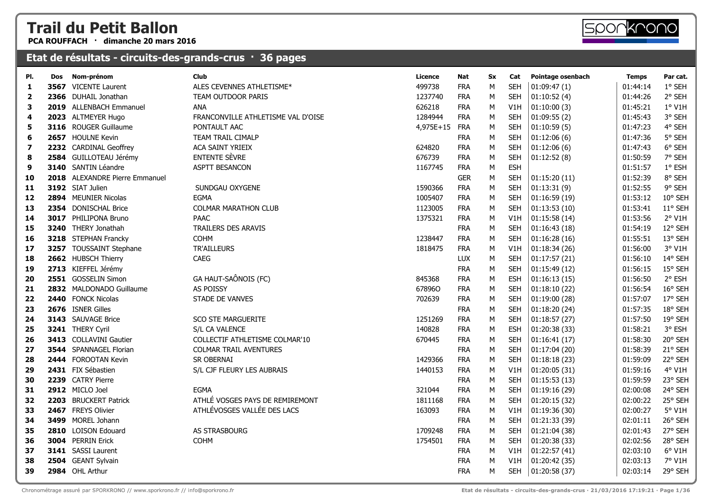**PCA ROUFFACH · dimanche 20 mars 2016**

| PI.                     | Dos | Nom-prénom                     | Club                               | Licence   | Nat        | Sx | Cat        | Pointage osenbach | <b>Temps</b> | Par cat. |
|-------------------------|-----|--------------------------------|------------------------------------|-----------|------------|----|------------|-------------------|--------------|----------|
| 1                       |     | 3567 VICENTE Laurent           | ALES CEVENNES ATHLETISME*          | 499738    | <b>FRA</b> | M  | <b>SEH</b> | 01:09:47(1)       | 01:44:14     | 1° SEH   |
| $\overline{\mathbf{2}}$ |     | 2366 DUHAIL Jonathan           | TEAM OUTDOOR PARIS                 | 1237740   | <b>FRA</b> | M  | <b>SEH</b> | 01:10:52(4)       | 01:44:26     | 2° SEH   |
| 3                       |     | 2019 ALLENBACH Emmanuel        | ANA                                | 626218    | <b>FRA</b> | M  | V1H        | 01:10:00(3)       | 01:45:21     | 1° V1H   |
| 4                       |     | 2023 ALTMEYER Hugo             | FRANCONVILLE ATHLETISME VAL D'OISE | 1284944   | <b>FRA</b> | M  | <b>SEH</b> | 01:09:55(2)       | 01:45:43     | 3° SEH   |
| 5                       |     | 3116 ROUGER Guillaume          | PONTAULT AAC                       | 4,975E+15 | FRA        | M  | <b>SEH</b> | 01:10:59(5)       | 01:47:23     | 4° SEH   |
| 6                       |     | 2657 HOULNE Kevin              | TEAM TRAIL CIMALP                  |           | <b>FRA</b> | M  | <b>SEH</b> | 01:12:06(6)       | 01:47:36     | 5° SEH   |
| 7                       |     | 2232 CARDINAL Geoffrey         | ACA SAINT YRIEIX                   | 624820    | <b>FRA</b> | M  | <b>SEH</b> | 01:12:06(6)       | 01:47:43     | 6° SEH   |
| 8                       |     | 2584 GUILLOTEAU Jérémy         | <b>ENTENTE SÈVRE</b>               | 676739    | <b>FRA</b> | М  | <b>SEH</b> | 01:12:52(8)       | 01:50:59     | 7° SEH   |
| 9                       |     | 3140 SANTIN Léandre            | ASPTT BESANCON                     | 1167745   | <b>FRA</b> | M  | <b>ESH</b> |                   | 01:51:57     | 1° ESH   |
| 10                      |     | 2018 ALEXANDRE Pierre Emmanuel |                                    |           | <b>GER</b> | M  | <b>SEH</b> | 01:15:20(11)      | 01:52:39     | 8° SEH   |
| 11                      |     | 3192 SIAT Julien               | SUNDGAU OXYGENE                    | 1590366   | <b>FRA</b> | М  | <b>SEH</b> | 01:13:31(9)       | 01:52:55     | 9° SEH   |
| 12                      |     | 2894 MEUNIER Nicolas           | <b>EGMA</b>                        | 1005407   | <b>FRA</b> | M  | <b>SEH</b> | 01:16:59(19)      | 01:53:12     | 10° SEH  |
| 13                      |     | 2354 DONISCHAL Brice           | <b>COLMAR MARATHON CLUB</b>        | 1123005   | <b>FRA</b> | M  | <b>SEH</b> | 01:13:53(10)      | 01:53:41     | 11° SEH  |
| 14                      |     | 3017 PHILIPONA Bruno           | <b>PAAC</b>                        | 1375321   | <b>FRA</b> | M  | V1H        | 01:15:58(14)      | 01:53:56     | 2° V1H   |
| 15                      |     | 3240 THERY Jonathah            | TRAILERS DES ARAVIS                |           | <b>FRA</b> | M  | <b>SEH</b> | 01:16:43(18)      | 01:54:19     | 12° SEH  |
| 16                      |     | 3218 STEPHAN Francky           | <b>COHM</b>                        | 1238447   | <b>FRA</b> | M  | <b>SEH</b> | 01:16:28(16)      | 01:55:51     | 13° SEH  |
| 17                      |     | 3257 TOUSSAINT Stephane        | TR'AILLEURS                        | 1818475   | <b>FRA</b> | М  | V1H        | 01:18:34(26)      | 01:56:00     | 3° V1H   |
| 18                      |     | 2662 HUBSCH Thierry            | CAEG                               |           | LUX        | M  | <b>SEH</b> | 01:17:57(21)      | 01:56:10     | 14° SEH  |
| 19                      |     | 2713 KIEFFEL Jérémy            |                                    |           | <b>FRA</b> | M  | <b>SEH</b> | 01:15:49(12)      | 01:56:15     | 15° SEH  |
| 20                      |     | 2551 GOSSELIN Simon            | GA HAUT-SAÔNOIS (FC)               | 845368    | <b>FRA</b> | M  | <b>ESH</b> | 01:16:13(15)      | 01:56:50     | 2° ESH   |
| 21                      |     | 2832 MALDONADO Guillaume       | AS POISSY                          | 678960    | <b>FRA</b> | M  | <b>SEH</b> | 01:18:10(22)      | 01:56:54     | 16° SEH  |
| 22                      |     | 2440 FONCK Nicolas             | STADE DE VANVES                    | 702639    | <b>FRA</b> | M  | <b>SEH</b> | 01:19:00 (28)     | 01:57:07     | 17° SEH  |
| 23                      |     | 2676 ISNER Gilles              |                                    |           | <b>FRA</b> | M  | <b>SEH</b> | 01:18:20(24)      | 01:57:35     | 18° SEH  |
| 24                      |     | 3143 SAUVAGE Brice             | <b>SCO STE MARGUERITE</b>          | 1251269   | <b>FRA</b> | M  | <b>SEH</b> | 01:18:57(27)      | 01:57:50     | 19° SEH  |
| 25                      |     | 3241 THERY Cyril               | S/L CA VALENCE                     | 140828    | <b>FRA</b> | M  | <b>ESH</b> | 01:20:38 (33)     | 01:58:21     | 3° ESH   |
| 26                      |     | 3413 COLLAVINI Gautier         | COLLECTIF ATHLETISME COLMAR'10     | 670445    | <b>FRA</b> | M  | <b>SEH</b> | 01:16:41(17)      | 01:58:30     | 20° SEH  |
| 27                      |     | 3544 SPANNAGEL Florian         | <b>COLMAR TRAIL AVENTURES</b>      |           | <b>FRA</b> | M  | <b>SEH</b> | 01:17:04(20)      | 01:58:39     | 21° SEH  |
| 28                      |     | 2444 FOROOTAN Kevin            | SR OBERNAI                         | 1429366   | <b>FRA</b> | M  | <b>SEH</b> | 01:18:18(23)      | 01:59:09     | 22° SEH  |
| 29                      |     | 2431 FIX Sébastien             | S/L CJF FLEURY LES AUBRAIS         | 1440153   | <b>FRA</b> | M  | V1H        | 01:20:05(31)      | 01:59:16     | 4° V1H   |
| 30                      |     | 2239 CATRY Pierre              |                                    |           | <b>FRA</b> | М  | <b>SEH</b> | 01:15:53(13)      | 01:59:59     | 23° SEH  |
| 31                      |     | 2912 MICLO Joel                | <b>EGMA</b>                        | 321044    | <b>FRA</b> | M  | <b>SEH</b> | 01:19:16(29)      | 02:00:08     | 24° SEH  |
| 32                      |     | 2203 BRUCKERT Patrick          | ATHLÉ VOSGES PAYS DE REMIREMONT    | 1811168   | <b>FRA</b> | M  | <b>SEH</b> | 01:20:15(32)      | 02:00:22     | 25° SEH  |
| 33                      |     | 2467 FREYS Olivier             | ATHLÉVOSGES VALLÉE DES LACS        | 163093    | <b>FRA</b> | М  | V1H        | 01:19:36 (30)     | 02:00:27     | 5° V1H   |
| 34                      |     | 3499 MOREL Johann              |                                    |           | <b>FRA</b> | M  | <b>SEH</b> | 01:21:33 (39)     | 02:01:11     | 26° SEH  |
| 35                      |     | 2810 LOISON Edouard            | AS STRASBOURG                      | 1709248   | <b>FRA</b> | M  | <b>SEH</b> | 01:21:04 (38)     | 02:01:43     | 27° SEH  |
| 36                      |     | 3004 PERRIN Erick              | <b>COHM</b>                        | 1754501   | <b>FRA</b> | M  | <b>SEH</b> | 01:20:38 (33)     | 02:02:56     | 28° SEH  |
| 37                      |     | 3141 SASSI Laurent             |                                    |           | <b>FRA</b> | М  | V1H        | 01:22:57(41)      | 02:03:10     | 6° V1H   |
| 38                      |     | 2504 GEANT Sylvain             |                                    |           | <b>FRA</b> | M  | V1H        | 01:20:42 (35)     | 02:03:13     | 7° V1H   |
| 39                      |     | 2984 OHL Arthur                |                                    |           | <b>FRA</b> | M  | <b>SEH</b> | 01:20:58(37)      | 02:03:14     | 29° SEH  |

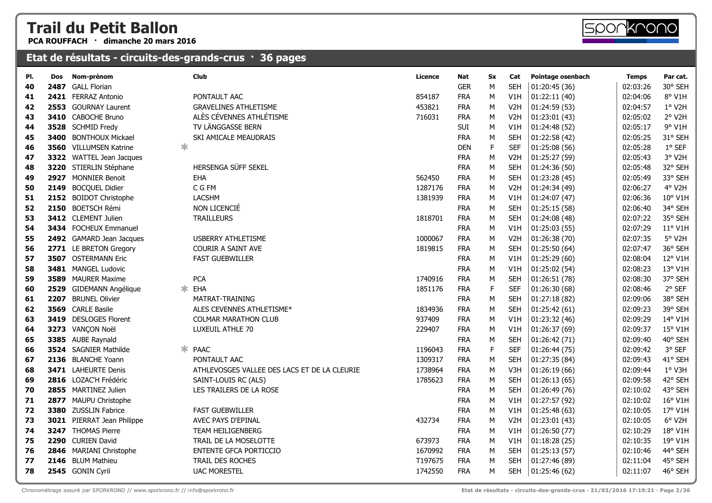**PCA ROUFFACH · dimanche 20 mars 2016**



#### **Etat de résultats - circuits-des-grands-crus · 36 pages**

| PI. | Dos  | Nom-prénom                 | <b>Club</b>                                  | Licence | Nat        | Sx          | Cat              | Pointage osenbach | <b>Temps</b> | Par cat. |
|-----|------|----------------------------|----------------------------------------------|---------|------------|-------------|------------------|-------------------|--------------|----------|
| 40  | 2487 | <b>GALL Florian</b>        |                                              |         | <b>GER</b> | M           | <b>SEH</b>       | 01:20:45 (36)     | 02:03:26     | 30° SEH  |
| 41  |      | 2421 FERRAZ Antonio        | PONTAULT AAC                                 | 854187  | <b>FRA</b> | M           | V1H              | 01:22:11(40)      | 02:04:06     | 8° V1H   |
| 42  |      | 2553 GOURNAY Laurent       | <b>GRAVELINES ATHLETISME</b>                 | 453821  | <b>FRA</b> | M           | V <sub>2</sub> H | 01:24:59(53)      | 02:04:57     | 1° V2H   |
| 43  |      | 3410 CABOCHE Bruno         | ALÈS CÉVENNES ATHLÉTISME                     | 716031  | <b>FRA</b> | M           | V <sub>2</sub> H | 01:23:01 (43)     | 02:05:02     | 2° V2H   |
| 44  |      | 3528 SCHMID Fredy          | TV LÄNGGASSE BERN                            |         | <b>SUI</b> | м           | V1H              | 01:24:48 (52)     | 02:05:17     | 9° V1H   |
| 45  | 3400 | <b>BONTHOUX Mickael</b>    | SKI AMICALE MEAUDRAIS                        |         | <b>FRA</b> | M           | <b>SEH</b>       | 01:22:58 (42)     | 02:05:25     | 31° SEH  |
| 46  |      | 3560 VILLUMSEN Katrine     | $\ast$                                       |         | <b>DEN</b> | F           | <b>SEF</b>       | 01:25:08(56)      | 02:05:28     | 1° SEF   |
| 47  |      | 3322 WATTEL Jean Jacques   |                                              |         | <b>FRA</b> | М           | V <sub>2</sub> H | 01:25:27(59)      | 02:05:43     | 3° V2H   |
| 48  |      | 3220 STIERLIN Stéphane     | HERSENGA SÜFF SEKEL                          |         | <b>FRA</b> | M           | <b>SEH</b>       | 01:24:36(50)      | 02:05:48     | 32° SEH  |
| 49  |      | 2927 MONNIER Benoit        | <b>EHA</b>                                   | 562450  | <b>FRA</b> | M           | <b>SEH</b>       | 01:23:28(45)      | 02:05:49     | 33° SEH  |
| 50  |      | 2149 BOCQUEL Didier        | C G FM                                       | 1287176 | <b>FRA</b> | M           | V <sub>2</sub> H | 01:24:34 (49)     | 02:06:27     | 4° V2H   |
| 51  |      | 2152 BOIDOT Christophe     | <b>LACSHM</b>                                | 1381939 | <b>FRA</b> | M           | V1H              | 01:24:07(47)      | 02:06:36     | 10° V1H  |
| 52  |      | 2150 BOETSCH Rémi          | NON LICENCIÉ                                 |         | <b>FRA</b> | М           | <b>SEH</b>       | 01:25:15(58)      | 02:06:40     | 34° SEH  |
| 53  |      | 3412 CLEMENT Julien        | <b>TRAILLEURS</b>                            | 1818701 | <b>FRA</b> | М           | <b>SEH</b>       | 01:24:08 (48)     | 02:07:22     | 35° SEH  |
| 54  |      | 3434 FOCHEUX Emmanuel      |                                              |         | <b>FRA</b> | М           | V1H              | 01:25:03(55)      | 02:07:29     | 11° V1H  |
| 55  |      | 2492 GAMARD Jean Jacques   | <b>USBERRY ATHLETISME</b>                    | 1000067 | <b>FRA</b> | M           | V <sub>2</sub> H | 01:26:38 (70)     | 02:07:35     | 5° V2H   |
| 56  |      | 2771 LE BRETON Gregory     | <b>COURIR A SAINT AVE</b>                    | 1819815 | <b>FRA</b> | M           | <b>SEH</b>       | 01:25:50(64)      | 02:07:47     | 36° SEH  |
| 57  |      | 3507 OSTERMANN Eric        | <b>FAST GUEBWILLER</b>                       |         | <b>FRA</b> | М           | V1H              | 01:25:29(60)      | 02:08:04     | 12° V1H  |
| 58  |      | 3481 MANGEL Ludovic        |                                              |         | <b>FRA</b> | M           | V1H              | 01:25:02(54)      | 02:08:23     | 13° V1H  |
| 59  |      | 3589 MAURER Maxime         | <b>PCA</b>                                   | 1740916 | <b>FRA</b> | M           | <b>SEH</b>       | 01:26:51 (78)     | 02:08:30     | 37° SEH  |
| 60  |      | 2529 GIDEMANN Angélique    | ∗.<br>EHA                                    | 1851176 | <b>FRA</b> | F.          | <b>SEF</b>       | 01:26:30 (68)     | 02:08:46     | 2° SEF   |
| 61  | 2207 | <b>BRUNEL Olivier</b>      | MATRAT-TRAINING                              |         | <b>FRA</b> | М           | <b>SEH</b>       | 01:27:18(82)      | 02:09:06     | 38° SEH  |
| 62  |      | 3569 CARLE Basile          | ALES CEVENNES ATHLETISME*                    | 1834936 | <b>FRA</b> | M           | <b>SEH</b>       | 01:25:42(61)      | 02:09:23     | 39° SEH  |
| 63  |      | 3419 DESLOGES Florent      | <b>COLMAR MARATHON CLUB</b>                  | 937409  | <b>FRA</b> | M           | V1H              | 01:23:32 (46)     | 02:09:29     | 14° V1H  |
| 64  |      | 3273 VANÇON Noël           | LUXEUIL ATHLE 70                             | 229407  | <b>FRA</b> | M           | V1H              | 01:26:37 (69)     | 02:09:37     | 15° V1H  |
| 65  |      | 3385 AUBE Raynald          |                                              |         | <b>FRA</b> | M           | <b>SEH</b>       | 01:26:42 (71)     | 02:09:40     | 40° SEH  |
| 66  |      | 3524 SAGNIER Mathilde      | * PAAC                                       | 1196043 | <b>FRA</b> | $\mathsf F$ | <b>SEF</b>       | 01:26:44 (75)     | 02:09:42     | 3° SEF   |
| 67  |      | 2136 BLANCHE Yoann         | PONTAULT AAC                                 | 1309317 | <b>FRA</b> | M           | <b>SEH</b>       | 01:27:35(84)      | 02:09:43     | 41° SEH  |
| 68  |      | 3471 LAHEURTE Denis        | ATHLEVOSGES VALLEE DES LACS ET DE LA CLEURIE | 1738964 | <b>FRA</b> | M           | V3H              | 01:26:19(66)      | 02:09:44     | 1° V3H   |
| 69  |      | 2816 LOZAC'H Frédéric      | SAINT-LOUIS RC (ALS)                         | 1785623 | <b>FRA</b> | M           | <b>SEH</b>       | 01:26:13(65)      | 02:09:58     | 42° SEH  |
| 70  |      | 2855 MARTINEZ Julien       | LES TRAILERS DE LA ROSE                      |         | <b>FRA</b> | М           | <b>SEH</b>       | 01:26:49 (76)     | 02:10:02     | 43° SEH  |
| 71  |      | 2877 MAUPU Christophe      |                                              |         | <b>FRA</b> | M           | V1H              | 01:27:57 (92)     | 02:10:02     | 16° V1H  |
| 72  |      | 3380 ZUSSLIN Fabrice       | <b>FAST GUEBWILLER</b>                       |         | <b>FRA</b> | М           | V1H              | 01:25:48(63)      | 02:10:05     | 17° V1H  |
| 73  |      | 3021 PIERRAT Jean Philippe | AVEC PAYS D'EPINAL                           | 432734  | <b>FRA</b> | М           | V <sub>2</sub> H | 01:23:01(43)      | 02:10:05     | 6° V2H   |
| 74  |      | 3247 THOMAS Pierre         | <b>TEAM HEILIGENBERG</b>                     |         | <b>FRA</b> | M           | V1H              | 01:26:50(77)      | 02:10:29     | 18° V1H  |
| 75  |      | 2290 CURIEN David          | TRAIL DE LA MOSELOTTE                        | 673973  | <b>FRA</b> | M           | V1H              | 01:18:28(25)      | 02:10:35     | 19° V1H  |
| 76  |      | 2846 MARIANI Christophe    | ENTENTE GFCA PORTICCIO                       | 1670992 | <b>FRA</b> | М           | <b>SEH</b>       | 01:25:13(57)      | 02:10:46     | 44° SEH  |
| 77  |      | 2146 BLUM Mathieu          | TRAIL DES ROCHES                             | T197675 | <b>FRA</b> | M           | <b>SEH</b>       | 01:27:46 (89)     | 02:11:04     | 45° SEH  |
| 78  |      | 2545 GONIN Cyril           | <b>UAC MORESTEL</b>                          | 1742550 | <b>FRA</b> | M           | <b>SEH</b>       | 01:25:46(62)      | 02:11:07     | 46° SEH  |
|     |      |                            |                                              |         |            |             |                  |                   |              |          |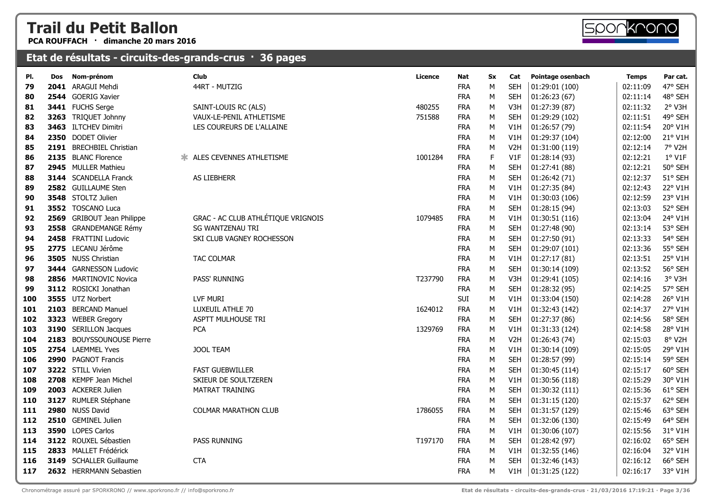**PCA ROUFFACH · dimanche 20 mars 2016**

| PI. | Dos | Nom-prénom                   | Club                               | Licence | Nat        | Sx | Cat              | Pointage osenbach | <b>Temps</b> | Par cat. |
|-----|-----|------------------------------|------------------------------------|---------|------------|----|------------------|-------------------|--------------|----------|
| 79  |     | 2041 ARAGUI Mehdi            | 44RT - MUTZIG                      |         | <b>FRA</b> | M  | <b>SEH</b>       | 01:29:01 (100)    | 02:11:09     | 47° SEH  |
| 80  |     | 2544 GOERIG Xavier           |                                    |         | <b>FRA</b> | М  | <b>SEH</b>       | 01:26:23(67)      | 02:11:14     | 48° SEH  |
| 81  |     | 3441 FUCHS Serge             | SAINT-LOUIS RC (ALS)               | 480255  | <b>FRA</b> | М  | V3H              | 01:27:39 (87)     | 02:11:32     | 2° V3H   |
| 82  |     | 3263 TRIQUET Johnny          | VAUX-LE-PENIL ATHLETISME           | 751588  | <b>FRA</b> | M  | <b>SEH</b>       | 01:29:29 (102)    | 02:11:51     | 49° SEH  |
| 83  |     | 3463 ILTCHEV Dimitri         | LES COUREURS DE L'ALLAINE          |         | <b>FRA</b> | M  | V1H              | 01:26:57 (79)     | 02:11:54     | 20° V1H  |
| 84  |     | 2350 DODET Olivier           |                                    |         | <b>FRA</b> | M  | V1H              | 01:29:37 (104)    | 02:12:00     | 21° V1H  |
| 85  |     | 2191 BRECHBIEL Christian     |                                    |         | <b>FRA</b> | м  | V <sub>2</sub> H | 01:31:00(119)     | 02:12:14     | 7° V2H   |
| 86  |     | 2135 BLANC Florence          | * ALES CEVENNES ATHLETISME         | 1001284 | <b>FRA</b> | F  | V1F              | 01:28:14(93)      | 02:12:21     | $1°$ V1F |
| 87  |     | 2945 MULLER Mathieu          |                                    |         | <b>FRA</b> | М  | <b>SEH</b>       | 01:27:41 (88)     | 02:12:21     | 50° SEH  |
| 88  |     | <b>3144</b> SCANDELLA Franck | AS LIEBHERR                        |         | <b>FRA</b> | М  | <b>SEH</b>       | 01:26:42 (71)     | 02:12:37     | 51° SEH  |
| 89  |     | 2582 GUILLAUME Sten          |                                    |         | <b>FRA</b> | M  | V1H              | 01:27:35 (84)     | 02:12:43     | 22° V1H  |
| 90  |     | 3548 STOLTZ Julien           |                                    |         | <b>FRA</b> | M  | V1H              | 01:30:03 (106)    | 02:12:59     | 23° V1H  |
| 91  |     | 3552 TOSCANO Luca            |                                    |         | <b>FRA</b> | м  | <b>SEH</b>       | 01:28:15(94)      | 02:13:03     | 52° SEH  |
| 92  |     | 2569 GRIBOUT Jean Philippe   | GRAC - AC CLUB ATHLÉTIQUE VRIGNOIS | 1079485 | <b>FRA</b> | м  | V1H              | 01:30:51(116)     | 02:13:04     | 24° V1H  |
| 93  |     | 2558 GRANDEMANGE Rémy        | <b>SG WANTZENAU TRI</b>            |         | <b>FRA</b> | м  | <b>SEH</b>       | 01:27:48 (90)     | 02:13:14     | 53° SEH  |
| 94  |     | 2458 FRATTINI Ludovic        | SKI CLUB VAGNEY ROCHESSON          |         | <b>FRA</b> | M  | <b>SEH</b>       | 01:27:50 (91)     | 02:13:33     | 54° SEH  |
| 95  |     | 2775 LECANU Jérôme           |                                    |         | <b>FRA</b> | М  | <b>SEH</b>       | 01:29:07(101)     | 02:13:36     | 55° SEH  |
| 96  |     | 3505 NUSS Christian          | <b>TAC COLMAR</b>                  |         | <b>FRA</b> | M  | V1H              | 01:27:17(81)      | 02:13:51     | 25° V1H  |
| 97  |     | 3444 GARNESSON Ludovic       |                                    |         | <b>FRA</b> | M  | <b>SEH</b>       | 01:30:14 (109)    | 02:13:52     | 56° SEH  |
| 98  |     | 2856 MARTINOVIC Novica       | PASS' RUNNING                      | T237790 | <b>FRA</b> | М  | V3H              | 01:29:41 (105)    | 02:14:16     | 3° V3H   |
| 99  |     | 3112 ROSICKI Jonathan        |                                    |         | <b>FRA</b> | м  | <b>SEH</b>       | 01:28:32(95)      | 02:14:25     | 57° SEH  |
| 100 |     | 3555 UTZ Norbert             | LVF MURI                           |         | SUI        | M  | V1H              | 01:33:04 (150)    | 02:14:28     | 26° V1H  |
| 101 |     | 2103 BERCAND Manuel          | LUXEUIL ATHLE 70                   | 1624012 | <b>FRA</b> | M  | V1H              | 01:32:43 (142)    | 02:14:37     | 27° V1H  |
| 102 |     | 3323 WEBER Gregory           | ASPTT MULHOUSE TRI                 |         | <b>FRA</b> | M  | <b>SEH</b>       | 01:27:37 (86)     | 02:14:56     | 58° SEH  |
| 103 |     | 3190 SERILLON Jacques        | <b>PCA</b>                         | 1329769 | <b>FRA</b> | M  | V1H              | 01:31:33 (124)    | 02:14:58     | 28° V1H  |
| 104 |     | 2183 BOUYSSOUNOUSE Pierre    |                                    |         | <b>FRA</b> | М  | V <sub>2</sub> H | 01:26:43(74)      | 02:15:03     | 8° V2H   |
| 105 |     | 2754 LAEMMEL Yves            | <b>JOOL TEAM</b>                   |         | <b>FRA</b> | M  | V1H              | 01:30:14(109)     | 02:15:05     | 29° V1H  |
| 106 |     | 2990 PAGNOT Francis          |                                    |         | <b>FRA</b> | м  | <b>SEH</b>       | 01:28:57 (99)     | 02:15:14     | 59° SEH  |
| 107 |     | 3222 STILL Vivien            | <b>FAST GUEBWILLER</b>             |         | <b>FRA</b> | M  | <b>SEH</b>       | 01:30:45 (114)    | 02:15:17     | 60° SEH  |
| 108 |     | 2708 KEMPF Jean Michel       | SKIEUR DE SOULTZEREN               |         | <b>FRA</b> | M  | V1H              | 01:30:56 (118)    | 02:15:29     | 30° V1H  |
| 109 |     | 2003 ACKERER Julien          | MATRAT TRAINING                    |         | <b>FRA</b> | M  | <b>SEH</b>       | 01:30:32 (111)    | 02:15:36     | 61° SEH  |
| 110 |     | 3127 RUMLER Stéphane         |                                    |         | <b>FRA</b> | M  | <b>SEH</b>       | 01:31:15(120)     | 02:15:37     | 62° SEH  |
| 111 |     | 2980 NUSS David              | <b>COLMAR MARATHON CLUB</b>        | 1786055 | <b>FRA</b> | M  | <b>SEH</b>       | 01:31:57(129)     | 02:15:46     | 63° SEH  |
| 112 |     | 2510 GEMINEL Julien          |                                    |         | <b>FRA</b> | M  | <b>SEH</b>       | 01:32:06 (130)    | 02:15:49     | 64° SEH  |
| 113 |     | 3590 LOPES Carlos            |                                    |         | <b>FRA</b> | м  | V1H              | 01:30:06(107)     | 02:15:56     | 31° V1H  |
| 114 |     | 3122 ROUXEL Sébastien        | PASS RUNNING                       | T197170 | <b>FRA</b> | M  | <b>SEH</b>       | 01:28:42 (97)     | 02:16:02     | 65° SEH  |
| 115 |     | 2833 MALLET Frédérick        |                                    |         | <b>FRA</b> | M  | V1H              | 01:32:55 (146)    | 02:16:04     | 32° V1H  |
| 116 |     | 3149 SCHALLER Guillaume      | <b>CTA</b>                         |         | <b>FRA</b> | M  | <b>SEH</b>       | 01:32:46 (143)    | 02:16:12     | 66° SEH  |
| 117 |     | 2632 HERRMANN Sebastien      |                                    |         | <b>FRA</b> | M  | V1H              | 01:31:25(122)     | 02:16:17     | 33° V1H  |
|     |     |                              |                                    |         |            |    |                  |                   |              |          |

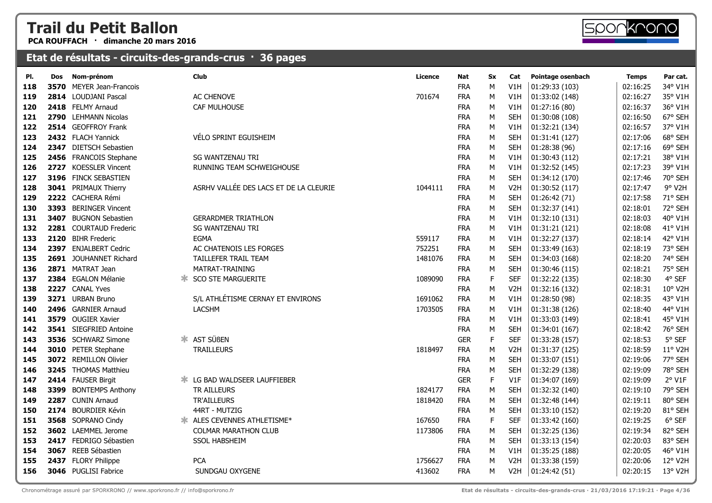**PCA ROUFFACH · dimanche 20 mars 2016**



| PI. | <b>Dos</b> | Nom-prénom               | <b>Club</b>                            | Licence | <b>Nat</b> | <b>Sx</b>   | Cat              | Pointage osenbach | <b>Temps</b> | Par cat. |
|-----|------------|--------------------------|----------------------------------------|---------|------------|-------------|------------------|-------------------|--------------|----------|
| 118 |            | 3570 MEYER Jean-Francois |                                        |         | <b>FRA</b> | M           | V1H              | 01:29:33 (103)    | 02:16:25     | 34° V1H  |
| 119 |            | 2814 LOUDJANI Pascal     | AC CHENOVE                             | 701674  | <b>FRA</b> | M           | V1H              | 01:33:02 (148)    | 02:16:27     | 35° V1H  |
| 120 |            | 2418 FELMY Arnaud        | CAF MULHOUSE                           |         | <b>FRA</b> | M           | V1H              | 01:27:16(80)      | 02:16:37     | 36° V1H  |
| 121 |            | 2790 LEHMANN Nicolas     |                                        |         | <b>FRA</b> | ${\sf M}$   | <b>SEH</b>       | 01:30:08 (108)    | 02:16:50     | 67° SEH  |
| 122 |            | 2514 GEOFFROY Frank      |                                        |         | <b>FRA</b> | M           | V1H              | 01:32:21 (134)    | 02:16:57     | 37° V1H  |
| 123 |            | 2432 FLACH Yannick       | VÉLO SPRINT EGUISHEIM                  |         | <b>FRA</b> | M           | <b>SEH</b>       | 01:31:41 (127)    | 02:17:06     | 68° SEH  |
| 124 |            | 2347 DIETSCH Sebastien   |                                        |         | <b>FRA</b> | M           | <b>SEH</b>       | 01:28:38 (96)     | 02:17:16     | 69° SEH  |
| 125 |            | 2456 FRANCOIS Stephane   | SG WANTZENAU TRI                       |         | <b>FRA</b> | M           | V1H              | 01:30:43 (112)    | 02:17:21     | 38° V1H  |
| 126 |            | 2727 KOESSLER Vincent    | RUNNING TEAM SCHWEIGHOUSE              |         | <b>FRA</b> | M           | V1H              | 01:32:52 (145)    | 02:17:23     | 39° V1H  |
| 127 |            | 3196 FINCK SEBASTIEN     |                                        |         | <b>FRA</b> | ${\sf M}$   | <b>SEH</b>       | 01:34:12 (170)    | 02:17:46     | 70° SEH  |
| 128 |            | 3041 PRIMAUX Thierry     | ASRHV VALLÉE DES LACS ET DE LA CLEURIE | 1044111 | <b>FRA</b> | М           | V <sub>2</sub> H | 01:30:52 (117)    | 02:17:47     | 9° V2H   |
| 129 |            | 2222 CACHERA Rémi        |                                        |         | <b>FRA</b> | M           | <b>SEH</b>       | 01:26:42(71)      | 02:17:58     | 71° SEH  |
| 130 |            | 3393 BERINGER Vincent    |                                        |         | <b>FRA</b> | M           | <b>SEH</b>       | 01:32:37 (141)    | 02:18:01     | 72° SEH  |
| 131 | 3407       | <b>BUGNON Sebastien</b>  | <b>GERARDMER TRIATHLON</b>             |         | <b>FRA</b> | M           | V1H              | 01:32:10 (131)    | 02:18:03     | 40° V1H  |
| 132 |            | 2281 COURTAUD Frederic   | <b>SG WANTZENAU TRI</b>                |         | <b>FRA</b> | ${\sf M}$   | V1H              | 01:31:21(121)     | 02:18:08     | 41° V1H  |
| 133 |            | 2120 BIHR Frederic       | EGMA                                   | 559117  | <b>FRA</b> | M           | V1H              | 01:32:27 (137)    | 02:18:14     | 42° V1H  |
| 134 |            | 2397 ENJALBERT Cedric    | AC CHATENOIS LES FORGES                | 752251  | <b>FRA</b> | M           | <b>SEH</b>       | 01:33:49 (163)    | 02:18:19     | 73° SEH  |
| 135 |            | 2691 JOUHANNET Richard   | TAILLEFER TRAIL TEAM                   | 1481076 | <b>FRA</b> | М           | <b>SEH</b>       | 01:34:03 (168)    | 02:18:20     | 74° SEH  |
| 136 |            | 2871 MATRAT Jean         | MATRAT-TRAINING                        |         | <b>FRA</b> | M           | <b>SEH</b>       | 01:30:46 (115)    | 02:18:21     | 75° SEH  |
| 137 |            | 2384 EGALON Mélanie      | <b>SCO STE MARGUERITE</b>              | 1089090 | <b>FRA</b> | $\mathsf F$ | <b>SEF</b>       | 01:32:22 (135)    | 02:18:30     | 4° SEF   |
| 138 |            | 2227 CANAL Yves          |                                        |         | <b>FRA</b> | M           | V <sub>2</sub> H | 01:32:16 (132)    | 02:18:31     | 10° V2H  |
| 139 |            | 3271 URBAN Bruno         | S/L ATHLÉTISME CERNAY ET ENVIRONS      | 1691062 | <b>FRA</b> | M           | V1H              | 01:28:50 (98)     | 02:18:35     | 43° V1H  |
| 140 |            | 2496 GARNIER Arnaud      | <b>LACSHM</b>                          | 1703505 | <b>FRA</b> | M           | V1H              | 01:31:38 (126)    | 02:18:40     | 44° V1H  |
| 141 |            | 3579 OUGIER Xavier       |                                        |         | <b>FRA</b> | М           | V1H              | 01:33:03 (149)    | 02:18:41     | 45° V1H  |
| 142 |            | 3541 SIEGFRIED Antoine   |                                        |         | <b>FRA</b> | М           | <b>SEH</b>       | 01:34:01 (167)    | 02:18:42     | 76° SEH  |
| 143 |            | 3536 SCHWARZ Simone      | <b>* AST SÜBEN</b>                     |         | <b>GER</b> | $\mathsf F$ | <b>SEF</b>       | 01:33:28 (157)    | 02:18:53     | 5° SEF   |
| 144 |            | 3010 PETER Stephane      | <b>TRAILLEURS</b>                      | 1818497 | <b>FRA</b> | M           | V <sub>2</sub> H | 01:31:37 (125)    | 02:18:59     | 11° V2H  |
| 145 |            | 3072 REMILLON Olivier    |                                        |         | <b>FRA</b> | ${\sf M}$   | <b>SEH</b>       | 01:33:07 (151)    | 02:19:06     | 77° SEH  |
| 146 |            | 3245 THOMAS Matthieu     |                                        |         | <b>FRA</b> | M           | <b>SEH</b>       | 01:32:29 (138)    | 02:19:09     | 78° SEH  |
| 147 |            | 2414 FAUSER Birgit       | <b>* LG BAD WALDSEER LAUFFIEBER</b>    |         | <b>GER</b> | $\mathsf F$ | V1F              | 01:34:07 (169)    | 02:19:09     | 2° V1F   |
| 148 |            | 3399 BONTEMPS Anthony    | <b>TR AILLEURS</b>                     | 1824177 | <b>FRA</b> | M           | <b>SEH</b>       | 01:32:32 (140)    | 02:19:10     | 79° SEH  |
| 149 |            | 2287 CUNIN Arnaud        | TR'AILLEURS                            | 1818420 | <b>FRA</b> | M           | <b>SEH</b>       | 01:32:48 (144)    | 02:19:11     | 80° SEH  |
| 150 |            | 2174 BOURDIER Kévin      | 44RT - MUTZIG                          |         | <b>FRA</b> | М           | <b>SEH</b>       | 01:33:10 (152)    | 02:19:20     | 81° SEH  |
| 151 |            | 3568 SOPRANO Cindy       | * ALES CEVENNES ATHLETISME*            | 167650  | <b>FRA</b> | $\mathsf F$ | <b>SEF</b>       | 01:33:42 (160)    | 02:19:25     | 6° SEF   |
| 152 |            | 3602 LAEMMEL Jerome      | <b>COLMAR MARATHON CLUB</b>            | 1173806 | <b>FRA</b> | М           | <b>SEH</b>       | 01:32:25 (136)    | 02:19:34     | 82° SEH  |
| 153 |            | 2417 FEDRIGO Sébastien   | <b>SSOL HABSHEIM</b>                   |         | <b>FRA</b> | М           | <b>SEH</b>       | 01:33:13 (154)    | 02:20:03     | 83° SEH  |
| 154 |            | 3067 REEB Sébastien      |                                        |         | <b>FRA</b> | М           | V1H              | 01:35:25 (188)    | 02:20:05     | 46° V1H  |
| 155 |            | 2437 FLORY Philippe      | <b>PCA</b>                             | 1756627 | <b>FRA</b> | M           | V <sub>2</sub> H | 01:33:38 (159)    | 02:20:06     | 12° V2H  |
| 156 |            | 3046 PUGLISI Fabrice     | SUNDGAU OXYGENE                        | 413602  | <b>FRA</b> | M           | V <sub>2</sub> H | 01:24:42 (51)     | 02:20:15     | 13° V2H  |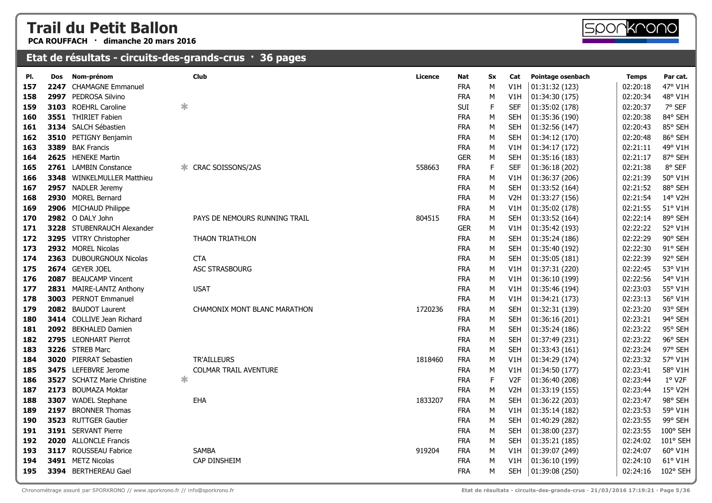**PCA ROUFFACH · dimanche 20 mars 2016**



| 47° V1H<br><b>CHAMAGNE Emmanuel</b><br><b>FRA</b><br>M<br>V1H<br>01:31:32 (123)<br>02:20:18<br>157<br>2247<br>2997 PEDROSA Silvino<br><b>FRA</b><br>M<br>V1H<br>02:20:34<br>48° V1H<br>158<br>01:34:30 (175)<br>$\ast$<br>$\mathsf F$<br>SUI<br><b>SEF</b><br>7° SEF<br>3103 ROEHRL Caroline<br>01:35:02 (178)<br>02:20:37<br>159<br>3551 THIRIET Fabien<br><b>FRA</b><br>M<br>84° SEH<br><b>SEH</b><br>01:35:36 (190)<br>02:20:38<br>160<br>3134 SALCH Sébastien<br><b>FRA</b><br>85° SEH<br>M<br><b>SEH</b><br>01:32:56 (147)<br>02:20:43<br>161<br>3510 PETIGNY Benjamin<br><b>FRA</b><br>02:20:48<br>86° SEH<br>162<br>M<br><b>SEH</b><br>01:34:12 (170)<br>49° V1H<br>3389 BAK Francis<br><b>FRA</b><br>01:34:17 (172)<br>02:21:11<br>163<br>M<br>V1H<br><b>GER</b><br>M<br><b>SEH</b><br>02:21:17<br>87° SEH<br>2625 HENEKE Martin<br>01:35:16 (183)<br>164<br>$\mathsf F$<br><b>SEF</b><br>8° SEF<br>2761 LAMBIN Constance<br>CRAC SOISSONS/2AS<br><b>FRA</b><br>02:21:38<br>165<br>558663<br>01:36:18 (202)<br><b>FRA</b><br>M<br>50° V1H<br><b>3348</b> WINKELMULLER Matthieu<br>V1H<br>01:36:37 (206)<br>02:21:39<br>166<br><b>FRA</b><br>88° SEH<br>2957 NADLER Jeremy<br>M<br><b>SEH</b><br>01:33:52 (164)<br>02:21:52<br>167<br>2930 MOREL Bernard<br><b>FRA</b><br>14° V2H<br>M<br>V <sub>2</sub> H<br>01:33:27 (156)<br>02:21:54<br>168<br>2906 MICHAUD Philippe<br><b>FRA</b><br>M<br>01:35:02 (178)<br>02:21:55<br>51° V1H<br>169<br>V1H<br>89° SEH<br>2982 O DALY John<br><b>FRA</b><br>M<br><b>SEH</b><br>02:22:14<br>PAYS DE NEMOURS RUNNING TRAIL<br>804515<br>01:33:52 (164)<br>170<br>3228 STUBENRAUCH Alexander<br><b>GER</b><br>M<br>V1H<br>01:35:42 (193)<br>02:22:22<br>52° V1H<br>171<br>3295 VITRY Christopher<br><b>FRA</b><br>M<br>02:22:29<br>90° SEH<br><b>THAON TRIATHLON</b><br><b>SEH</b><br>01:35:24 (186)<br>172<br><b>FRA</b><br>${\sf M}$<br>91° SEH<br>2932 MOREL Nicolas<br><b>SEH</b><br>01:35:40 (192)<br>02:22:30<br>173<br>2363 DUBOURGNOUX Nicolas<br><b>FRA</b><br>02:22:39<br>92° SEH<br>174<br><b>CTA</b><br>М<br><b>SEH</b><br>01:35:05 (181)<br>2674 GEYER JOEL<br>ASC STRASBOURG<br><b>FRA</b><br>M<br>02:22:45<br>53° V1H<br>175<br>V1H<br>01:37:31 (220)<br><b>BEAUCAMP Vincent</b><br><b>FRA</b><br>02:22:56<br>54° V1H<br>2087<br>M<br>V1H<br>01:36:10 (199)<br>176<br>2831 MAIRE-LANTZ Anthony<br><b>FRA</b><br>M<br>V1H<br>02:23:03<br>55° V1H<br>177<br><b>USAT</b><br>01:35:46 (194)<br>3003 PERNOT Emmanuel<br><b>FRA</b><br>M<br>02:23:13<br>56° V1H<br>V1H<br>01:34:21 (173)<br>178<br>2082 BAUDOT Laurent<br><b>FRA</b><br>93° SEH<br>1720236<br>M<br><b>SEH</b><br>02:23:20<br>179<br>CHAMONIX MONT BLANC MARATHON<br>01:32:31 (139)<br>3414 COLLIVE Jean Richard<br><b>FRA</b><br>94° SEH<br>М<br><b>SEH</b><br>01:36:16 (201)<br>02:23:21<br>180<br>95° SEH<br>2092 BEKHALED Damien<br><b>FRA</b><br>M<br><b>SEH</b><br>01:35:24 (186)<br>02:23:22<br>181<br>M<br>02:23:22<br>96° SEH<br>2795 LEONHART Pierrot<br><b>FRA</b><br><b>SEH</b><br>01:37:49 (231)<br>182<br>3226 STREB Marc<br><b>FRA</b><br>M<br><b>SEH</b><br>02:23:24<br>97° SEH<br>183<br>01:33:43 (161)<br>3020 PIERRAT Sebastien<br><b>TR'AILLEURS</b><br><b>FRA</b><br>M<br>02:23:32<br>57° V1H<br>1818460<br>V1H<br>01:34:29 (174)<br>184<br>3475 LEFEBVRE Jerome<br>58° V1H<br><b>COLMAR TRAIL AVENTURE</b><br><b>FRA</b><br>M<br>01:34:50 (177)<br>02:23:41<br>185<br>V1H<br>∗<br>$\mathsf F$<br>1° V2F<br>3527 SCHATZ Marie Christine<br><b>FRA</b><br>02:23:44<br>V <sub>2F</sub><br>01:36:40 (208)<br>186<br>15° V2H<br>2173 BOUMAZA Moktar<br><b>FRA</b><br>V <sub>2</sub> H<br>02:23:44<br>187<br>M<br>01:33:19 (155)<br><b>FRA</b><br>98° SEH<br>3307 WADEL Stephane<br><b>EHA</b><br>1833207<br>M<br><b>SEH</b><br>01:36:22 (203)<br>02:23:47<br>188<br>2197 BRONNER Thomas<br><b>FRA</b><br>M<br>V1H<br>02:23:53<br>59° V1H<br>189<br>01:35:14 (182)<br>3523 RUTTGER Gautier<br><b>FRA</b><br>M<br>02:23:55<br>99° SEH<br><b>SEH</b><br>01:40:29 (282)<br>190<br>3191 SERVANT Pierre<br><b>FRA</b><br>M<br>02:23:55<br>100° SEH<br><b>SEH</b><br>01:38:00 (237)<br>191<br><b>FRA</b><br>101° SEH<br>2020 ALLONCLE Francis<br>М<br><b>SEH</b><br>01:35:21 (185)<br>02:24:02<br>192<br>3117 ROUSSEAU Fabrice<br><b>SAMBA</b><br><b>FRA</b><br>02:24:07<br>60° V1H<br>919204<br>M<br>V <sub>1</sub> H<br>01:39:07 (249)<br>193<br>61° V1H<br>3491 METZ Nicolas<br>CAP DINSHEIM<br><b>FRA</b><br>M<br>V1H<br>01:36:10 (199)<br>02:24:10<br>194<br>3394 BERTHEREAU Gael<br><b>FRA</b><br>M<br><b>SEH</b><br>01:39:08 (250)<br>102° SEH<br>195<br>02:24:16 | PI. | Dos | Nom-prénom | Club | <b>Licence</b> | Nat | <b>Sx</b> | Cat | Pointage osenbach | <b>Temps</b> | Par cat. |
|-------------------------------------------------------------------------------------------------------------------------------------------------------------------------------------------------------------------------------------------------------------------------------------------------------------------------------------------------------------------------------------------------------------------------------------------------------------------------------------------------------------------------------------------------------------------------------------------------------------------------------------------------------------------------------------------------------------------------------------------------------------------------------------------------------------------------------------------------------------------------------------------------------------------------------------------------------------------------------------------------------------------------------------------------------------------------------------------------------------------------------------------------------------------------------------------------------------------------------------------------------------------------------------------------------------------------------------------------------------------------------------------------------------------------------------------------------------------------------------------------------------------------------------------------------------------------------------------------------------------------------------------------------------------------------------------------------------------------------------------------------------------------------------------------------------------------------------------------------------------------------------------------------------------------------------------------------------------------------------------------------------------------------------------------------------------------------------------------------------------------------------------------------------------------------------------------------------------------------------------------------------------------------------------------------------------------------------------------------------------------------------------------------------------------------------------------------------------------------------------------------------------------------------------------------------------------------------------------------------------------------------------------------------------------------------------------------------------------------------------------------------------------------------------------------------------------------------------------------------------------------------------------------------------------------------------------------------------------------------------------------------------------------------------------------------------------------------------------------------------------------------------------------------------------------------------------------------------------------------------------------------------------------------------------------------------------------------------------------------------------------------------------------------------------------------------------------------------------------------------------------------------------------------------------------------------------------------------------------------------------------------------------------------------------------------------------------------------------------------------------------------------------------------------------------------------------------------------------------------------------------------------------------------------------------------------------------------------------------------------------------------------------------------------------------------------------------------------------------------------------------------------------------------------------------------------------------------------------------------------------------------------------------------------------------------------------------------------------------------------------------------------------------------------------------------------------------------------------------------------------------------------------------------------------------------------------------------------------------|-----|-----|------------|------|----------------|-----|-----------|-----|-------------------|--------------|----------|
|                                                                                                                                                                                                                                                                                                                                                                                                                                                                                                                                                                                                                                                                                                                                                                                                                                                                                                                                                                                                                                                                                                                                                                                                                                                                                                                                                                                                                                                                                                                                                                                                                                                                                                                                                                                                                                                                                                                                                                                                                                                                                                                                                                                                                                                                                                                                                                                                                                                                                                                                                                                                                                                                                                                                                                                                                                                                                                                                                                                                                                                                                                                                                                                                                                                                                                                                                                                                                                                                                                                                                                                                                                                                                                                                                                                                                                                                                                                                                                                                                                                                                                                                                                                                                                                                                                                                                                                                                                                                                                                                                                                                       |     |     |            |      |                |     |           |     |                   |              |          |
|                                                                                                                                                                                                                                                                                                                                                                                                                                                                                                                                                                                                                                                                                                                                                                                                                                                                                                                                                                                                                                                                                                                                                                                                                                                                                                                                                                                                                                                                                                                                                                                                                                                                                                                                                                                                                                                                                                                                                                                                                                                                                                                                                                                                                                                                                                                                                                                                                                                                                                                                                                                                                                                                                                                                                                                                                                                                                                                                                                                                                                                                                                                                                                                                                                                                                                                                                                                                                                                                                                                                                                                                                                                                                                                                                                                                                                                                                                                                                                                                                                                                                                                                                                                                                                                                                                                                                                                                                                                                                                                                                                                                       |     |     |            |      |                |     |           |     |                   |              |          |
|                                                                                                                                                                                                                                                                                                                                                                                                                                                                                                                                                                                                                                                                                                                                                                                                                                                                                                                                                                                                                                                                                                                                                                                                                                                                                                                                                                                                                                                                                                                                                                                                                                                                                                                                                                                                                                                                                                                                                                                                                                                                                                                                                                                                                                                                                                                                                                                                                                                                                                                                                                                                                                                                                                                                                                                                                                                                                                                                                                                                                                                                                                                                                                                                                                                                                                                                                                                                                                                                                                                                                                                                                                                                                                                                                                                                                                                                                                                                                                                                                                                                                                                                                                                                                                                                                                                                                                                                                                                                                                                                                                                                       |     |     |            |      |                |     |           |     |                   |              |          |
|                                                                                                                                                                                                                                                                                                                                                                                                                                                                                                                                                                                                                                                                                                                                                                                                                                                                                                                                                                                                                                                                                                                                                                                                                                                                                                                                                                                                                                                                                                                                                                                                                                                                                                                                                                                                                                                                                                                                                                                                                                                                                                                                                                                                                                                                                                                                                                                                                                                                                                                                                                                                                                                                                                                                                                                                                                                                                                                                                                                                                                                                                                                                                                                                                                                                                                                                                                                                                                                                                                                                                                                                                                                                                                                                                                                                                                                                                                                                                                                                                                                                                                                                                                                                                                                                                                                                                                                                                                                                                                                                                                                                       |     |     |            |      |                |     |           |     |                   |              |          |
|                                                                                                                                                                                                                                                                                                                                                                                                                                                                                                                                                                                                                                                                                                                                                                                                                                                                                                                                                                                                                                                                                                                                                                                                                                                                                                                                                                                                                                                                                                                                                                                                                                                                                                                                                                                                                                                                                                                                                                                                                                                                                                                                                                                                                                                                                                                                                                                                                                                                                                                                                                                                                                                                                                                                                                                                                                                                                                                                                                                                                                                                                                                                                                                                                                                                                                                                                                                                                                                                                                                                                                                                                                                                                                                                                                                                                                                                                                                                                                                                                                                                                                                                                                                                                                                                                                                                                                                                                                                                                                                                                                                                       |     |     |            |      |                |     |           |     |                   |              |          |
|                                                                                                                                                                                                                                                                                                                                                                                                                                                                                                                                                                                                                                                                                                                                                                                                                                                                                                                                                                                                                                                                                                                                                                                                                                                                                                                                                                                                                                                                                                                                                                                                                                                                                                                                                                                                                                                                                                                                                                                                                                                                                                                                                                                                                                                                                                                                                                                                                                                                                                                                                                                                                                                                                                                                                                                                                                                                                                                                                                                                                                                                                                                                                                                                                                                                                                                                                                                                                                                                                                                                                                                                                                                                                                                                                                                                                                                                                                                                                                                                                                                                                                                                                                                                                                                                                                                                                                                                                                                                                                                                                                                                       |     |     |            |      |                |     |           |     |                   |              |          |
|                                                                                                                                                                                                                                                                                                                                                                                                                                                                                                                                                                                                                                                                                                                                                                                                                                                                                                                                                                                                                                                                                                                                                                                                                                                                                                                                                                                                                                                                                                                                                                                                                                                                                                                                                                                                                                                                                                                                                                                                                                                                                                                                                                                                                                                                                                                                                                                                                                                                                                                                                                                                                                                                                                                                                                                                                                                                                                                                                                                                                                                                                                                                                                                                                                                                                                                                                                                                                                                                                                                                                                                                                                                                                                                                                                                                                                                                                                                                                                                                                                                                                                                                                                                                                                                                                                                                                                                                                                                                                                                                                                                                       |     |     |            |      |                |     |           |     |                   |              |          |
|                                                                                                                                                                                                                                                                                                                                                                                                                                                                                                                                                                                                                                                                                                                                                                                                                                                                                                                                                                                                                                                                                                                                                                                                                                                                                                                                                                                                                                                                                                                                                                                                                                                                                                                                                                                                                                                                                                                                                                                                                                                                                                                                                                                                                                                                                                                                                                                                                                                                                                                                                                                                                                                                                                                                                                                                                                                                                                                                                                                                                                                                                                                                                                                                                                                                                                                                                                                                                                                                                                                                                                                                                                                                                                                                                                                                                                                                                                                                                                                                                                                                                                                                                                                                                                                                                                                                                                                                                                                                                                                                                                                                       |     |     |            |      |                |     |           |     |                   |              |          |
|                                                                                                                                                                                                                                                                                                                                                                                                                                                                                                                                                                                                                                                                                                                                                                                                                                                                                                                                                                                                                                                                                                                                                                                                                                                                                                                                                                                                                                                                                                                                                                                                                                                                                                                                                                                                                                                                                                                                                                                                                                                                                                                                                                                                                                                                                                                                                                                                                                                                                                                                                                                                                                                                                                                                                                                                                                                                                                                                                                                                                                                                                                                                                                                                                                                                                                                                                                                                                                                                                                                                                                                                                                                                                                                                                                                                                                                                                                                                                                                                                                                                                                                                                                                                                                                                                                                                                                                                                                                                                                                                                                                                       |     |     |            |      |                |     |           |     |                   |              |          |
|                                                                                                                                                                                                                                                                                                                                                                                                                                                                                                                                                                                                                                                                                                                                                                                                                                                                                                                                                                                                                                                                                                                                                                                                                                                                                                                                                                                                                                                                                                                                                                                                                                                                                                                                                                                                                                                                                                                                                                                                                                                                                                                                                                                                                                                                                                                                                                                                                                                                                                                                                                                                                                                                                                                                                                                                                                                                                                                                                                                                                                                                                                                                                                                                                                                                                                                                                                                                                                                                                                                                                                                                                                                                                                                                                                                                                                                                                                                                                                                                                                                                                                                                                                                                                                                                                                                                                                                                                                                                                                                                                                                                       |     |     |            |      |                |     |           |     |                   |              |          |
|                                                                                                                                                                                                                                                                                                                                                                                                                                                                                                                                                                                                                                                                                                                                                                                                                                                                                                                                                                                                                                                                                                                                                                                                                                                                                                                                                                                                                                                                                                                                                                                                                                                                                                                                                                                                                                                                                                                                                                                                                                                                                                                                                                                                                                                                                                                                                                                                                                                                                                                                                                                                                                                                                                                                                                                                                                                                                                                                                                                                                                                                                                                                                                                                                                                                                                                                                                                                                                                                                                                                                                                                                                                                                                                                                                                                                                                                                                                                                                                                                                                                                                                                                                                                                                                                                                                                                                                                                                                                                                                                                                                                       |     |     |            |      |                |     |           |     |                   |              |          |
|                                                                                                                                                                                                                                                                                                                                                                                                                                                                                                                                                                                                                                                                                                                                                                                                                                                                                                                                                                                                                                                                                                                                                                                                                                                                                                                                                                                                                                                                                                                                                                                                                                                                                                                                                                                                                                                                                                                                                                                                                                                                                                                                                                                                                                                                                                                                                                                                                                                                                                                                                                                                                                                                                                                                                                                                                                                                                                                                                                                                                                                                                                                                                                                                                                                                                                                                                                                                                                                                                                                                                                                                                                                                                                                                                                                                                                                                                                                                                                                                                                                                                                                                                                                                                                                                                                                                                                                                                                                                                                                                                                                                       |     |     |            |      |                |     |           |     |                   |              |          |
|                                                                                                                                                                                                                                                                                                                                                                                                                                                                                                                                                                                                                                                                                                                                                                                                                                                                                                                                                                                                                                                                                                                                                                                                                                                                                                                                                                                                                                                                                                                                                                                                                                                                                                                                                                                                                                                                                                                                                                                                                                                                                                                                                                                                                                                                                                                                                                                                                                                                                                                                                                                                                                                                                                                                                                                                                                                                                                                                                                                                                                                                                                                                                                                                                                                                                                                                                                                                                                                                                                                                                                                                                                                                                                                                                                                                                                                                                                                                                                                                                                                                                                                                                                                                                                                                                                                                                                                                                                                                                                                                                                                                       |     |     |            |      |                |     |           |     |                   |              |          |
|                                                                                                                                                                                                                                                                                                                                                                                                                                                                                                                                                                                                                                                                                                                                                                                                                                                                                                                                                                                                                                                                                                                                                                                                                                                                                                                                                                                                                                                                                                                                                                                                                                                                                                                                                                                                                                                                                                                                                                                                                                                                                                                                                                                                                                                                                                                                                                                                                                                                                                                                                                                                                                                                                                                                                                                                                                                                                                                                                                                                                                                                                                                                                                                                                                                                                                                                                                                                                                                                                                                                                                                                                                                                                                                                                                                                                                                                                                                                                                                                                                                                                                                                                                                                                                                                                                                                                                                                                                                                                                                                                                                                       |     |     |            |      |                |     |           |     |                   |              |          |
|                                                                                                                                                                                                                                                                                                                                                                                                                                                                                                                                                                                                                                                                                                                                                                                                                                                                                                                                                                                                                                                                                                                                                                                                                                                                                                                                                                                                                                                                                                                                                                                                                                                                                                                                                                                                                                                                                                                                                                                                                                                                                                                                                                                                                                                                                                                                                                                                                                                                                                                                                                                                                                                                                                                                                                                                                                                                                                                                                                                                                                                                                                                                                                                                                                                                                                                                                                                                                                                                                                                                                                                                                                                                                                                                                                                                                                                                                                                                                                                                                                                                                                                                                                                                                                                                                                                                                                                                                                                                                                                                                                                                       |     |     |            |      |                |     |           |     |                   |              |          |
|                                                                                                                                                                                                                                                                                                                                                                                                                                                                                                                                                                                                                                                                                                                                                                                                                                                                                                                                                                                                                                                                                                                                                                                                                                                                                                                                                                                                                                                                                                                                                                                                                                                                                                                                                                                                                                                                                                                                                                                                                                                                                                                                                                                                                                                                                                                                                                                                                                                                                                                                                                                                                                                                                                                                                                                                                                                                                                                                                                                                                                                                                                                                                                                                                                                                                                                                                                                                                                                                                                                                                                                                                                                                                                                                                                                                                                                                                                                                                                                                                                                                                                                                                                                                                                                                                                                                                                                                                                                                                                                                                                                                       |     |     |            |      |                |     |           |     |                   |              |          |
|                                                                                                                                                                                                                                                                                                                                                                                                                                                                                                                                                                                                                                                                                                                                                                                                                                                                                                                                                                                                                                                                                                                                                                                                                                                                                                                                                                                                                                                                                                                                                                                                                                                                                                                                                                                                                                                                                                                                                                                                                                                                                                                                                                                                                                                                                                                                                                                                                                                                                                                                                                                                                                                                                                                                                                                                                                                                                                                                                                                                                                                                                                                                                                                                                                                                                                                                                                                                                                                                                                                                                                                                                                                                                                                                                                                                                                                                                                                                                                                                                                                                                                                                                                                                                                                                                                                                                                                                                                                                                                                                                                                                       |     |     |            |      |                |     |           |     |                   |              |          |
|                                                                                                                                                                                                                                                                                                                                                                                                                                                                                                                                                                                                                                                                                                                                                                                                                                                                                                                                                                                                                                                                                                                                                                                                                                                                                                                                                                                                                                                                                                                                                                                                                                                                                                                                                                                                                                                                                                                                                                                                                                                                                                                                                                                                                                                                                                                                                                                                                                                                                                                                                                                                                                                                                                                                                                                                                                                                                                                                                                                                                                                                                                                                                                                                                                                                                                                                                                                                                                                                                                                                                                                                                                                                                                                                                                                                                                                                                                                                                                                                                                                                                                                                                                                                                                                                                                                                                                                                                                                                                                                                                                                                       |     |     |            |      |                |     |           |     |                   |              |          |
|                                                                                                                                                                                                                                                                                                                                                                                                                                                                                                                                                                                                                                                                                                                                                                                                                                                                                                                                                                                                                                                                                                                                                                                                                                                                                                                                                                                                                                                                                                                                                                                                                                                                                                                                                                                                                                                                                                                                                                                                                                                                                                                                                                                                                                                                                                                                                                                                                                                                                                                                                                                                                                                                                                                                                                                                                                                                                                                                                                                                                                                                                                                                                                                                                                                                                                                                                                                                                                                                                                                                                                                                                                                                                                                                                                                                                                                                                                                                                                                                                                                                                                                                                                                                                                                                                                                                                                                                                                                                                                                                                                                                       |     |     |            |      |                |     |           |     |                   |              |          |
|                                                                                                                                                                                                                                                                                                                                                                                                                                                                                                                                                                                                                                                                                                                                                                                                                                                                                                                                                                                                                                                                                                                                                                                                                                                                                                                                                                                                                                                                                                                                                                                                                                                                                                                                                                                                                                                                                                                                                                                                                                                                                                                                                                                                                                                                                                                                                                                                                                                                                                                                                                                                                                                                                                                                                                                                                                                                                                                                                                                                                                                                                                                                                                                                                                                                                                                                                                                                                                                                                                                                                                                                                                                                                                                                                                                                                                                                                                                                                                                                                                                                                                                                                                                                                                                                                                                                                                                                                                                                                                                                                                                                       |     |     |            |      |                |     |           |     |                   |              |          |
|                                                                                                                                                                                                                                                                                                                                                                                                                                                                                                                                                                                                                                                                                                                                                                                                                                                                                                                                                                                                                                                                                                                                                                                                                                                                                                                                                                                                                                                                                                                                                                                                                                                                                                                                                                                                                                                                                                                                                                                                                                                                                                                                                                                                                                                                                                                                                                                                                                                                                                                                                                                                                                                                                                                                                                                                                                                                                                                                                                                                                                                                                                                                                                                                                                                                                                                                                                                                                                                                                                                                                                                                                                                                                                                                                                                                                                                                                                                                                                                                                                                                                                                                                                                                                                                                                                                                                                                                                                                                                                                                                                                                       |     |     |            |      |                |     |           |     |                   |              |          |
|                                                                                                                                                                                                                                                                                                                                                                                                                                                                                                                                                                                                                                                                                                                                                                                                                                                                                                                                                                                                                                                                                                                                                                                                                                                                                                                                                                                                                                                                                                                                                                                                                                                                                                                                                                                                                                                                                                                                                                                                                                                                                                                                                                                                                                                                                                                                                                                                                                                                                                                                                                                                                                                                                                                                                                                                                                                                                                                                                                                                                                                                                                                                                                                                                                                                                                                                                                                                                                                                                                                                                                                                                                                                                                                                                                                                                                                                                                                                                                                                                                                                                                                                                                                                                                                                                                                                                                                                                                                                                                                                                                                                       |     |     |            |      |                |     |           |     |                   |              |          |
|                                                                                                                                                                                                                                                                                                                                                                                                                                                                                                                                                                                                                                                                                                                                                                                                                                                                                                                                                                                                                                                                                                                                                                                                                                                                                                                                                                                                                                                                                                                                                                                                                                                                                                                                                                                                                                                                                                                                                                                                                                                                                                                                                                                                                                                                                                                                                                                                                                                                                                                                                                                                                                                                                                                                                                                                                                                                                                                                                                                                                                                                                                                                                                                                                                                                                                                                                                                                                                                                                                                                                                                                                                                                                                                                                                                                                                                                                                                                                                                                                                                                                                                                                                                                                                                                                                                                                                                                                                                                                                                                                                                                       |     |     |            |      |                |     |           |     |                   |              |          |
|                                                                                                                                                                                                                                                                                                                                                                                                                                                                                                                                                                                                                                                                                                                                                                                                                                                                                                                                                                                                                                                                                                                                                                                                                                                                                                                                                                                                                                                                                                                                                                                                                                                                                                                                                                                                                                                                                                                                                                                                                                                                                                                                                                                                                                                                                                                                                                                                                                                                                                                                                                                                                                                                                                                                                                                                                                                                                                                                                                                                                                                                                                                                                                                                                                                                                                                                                                                                                                                                                                                                                                                                                                                                                                                                                                                                                                                                                                                                                                                                                                                                                                                                                                                                                                                                                                                                                                                                                                                                                                                                                                                                       |     |     |            |      |                |     |           |     |                   |              |          |
|                                                                                                                                                                                                                                                                                                                                                                                                                                                                                                                                                                                                                                                                                                                                                                                                                                                                                                                                                                                                                                                                                                                                                                                                                                                                                                                                                                                                                                                                                                                                                                                                                                                                                                                                                                                                                                                                                                                                                                                                                                                                                                                                                                                                                                                                                                                                                                                                                                                                                                                                                                                                                                                                                                                                                                                                                                                                                                                                                                                                                                                                                                                                                                                                                                                                                                                                                                                                                                                                                                                                                                                                                                                                                                                                                                                                                                                                                                                                                                                                                                                                                                                                                                                                                                                                                                                                                                                                                                                                                                                                                                                                       |     |     |            |      |                |     |           |     |                   |              |          |
|                                                                                                                                                                                                                                                                                                                                                                                                                                                                                                                                                                                                                                                                                                                                                                                                                                                                                                                                                                                                                                                                                                                                                                                                                                                                                                                                                                                                                                                                                                                                                                                                                                                                                                                                                                                                                                                                                                                                                                                                                                                                                                                                                                                                                                                                                                                                                                                                                                                                                                                                                                                                                                                                                                                                                                                                                                                                                                                                                                                                                                                                                                                                                                                                                                                                                                                                                                                                                                                                                                                                                                                                                                                                                                                                                                                                                                                                                                                                                                                                                                                                                                                                                                                                                                                                                                                                                                                                                                                                                                                                                                                                       |     |     |            |      |                |     |           |     |                   |              |          |
|                                                                                                                                                                                                                                                                                                                                                                                                                                                                                                                                                                                                                                                                                                                                                                                                                                                                                                                                                                                                                                                                                                                                                                                                                                                                                                                                                                                                                                                                                                                                                                                                                                                                                                                                                                                                                                                                                                                                                                                                                                                                                                                                                                                                                                                                                                                                                                                                                                                                                                                                                                                                                                                                                                                                                                                                                                                                                                                                                                                                                                                                                                                                                                                                                                                                                                                                                                                                                                                                                                                                                                                                                                                                                                                                                                                                                                                                                                                                                                                                                                                                                                                                                                                                                                                                                                                                                                                                                                                                                                                                                                                                       |     |     |            |      |                |     |           |     |                   |              |          |
|                                                                                                                                                                                                                                                                                                                                                                                                                                                                                                                                                                                                                                                                                                                                                                                                                                                                                                                                                                                                                                                                                                                                                                                                                                                                                                                                                                                                                                                                                                                                                                                                                                                                                                                                                                                                                                                                                                                                                                                                                                                                                                                                                                                                                                                                                                                                                                                                                                                                                                                                                                                                                                                                                                                                                                                                                                                                                                                                                                                                                                                                                                                                                                                                                                                                                                                                                                                                                                                                                                                                                                                                                                                                                                                                                                                                                                                                                                                                                                                                                                                                                                                                                                                                                                                                                                                                                                                                                                                                                                                                                                                                       |     |     |            |      |                |     |           |     |                   |              |          |
|                                                                                                                                                                                                                                                                                                                                                                                                                                                                                                                                                                                                                                                                                                                                                                                                                                                                                                                                                                                                                                                                                                                                                                                                                                                                                                                                                                                                                                                                                                                                                                                                                                                                                                                                                                                                                                                                                                                                                                                                                                                                                                                                                                                                                                                                                                                                                                                                                                                                                                                                                                                                                                                                                                                                                                                                                                                                                                                                                                                                                                                                                                                                                                                                                                                                                                                                                                                                                                                                                                                                                                                                                                                                                                                                                                                                                                                                                                                                                                                                                                                                                                                                                                                                                                                                                                                                                                                                                                                                                                                                                                                                       |     |     |            |      |                |     |           |     |                   |              |          |
|                                                                                                                                                                                                                                                                                                                                                                                                                                                                                                                                                                                                                                                                                                                                                                                                                                                                                                                                                                                                                                                                                                                                                                                                                                                                                                                                                                                                                                                                                                                                                                                                                                                                                                                                                                                                                                                                                                                                                                                                                                                                                                                                                                                                                                                                                                                                                                                                                                                                                                                                                                                                                                                                                                                                                                                                                                                                                                                                                                                                                                                                                                                                                                                                                                                                                                                                                                                                                                                                                                                                                                                                                                                                                                                                                                                                                                                                                                                                                                                                                                                                                                                                                                                                                                                                                                                                                                                                                                                                                                                                                                                                       |     |     |            |      |                |     |           |     |                   |              |          |
|                                                                                                                                                                                                                                                                                                                                                                                                                                                                                                                                                                                                                                                                                                                                                                                                                                                                                                                                                                                                                                                                                                                                                                                                                                                                                                                                                                                                                                                                                                                                                                                                                                                                                                                                                                                                                                                                                                                                                                                                                                                                                                                                                                                                                                                                                                                                                                                                                                                                                                                                                                                                                                                                                                                                                                                                                                                                                                                                                                                                                                                                                                                                                                                                                                                                                                                                                                                                                                                                                                                                                                                                                                                                                                                                                                                                                                                                                                                                                                                                                                                                                                                                                                                                                                                                                                                                                                                                                                                                                                                                                                                                       |     |     |            |      |                |     |           |     |                   |              |          |
|                                                                                                                                                                                                                                                                                                                                                                                                                                                                                                                                                                                                                                                                                                                                                                                                                                                                                                                                                                                                                                                                                                                                                                                                                                                                                                                                                                                                                                                                                                                                                                                                                                                                                                                                                                                                                                                                                                                                                                                                                                                                                                                                                                                                                                                                                                                                                                                                                                                                                                                                                                                                                                                                                                                                                                                                                                                                                                                                                                                                                                                                                                                                                                                                                                                                                                                                                                                                                                                                                                                                                                                                                                                                                                                                                                                                                                                                                                                                                                                                                                                                                                                                                                                                                                                                                                                                                                                                                                                                                                                                                                                                       |     |     |            |      |                |     |           |     |                   |              |          |
|                                                                                                                                                                                                                                                                                                                                                                                                                                                                                                                                                                                                                                                                                                                                                                                                                                                                                                                                                                                                                                                                                                                                                                                                                                                                                                                                                                                                                                                                                                                                                                                                                                                                                                                                                                                                                                                                                                                                                                                                                                                                                                                                                                                                                                                                                                                                                                                                                                                                                                                                                                                                                                                                                                                                                                                                                                                                                                                                                                                                                                                                                                                                                                                                                                                                                                                                                                                                                                                                                                                                                                                                                                                                                                                                                                                                                                                                                                                                                                                                                                                                                                                                                                                                                                                                                                                                                                                                                                                                                                                                                                                                       |     |     |            |      |                |     |           |     |                   |              |          |
|                                                                                                                                                                                                                                                                                                                                                                                                                                                                                                                                                                                                                                                                                                                                                                                                                                                                                                                                                                                                                                                                                                                                                                                                                                                                                                                                                                                                                                                                                                                                                                                                                                                                                                                                                                                                                                                                                                                                                                                                                                                                                                                                                                                                                                                                                                                                                                                                                                                                                                                                                                                                                                                                                                                                                                                                                                                                                                                                                                                                                                                                                                                                                                                                                                                                                                                                                                                                                                                                                                                                                                                                                                                                                                                                                                                                                                                                                                                                                                                                                                                                                                                                                                                                                                                                                                                                                                                                                                                                                                                                                                                                       |     |     |            |      |                |     |           |     |                   |              |          |
|                                                                                                                                                                                                                                                                                                                                                                                                                                                                                                                                                                                                                                                                                                                                                                                                                                                                                                                                                                                                                                                                                                                                                                                                                                                                                                                                                                                                                                                                                                                                                                                                                                                                                                                                                                                                                                                                                                                                                                                                                                                                                                                                                                                                                                                                                                                                                                                                                                                                                                                                                                                                                                                                                                                                                                                                                                                                                                                                                                                                                                                                                                                                                                                                                                                                                                                                                                                                                                                                                                                                                                                                                                                                                                                                                                                                                                                                                                                                                                                                                                                                                                                                                                                                                                                                                                                                                                                                                                                                                                                                                                                                       |     |     |            |      |                |     |           |     |                   |              |          |
|                                                                                                                                                                                                                                                                                                                                                                                                                                                                                                                                                                                                                                                                                                                                                                                                                                                                                                                                                                                                                                                                                                                                                                                                                                                                                                                                                                                                                                                                                                                                                                                                                                                                                                                                                                                                                                                                                                                                                                                                                                                                                                                                                                                                                                                                                                                                                                                                                                                                                                                                                                                                                                                                                                                                                                                                                                                                                                                                                                                                                                                                                                                                                                                                                                                                                                                                                                                                                                                                                                                                                                                                                                                                                                                                                                                                                                                                                                                                                                                                                                                                                                                                                                                                                                                                                                                                                                                                                                                                                                                                                                                                       |     |     |            |      |                |     |           |     |                   |              |          |
|                                                                                                                                                                                                                                                                                                                                                                                                                                                                                                                                                                                                                                                                                                                                                                                                                                                                                                                                                                                                                                                                                                                                                                                                                                                                                                                                                                                                                                                                                                                                                                                                                                                                                                                                                                                                                                                                                                                                                                                                                                                                                                                                                                                                                                                                                                                                                                                                                                                                                                                                                                                                                                                                                                                                                                                                                                                                                                                                                                                                                                                                                                                                                                                                                                                                                                                                                                                                                                                                                                                                                                                                                                                                                                                                                                                                                                                                                                                                                                                                                                                                                                                                                                                                                                                                                                                                                                                                                                                                                                                                                                                                       |     |     |            |      |                |     |           |     |                   |              |          |
|                                                                                                                                                                                                                                                                                                                                                                                                                                                                                                                                                                                                                                                                                                                                                                                                                                                                                                                                                                                                                                                                                                                                                                                                                                                                                                                                                                                                                                                                                                                                                                                                                                                                                                                                                                                                                                                                                                                                                                                                                                                                                                                                                                                                                                                                                                                                                                                                                                                                                                                                                                                                                                                                                                                                                                                                                                                                                                                                                                                                                                                                                                                                                                                                                                                                                                                                                                                                                                                                                                                                                                                                                                                                                                                                                                                                                                                                                                                                                                                                                                                                                                                                                                                                                                                                                                                                                                                                                                                                                                                                                                                                       |     |     |            |      |                |     |           |     |                   |              |          |
|                                                                                                                                                                                                                                                                                                                                                                                                                                                                                                                                                                                                                                                                                                                                                                                                                                                                                                                                                                                                                                                                                                                                                                                                                                                                                                                                                                                                                                                                                                                                                                                                                                                                                                                                                                                                                                                                                                                                                                                                                                                                                                                                                                                                                                                                                                                                                                                                                                                                                                                                                                                                                                                                                                                                                                                                                                                                                                                                                                                                                                                                                                                                                                                                                                                                                                                                                                                                                                                                                                                                                                                                                                                                                                                                                                                                                                                                                                                                                                                                                                                                                                                                                                                                                                                                                                                                                                                                                                                                                                                                                                                                       |     |     |            |      |                |     |           |     |                   |              |          |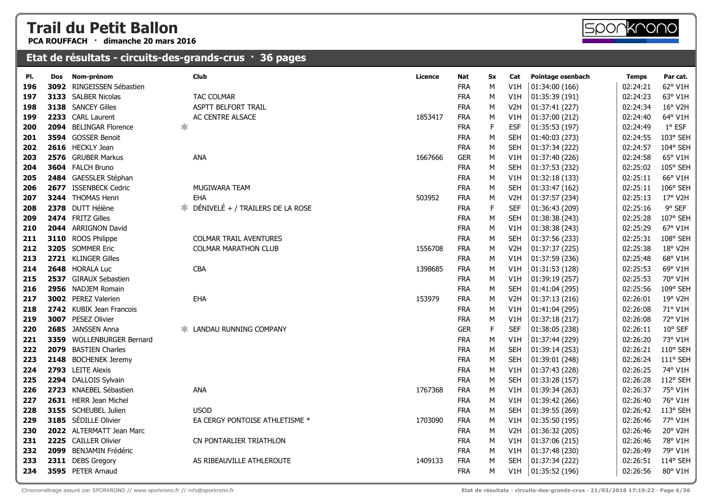**PCA ROUFFACH · dimanche 20 mars 2016**

# 

| PI. | Dos | Nom-prénom                | Club                             | Licence | Nat        | Sx | Cat              | Pointage osenbach | <b>Temps</b> | Par cat. |
|-----|-----|---------------------------|----------------------------------|---------|------------|----|------------------|-------------------|--------------|----------|
| 196 |     | 3092 RINGEISSEN Sébastien |                                  |         | <b>FRA</b> | M  | V1H              | 01:34:00 (166)    | 02:24:21     | 62° V1H  |
| 197 |     | 3133 SALBER Nicolas       | <b>TAC COLMAR</b>                |         | <b>FRA</b> | М  | V1H              | 01:35:39 (191)    | 02:24:23     | 63° V1H  |
| 198 |     | 3138 SANCEY Gilles        | <b>ASPTT BELFORT TRAIL</b>       |         | <b>FRA</b> | М  | V <sub>2</sub> H | 01:37:41 (227)    | 02:24:34     | 16° V2H  |
| 199 |     | 2233 CARL Laurent         | AC CENTRE ALSACE                 | 1853417 | <b>FRA</b> | М  | V1H              | 01:37:00 (212)    | 02:24:40     | 64° V1H  |
| 200 |     | 2094 BELINGAR Florence    |                                  |         | <b>FRA</b> | F  | <b>ESF</b>       | 01:35:53 (197)    | 02:24:49     | 1° ESF   |
| 201 |     | 3594 GOSSER Benoit        |                                  |         | <b>FRA</b> | M  | <b>SEH</b>       | 01:40:03 (273)    | 02:24:55     | 103° SEH |
| 202 |     | 2616 HECKLY Jean          |                                  |         | <b>FRA</b> | M  | <b>SEH</b>       | 01:37:34 (222)    | 02:24:57     | 104° SEH |
| 203 |     | 2576 GRUBER Markus        | <b>ANA</b>                       | 1667666 | <b>GER</b> | М  | V1H              | 01:37:40 (226)    | 02:24:58     | 65° V1H  |
| 204 |     | 3604 FALCH Bruno          |                                  |         | <b>FRA</b> | М  | <b>SEH</b>       | 01:37:53 (232)    | 02:25:02     | 105° SEH |
| 205 |     | 2484 GAESSLER Stéphan     |                                  |         | <b>FRA</b> | М  | V1H              | 01:32:18(133)     | 02:25:11     | 66° V1H  |
| 206 |     | 2677 ISSENBECK Cedric     | MUGIWARA TEAM                    |         | <b>FRA</b> | М  | <b>SEH</b>       | 01:33:47 (162)    | 02:25:11     | 106° SEH |
| 207 |     | 3244 THOMAS Henri         | <b>EHA</b>                       | 503952  | <b>FRA</b> | М  | V <sub>2</sub> H | 01:37:57 (234)    | 02:25:13     | 17° V2H  |
| 208 |     | 2378 DUTT Hélène          | DÉNIVELÉ + / TRAILERS DE LA ROSE |         | <b>FRA</b> | F  | <b>SEF</b>       | 01:36:43 (209)    | 02:25:16     | 9° SEF   |
| 209 |     | 2474 FRITZ Gilles         |                                  |         | <b>FRA</b> | M  | <b>SEH</b>       | 01:38:38 (243)    | 02:25:28     | 107° SEH |
| 210 |     | 2044 ARRIGNON David       |                                  |         | <b>FRA</b> | М  | V1H              | 01:38:38 (243)    | 02:25:29     | 67° V1H  |
| 211 |     | 3110 ROOS Philippe        | <b>COLMAR TRAIL AVENTURES</b>    |         | <b>FRA</b> | M  | <b>SEH</b>       | 01:37:56 (233)    | 02:25:31     | 108° SEH |
| 212 |     | 3205 SOMMER Eric          | <b>COLMAR MARATHON CLUB</b>      | 1556708 | <b>FRA</b> | M  | V <sub>2</sub> H | 01:37:37 (225)    | 02:25:38     | 18° V2H  |
| 213 |     | 2721 KLINGER Gilles       |                                  |         | <b>FRA</b> | м  | V1H              | 01:37:59 (236)    | 02:25:48     | 68° V1H  |
| 214 |     | 2648 HORALA Luc           | <b>CBA</b>                       | 1398685 | <b>FRA</b> | M  | V1H              | 01:31:53 (128)    | 02:25:53     | 69° V1H  |
| 215 |     | 2537 GIRAUX Sebastien     |                                  |         | <b>FRA</b> | М  | V1H              | 01:39:19 (257)    | 02:25:53     | 70° V1H  |
| 216 |     | 2956 NADJEM Romain        |                                  |         | <b>FRA</b> | М  | <b>SEH</b>       | 01:41:04 (295)    | 02:25:56     | 109° SEH |
| 217 |     | 3002 PEREZ Valerien       | <b>EHA</b>                       | 153979  | <b>FRA</b> | M  | V <sub>2</sub> H | 01:37:13 (216)    | 02:26:01     | 19° V2H  |
| 218 |     | 2742 KUBIK Jean Francois  |                                  |         | <b>FRA</b> | М  | V1H              | 01:41:04 (295)    | 02:26:08     | 71° V1H  |
| 219 |     | 3007 PESEZ Olivier        |                                  |         | <b>FRA</b> | М  | V1H              | 01:37:18 (217)    | 02:26:08     | 72° V1H  |
| 220 |     | 2685 JANSSEN Anna         | <b>* LANDAU RUNNING COMPANY</b>  |         | <b>GER</b> | F. | <b>SEF</b>       | 01:38:05 (238)    | 02:26:11     | 10° SEF  |
| 221 |     | 3359 WOLLENBURGER Bernard |                                  |         | <b>FRA</b> | M  | V1H              | 01:37:44 (229)    | 02:26:20     | 73° V1H  |
| 222 |     | 2079 BASTIEN Charles      |                                  |         | <b>FRA</b> | М  | <b>SEH</b>       | 01:39:14 (253)    | 02:26:21     | 110° SEH |
| 223 |     | 2148 BOCHENEK Jeremy      |                                  |         | <b>FRA</b> | M  | <b>SEH</b>       | 01:39:01 (248)    | 02:26:24     | 111° SEH |
| 224 |     | 2793 LEITE Alexis         |                                  |         | <b>FRA</b> | M  | V1H              | 01:37:43 (228)    | 02:26:25     | 74° V1H  |
| 225 |     | 2294 DALLOIS Sylvain      |                                  |         | <b>FRA</b> | М  | <b>SEH</b>       | 01:33:28 (157)    | 02:26:28     | 112° SEH |
| 226 |     | 2723 KNAEBEL Sébastien    | ANA                              | 1767368 | <b>FRA</b> | М  | V1H              | 01:39:34 (263)    | 02:26:37     | 75° V1H  |
| 227 |     | 2631 HERR Jean Michel     |                                  |         | <b>FRA</b> | М  | V1H              | 01:39:42 (266)    | 02:26:40     | 76° V1H  |
| 228 |     | 3155 SCHEUBEL Julien      | <b>USOD</b>                      |         | <b>FRA</b> | М  | <b>SEH</b>       | 01:39:55 (269)    | 02:26:42     | 113° SEH |
| 229 |     | 3185 SÉDILLE Olivier      | EA CERGY PONTOISE ATHLETISME *   | 1703090 | <b>FRA</b> | М  | V1H              | 01:35:50 (195)    | 02:26:46     | 77° V1H  |
| 230 |     | 2022 ALTERMATT Jean Marc  |                                  |         | <b>FRA</b> | M  | V <sub>2</sub> H | 01:36:32 (205)    | 02:26:46     | 20° V2H  |
| 231 |     | 2225 CAILLER Olivier      | CN PONTARLIER TRIATHLON          |         | <b>FRA</b> | М  | V1H              | 01:37:06 (215)    | 02:26:46     | 78° V1H  |
| 232 |     | 2099 BENJAMIN Frédéric    |                                  |         | <b>FRA</b> | М  | V1H              | 01:37:48 (230)    | 02:26:49     | 79° V1H  |
| 233 |     | 2311 DEBS Gregory         | AS RIBEAUVILLE ATHLEROUTE        | 1409133 | <b>FRA</b> | M  | <b>SEH</b>       | 01:37:34 (222)    | 02:26:51     | 114° SEH |
| 234 |     | 3595 PETER Arnaud         |                                  |         | <b>FRA</b> | M  | V1H              | 01:35:52 (196)    | 02:26:56     | 80° V1H  |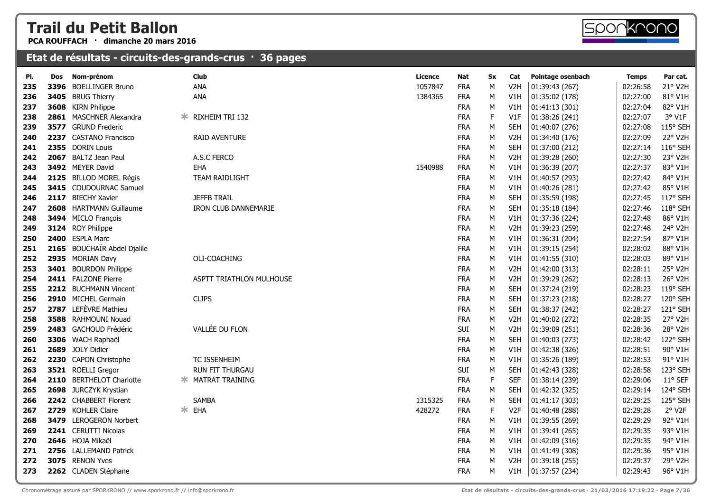**PCA ROUFFACH · dimanche 20 mars 2016**



#### **Etat de résultats - circuits-des-grands-crus · 36 pages**

| PI. | Dos  | Nom-prénom                  | <b>Club</b>                 | Licence | Nat        | Sx          | Cat              | Pointage osenbach | <b>Temps</b> | Par cat. |
|-----|------|-----------------------------|-----------------------------|---------|------------|-------------|------------------|-------------------|--------------|----------|
| 235 | 3396 | <b>BOELLINGER Bruno</b>     | ANA                         | 1057847 | <b>FRA</b> | M           | V <sub>2</sub> H | 01:39:43 (267)    | 02:26:58     | 21° V2H  |
| 236 |      | 3405 BRUG Thierry           | ANA                         | 1384365 | <b>FRA</b> | М           | V1H              | 01:35:02 (178)    | 02:27:00     | 81° V1H  |
| 237 |      | 3608 KIRN Philippe          |                             |         | <b>FRA</b> | М           | V1H              | 01:41:13 (301)    | 02:27:04     | 82° V1H  |
| 238 |      | 2861 MASCHNER Alexandra     | <b>RIXHEIM TRI 132</b><br>Ж |         | <b>FRA</b> | $\mathsf F$ | V1F              | 01:38:26 (241)    | 02:27:07     | 3° V1F   |
| 239 |      | 3577 GRUND Frederic         |                             |         | <b>FRA</b> | М           | <b>SEH</b>       | 01:40:07 (276)    | 02:27:08     | 115° SEH |
| 240 |      | 2237 CASTANO Francisco      | RAID AVENTURE               |         | <b>FRA</b> | М           | V <sub>2</sub> H | 01:34:40 (176)    | 02:27:09     | 22° V2H  |
| 241 |      | 2355 DORIN Louis            |                             |         | <b>FRA</b> | М           | <b>SEH</b>       | 01:37:00 (212)    | 02:27:14     | 116° SEH |
| 242 |      | 2067 BALTZ Jean Paul        | A.S.C FERCO                 |         | <b>FRA</b> | ${\sf M}$   | V <sub>2</sub> H | 01:39:28 (260)    | 02:27:30     | 23° V2H  |
| 243 |      | 3492 MEYER David            | <b>EHA</b>                  | 1540988 | <b>FRA</b> | М           | V1H              | 01:36:39 (207)    | 02:27:37     | 83° V1H  |
| 244 |      | 2125 BILLOD MOREL Régis     | <b>TEAM RAIDLIGHT</b>       |         | <b>FRA</b> | М           | V1H              | 01:40:57 (293)    | 02:27:42     | 84° V1H  |
| 245 |      | 3415 COUDOURNAC Samuel      |                             |         | <b>FRA</b> | М           | V1H              | 01:40:26 (281)    | 02:27:42     | 85° V1H  |
| 246 |      | 2117 BIECHY Xavier          | <b>JEFFB TRAIL</b>          |         | <b>FRA</b> | М           | <b>SEH</b>       | 01:35:59 (198)    | 02:27:45     | 117° SEH |
| 247 |      | 2608 HARTMANN Guillaume     | <b>IRON CLUB DANNEMARIE</b> |         | <b>FRA</b> | М           | <b>SEH</b>       | 01:35:18 (184)    | 02:27:46     | 118° SEH |
| 248 |      | 3494 MICLO François         |                             |         | <b>FRA</b> | ${\sf M}$   | V1H              | 01:37:36 (224)    | 02:27:48     | 86° V1H  |
| 249 |      | 3124 ROY Philippe           |                             |         | <b>FRA</b> | ${\sf M}$   | V <sub>2</sub> H | 01:39:23 (259)    | 02:27:48     | 24° V2H  |
| 250 |      | 2400 ESPLA Marc             |                             |         | <b>FRA</b> | ${\sf M}$   | V1H              | 01:36:31 (204)    | 02:27:54     | 87° V1H  |
| 251 |      | 2165 BOUCHAÏR Abdel Djalile |                             |         | <b>FRA</b> | М           | V1H              | 01:39:15 (254)    | 02:28:02     | 88° V1H  |
| 252 |      | 2935 MORIAN Davy            | OLI-COACHING                |         | <b>FRA</b> | М           | V1H              | 01:41:55 (310)    | 02:28:03     | 89° V1H  |
| 253 |      | 3401 BOURDON Philippe       |                             |         | <b>FRA</b> | М           | V2H              | 01:42:00 (313)    | 02:28:11     | 25° V2H  |
| 254 |      | 2411 FALZONE Pierre         | ASPTT TRIATHLON MULHOUSE    |         | <b>FRA</b> | ${\sf M}$   | V <sub>2</sub> H | 01:39:29 (262)    | 02:28:13     | 26° V2H  |
| 255 |      | 2212 BUCHMANN Vincent       |                             |         | <b>FRA</b> | М           | <b>SEH</b>       | 01:37:24 (219)    | 02:28:23     | 119° SEH |
| 256 |      | 2910 MICHEL Germain         | <b>CLIPS</b>                |         | <b>FRA</b> | ${\sf M}$   | <b>SEH</b>       | 01:37:23 (218)    | 02:28:27     | 120° SEH |
| 257 |      | 2787 LEFÈVRE Mathieu        |                             |         | <b>FRA</b> | М           | <b>SEH</b>       | 01:38:37 (242)    | 02:28:27     | 121° SEH |
| 258 |      | 3588 RAHMOUNI Nouad         |                             |         | <b>FRA</b> | ${\sf M}$   | V <sub>2</sub> H | 01:40:02 (272)    | 02:28:35     | 27° V2H  |
| 259 |      | 2483 GACHOUD Frédéric       | VALLÉE DU FLON              |         | SUI        | М           | V <sub>2</sub> H | 01:39:09 (251)    | 02:28:36     | 28° V2H  |
| 260 |      | 3306 WACH Raphaël           |                             |         | <b>FRA</b> | М           | <b>SEH</b>       | 01:40:03 (273)    | 02:28:42     | 122° SEH |
| 261 |      | 2689 JOLY Didier            |                             |         | <b>FRA</b> | ${\sf M}$   | V1H              | 01:42:38 (326)    | 02:28:51     | 90° V1H  |
| 262 |      | 2230 CAPON Christophe       | TC ISSENHEIM                |         | <b>FRA</b> | М           | V1H              | 01:35:26 (189)    | 02:28:53     | 91° V1H  |
| 263 |      | 3521 ROELLI Gregor          | <b>RUN FIT THURGAU</b>      |         | SUI        | ${\sf M}$   | <b>SEH</b>       | 01:42:43 (328)    | 02:28:58     | 123° SEH |
| 264 | 2110 | <b>BERTHELOT Charlotte</b>  | <b>* MATRAT TRAINING</b>    |         | <b>FRA</b> | $\mathsf F$ | <b>SEF</b>       | 01:38:14 (239)    | 02:29:06     | 11° SEF  |
| 265 |      | 2698 JURCZYK Krystian       |                             |         | <b>FRA</b> | М           | <b>SEH</b>       | 01:42:32 (325)    | 02:29:14     | 124° SEH |
| 266 |      | 2242 CHABBERT Florent       | <b>SAMBA</b>                | 1315325 | <b>FRA</b> | М           | <b>SEH</b>       | 01:41:17 (303)    | 02:29:25     | 125° SEH |
| 267 |      | 2729 KOHLER Claire          | * EHA                       | 428272  | <b>FRA</b> | $\mathsf F$ | V <sub>2F</sub>  | 01:40:48 (288)    | 02:29:28     | 2° V2F   |
| 268 |      | 3479 LEROGERON Norbert      |                             |         | <b>FRA</b> | М           | V1H              | 01:39:55 (269)    | 02:29:29     | 92° V1H  |
| 269 |      | 2241 CERUTTI Nicolas        |                             |         | <b>FRA</b> | ${\sf M}$   | V1H              | 01:39:41 (265)    | 02:29:35     | 93° V1H  |
| 270 |      | 2646 HOJA Mikaël            |                             |         | <b>FRA</b> | М           | V1H              | 01:42:09 (316)    | 02:29:35     | 94° V1H  |
| 271 |      | 2756 LALLEMAND Patrick      |                             |         | <b>FRA</b> | М           | V1H              | 01:41:49 (308)    | 02:29:36     | 95° V1H  |
| 272 |      | 3075 RENON Yves             |                             |         | <b>FRA</b> | M           | V2H              | 01:39:18 (255)    | 02:29:37     | 29° V2H  |
| 273 |      | 2262 CLADEN Stéphane        |                             |         | <b>FRA</b> | М           | V1H              | 01:37:57 (234)    | 02:29:43     | 96° V1H  |
|     |      |                             |                             |         |            |             |                  |                   |              |          |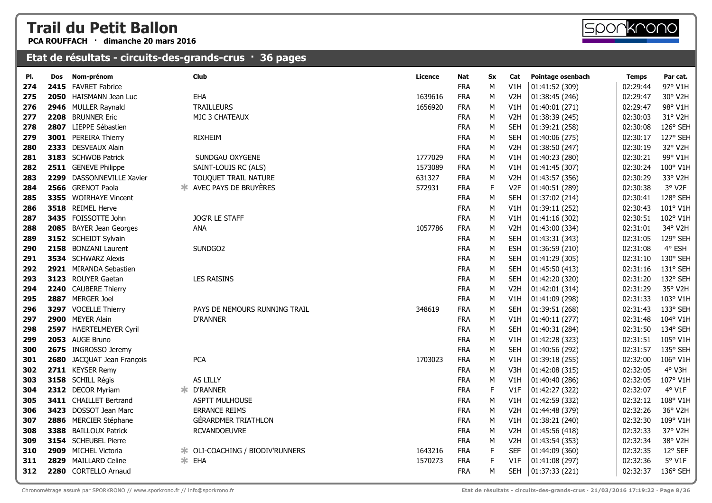**PCA ROUFFACH · dimanche 20 mars 2016**

| PI. | Dos  | Nom-prénom                 |    | Club                           | Licence | Nat        | <b>Sx</b> | Cat              | Pointage osenbach | <b>Temps</b> | Par cat. |
|-----|------|----------------------------|----|--------------------------------|---------|------------|-----------|------------------|-------------------|--------------|----------|
| 274 | 2415 | <b>FAVRET Fabrice</b>      |    |                                |         | <b>FRA</b> | М         | V1H              | 01:41:52 (309)    | 02:29:44     | 97° V1H  |
| 275 | 2050 | HAISMANN Jean Luc          |    | EHA                            | 1639616 | <b>FRA</b> | М         | V <sub>2</sub> H | 01:38:45 (246)    | 02:29:47     | 30° V2H  |
| 276 |      | 2946 MULLER Raynald        |    | <b>TRAILLEURS</b>              | 1656920 | <b>FRA</b> | М         | V1H              | 01:40:01 (271)    | 02:29:47     | 98° V1H  |
| 277 |      | 2208 BRUNNER Eric          |    | MJC 3 CHATEAUX                 |         | <b>FRA</b> | M         | V <sub>2</sub> H | 01:38:39 (245)    | 02:30:03     | 31° V2H  |
| 278 | 2807 | LIEPPE Sébastien           |    |                                |         | <b>FRA</b> | M         | <b>SEH</b>       | 01:39:21 (258)    | 02:30:08     | 126° SEH |
| 279 |      | 3001 PEREIRA Thierry       |    | <b>RIXHEIM</b>                 |         | <b>FRA</b> | М         | <b>SEH</b>       | 01:40:06 (275)    | 02:30:17     | 127° SEH |
| 280 |      | 2333 DESVEAUX Alain        |    |                                |         | <b>FRA</b> | М         | V2H              | 01:38:50 (247)    | 02:30:19     | 32° V2H  |
| 281 |      | 3183 SCHWOB Patrick        |    | SUNDGAU OXYGENE                | 1777029 | <b>FRA</b> | M         | V1H              | 01:40:23 (280)    | 02:30:21     | 99° V1H  |
| 282 |      | 2511 GENEVE Philippe       |    | SAINT-LOUIS RC (ALS)           | 1573089 | <b>FRA</b> | М         | V1H              | 01:41:45 (307)    | 02:30:24     | 100° V1H |
| 283 |      | 2299 DASSONNEVILLE Xavier  |    | TOUQUET TRAIL NATURE           | 631327  | <b>FRA</b> | М         | V <sub>2</sub> H | 01:43:57 (356)    | 02:30:29     | 33° V2H  |
| 284 |      | 2566 GRENOT Paola          |    | <b>*</b> AVEC PAYS DE BRUYÈRES | 572931  | <b>FRA</b> | F         | V <sub>2F</sub>  | 01:40:51 (289)    | 02:30:38     | 3° V2F   |
| 285 |      | 3355 WOIRHAYE Vincent      |    |                                |         | <b>FRA</b> | M         | <b>SEH</b>       | 01:37:02 (214)    | 02:30:41     | 128° SEH |
| 286 |      | 3518 REIMEL Herve          |    |                                |         | <b>FRA</b> | М         | V1H              | 01:39:11 (252)    | 02:30:43     | 101° V1H |
| 287 |      | 3435 FOISSOTTE John        |    | JOG'R LE STAFF                 |         | <b>FRA</b> | М         | V1H              | 01:41:16 (302)    | 02:30:51     | 102° V1H |
| 288 |      | 2085 BAYER Jean Georges    |    | ANA                            | 1057786 | <b>FRA</b> | М         | V <sub>2</sub> H | 01:43:00 (334)    | 02:31:01     | 34° V2H  |
| 289 |      | 3152 SCHEIDT Sylvain       |    |                                |         | <b>FRA</b> | М         | <b>SEH</b>       | 01:43:31 (343)    | 02:31:05     | 129° SEH |
| 290 |      | 2158 BONZANI Laurent       |    | SUNDGO2                        |         | <b>FRA</b> | М         | <b>ESH</b>       | 01:36:59 (210)    | 02:31:08     | 4° ESH   |
| 291 |      | 3534 SCHWARZ Alexis        |    |                                |         | <b>FRA</b> | М         | <b>SEH</b>       | 01:41:29 (305)    | 02:31:10     | 130° SEH |
| 292 |      | 2921 MIRANDA Sebastien     |    |                                |         | <b>FRA</b> | М         | <b>SEH</b>       | 01:45:50 (413)    | 02:31:16     | 131° SEH |
| 293 |      | 3123 ROUYER Gaetan         |    | <b>LES RAISINS</b>             |         | <b>FRA</b> | М         | <b>SEH</b>       | 01:42:20 (320)    | 02:31:20     | 132° SEH |
| 294 |      | 2240 CAUBERE Thierry       |    |                                |         | <b>FRA</b> | М         | V <sub>2</sub> H | 01:42:01 (314)    | 02:31:29     | 35° V2H  |
| 295 |      | 2887 MERGER Joel           |    |                                |         | <b>FRA</b> | М         | V1H              | 01:41:09 (298)    | 02:31:33     | 103° V1H |
| 296 |      | 3297 VOCELLE Thierry       |    | PAYS DE NEMOURS RUNNING TRAIL  | 348619  | <b>FRA</b> | М         | <b>SEH</b>       | 01:39:51 (268)    | 02:31:43     | 133° SEH |
| 297 |      | 2900 MEYER Alain           |    | <b>D'RANNER</b>                |         | <b>FRA</b> | м         | V1H              | 01:40:11 (277)    | 02:31:48     | 104° V1H |
| 298 |      | 2597 HAERTELMEYER Cyril    |    |                                |         | <b>FRA</b> | M         | <b>SEH</b>       | 01:40:31 (284)    | 02:31:50     | 134° SEH |
| 299 |      | 2053 AUGE Bruno            |    |                                |         | <b>FRA</b> | М         | V1H              | 01:42:28 (323)    | 02:31:51     | 105° V1H |
| 300 |      | 2675 INGROSSO Jeremy       |    |                                |         | <b>FRA</b> | М         | <b>SEH</b>       | 01:40:56 (292)    | 02:31:57     | 135° SEH |
| 301 |      | 2680 JACQUAT Jean François |    | <b>PCA</b>                     | 1703023 | <b>FRA</b> | М         | V1H              | 01:39:18 (255)    | 02:32:00     | 106° V1H |
| 302 |      | 2711 KEYSER Remy           |    |                                |         | <b>FRA</b> | М         | V3H              | 01:42:08 (315)    | 02:32:05     | 4° V3H   |
| 303 |      | 3158 SCHILL Régis          |    | AS LILLY                       |         | <b>FRA</b> | М         | V1H              | 01:40:40 (286)    | 02:32:05     | 107° V1H |
| 304 |      | 2312 DECOR Myriam          | ∗. | <b>D'RANNER</b>                |         | <b>FRA</b> | F         | V1F              | 01:42:27 (322)    | 02:32:07     | 4° V1F   |
| 305 |      | 3411 CHAILLET Bertrand     |    | ASPTT MULHOUSE                 |         | <b>FRA</b> | М         | V1H              | 01:42:59 (332)    | 02:32:12     | 108° V1H |
| 306 |      | 3423 DOSSOT Jean Marc      |    | <b>ERRANCE REIMS</b>           |         | <b>FRA</b> | М         | V <sub>2</sub> H | 01:44:48 (379)    | 02:32:26     | 36° V2H  |
| 307 |      | 2886 MERCIER Stéphane      |    | <b>GÉRARDMER TRIATHLON</b>     |         | <b>FRA</b> | М         | V1H              | 01:38:21 (240)    | 02:32:30     | 109° V1H |
| 308 |      | 3388 BAILLOUX Patrick      |    | <b>RCVANDOEUVRE</b>            |         | <b>FRA</b> | М         | V <sub>2</sub> H | 01:45:56 (418)    | 02:32:33     | 37° V2H  |
| 309 |      | 3154 SCHEUBEL Pierre       |    |                                |         | <b>FRA</b> | М         | V <sub>2</sub> H | 01:43:54 (353)    | 02:32:34     | 38° V2H  |
| 310 |      | 2909 MICHEL Victoria       |    |                                | 1643216 | <b>FRA</b> | F         | <b>SEF</b>       | 01:44:09 (360)    | 02:32:35     | 12° SEF  |
| 311 | 2829 | <b>MAILLARD Celine</b>     |    | * EHA                          | 1570273 | <b>FRA</b> | F         | V1F              | 01:41:08 (297)    | 02:32:36     | 5° V1F   |
| 312 |      | 2280 CORTELLO Arnaud       |    |                                |         | <b>FRA</b> | M         | <b>SEH</b>       | 01:37:33 (221)    | 02:32:37     | 136° SEH |

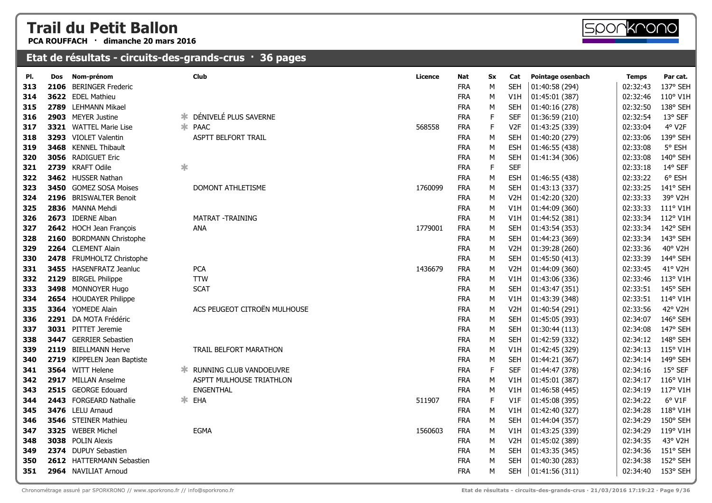**PCA ROUFFACH · dimanche 20 mars 2016**



| PI. | Dos  | Nom-prénom                    |        | <b>Club</b>                    | Licence | Nat        | <b>Sx</b>   | Cat              | Pointage osenbach | <b>Temps</b> | Par cat. |
|-----|------|-------------------------------|--------|--------------------------------|---------|------------|-------------|------------------|-------------------|--------------|----------|
| 313 | 2106 | <b>BERINGER Frederic</b>      |        |                                |         | <b>FRA</b> | м           | <b>SEH</b>       | 01:40:58 (294)    | 02:32:43     | 137° SEH |
| 314 |      | 3622 EDEL Mathieu             |        |                                |         | <b>FRA</b> | М           | V1H              | 01:45:01 (387)    | 02:32:46     | 110° V1H |
| 315 |      | 2789 LEHMANN Mikael           |        |                                |         | <b>FRA</b> | М           | <b>SEH</b>       | 01:40:16 (278)    | 02:32:50     | 138° SEH |
| 316 |      | 2903 MEYER Justine            | ∗      | DÉNIVELÉ PLUS SAVERNE          |         | <b>FRA</b> | F           | <b>SEF</b>       | 01:36:59 (210)    | 02:32:54     | 13° SEF  |
| 317 |      | <b>3321 WATTEL Marie Lise</b> |        | * PAAC                         | 568558  | <b>FRA</b> | F           | V <sub>2F</sub>  | 01:43:25 (339)    | 02:33:04     | 4° V2F   |
| 318 |      | 3293 VIOLET Valentin          |        | ASPTT BELFORT TRAIL            |         | <b>FRA</b> | М           | <b>SEH</b>       | 01:40:20 (279)    | 02:33:06     | 139° SEH |
| 319 |      | 3468 KENNEL Thibault          |        |                                |         | <b>FRA</b> | М           | <b>ESH</b>       | 01:46:55 (438)    | 02:33:08     | 5° ESH   |
| 320 |      | 3056 RADIGUET Eric            |        |                                |         | <b>FRA</b> | М           | <b>SEH</b>       | 01:41:34 (306)    | 02:33:08     | 140° SEH |
| 321 |      | 2739 KRAFT Odile              | $\ast$ |                                |         | <b>FRA</b> | $\mathsf F$ | <b>SEF</b>       |                   | 02:33:18     | 14° SEF  |
| 322 |      | 3462 HUSSER Nathan            |        |                                |         | <b>FRA</b> | М           | <b>ESH</b>       | 01:46:55 (438)    | 02:33:22     | 6° ESH   |
| 323 |      | 3450 GOMEZ SOSA Moises        |        | DOMONT ATHLETISME              | 1760099 | <b>FRA</b> | М           | <b>SEH</b>       | 01:43:13 (337)    | 02:33:25     | 141° SEH |
| 324 |      | 2196 BRISWALTER Benoit        |        |                                |         | <b>FRA</b> | М           | V <sub>2</sub> H | 01:42:20 (320)    | 02:33:33     | 39° V2H  |
| 325 |      | 2836 MANNA Mehdi              |        |                                |         | <b>FRA</b> | М           | V1H              | 01:44:09 (360)    | 02:33:33     | 111° V1H |
| 326 |      | 2673 IDERNE Alban             |        | MATRAT - TRAINING              |         | <b>FRA</b> | М           | V1H              | 01:44:52 (381)    | 02:33:34     | 112° V1H |
| 327 |      | 2642 HOCH Jean François       |        | ANA                            | 1779001 | <b>FRA</b> | ${\sf M}$   | <b>SEH</b>       | 01:43:54 (353)    | 02:33:34     | 142° SEH |
| 328 |      | 2160 BORDMANN Christophe      |        |                                |         | <b>FRA</b> | М           | <b>SEH</b>       | 01:44:23 (369)    | 02:33:34     | 143° SEH |
| 329 |      | 2264 CLEMENT Alain            |        |                                |         | <b>FRA</b> | ${\sf M}$   | V <sub>2</sub> H | 01:39:28 (260)    | 02:33:36     | 40° V2H  |
| 330 |      | 2478 FRUMHOLTZ Christophe     |        |                                |         | <b>FRA</b> | М           | <b>SEH</b>       | 01:45:50 (413)    | 02:33:39     | 144° SEH |
| 331 |      | 3455 HASENFRATZ Jeanluc       |        | <b>PCA</b>                     | 1436679 | <b>FRA</b> | М           | V <sub>2</sub> H | 01:44:09 (360)    | 02:33:45     | 41° V2H  |
| 332 |      | 2129 BIRGEL Philippe          |        | <b>TTW</b>                     |         | <b>FRA</b> | M           | V1H              | 01:43:06 (336)    | 02:33:46     | 113° V1H |
| 333 |      | 3498 MONNOYER Hugo            |        | <b>SCAT</b>                    |         | <b>FRA</b> | ${\sf M}$   | <b>SEH</b>       | 01:43:47 (351)    | 02:33:51     | 145° SEH |
| 334 |      | 2654 HOUDAYER Philippe        |        |                                |         | <b>FRA</b> | М           | V1H              | 01:43:39 (348)    | 02:33:51     | 114° V1H |
| 335 |      | 3364 YOMEDE Alain             |        | ACS PEUGEOT CITROËN MULHOUSE   |         | <b>FRA</b> | М           | V <sub>2</sub> H | 01:40:54 (291)    | 02:33:56     | 42° V2H  |
| 336 |      | 2291 DA MOTA Frédéric         |        |                                |         | <b>FRA</b> | М           | <b>SEH</b>       | 01:45:05 (393)    | 02:34:07     | 146° SEH |
| 337 |      | 3031 PITTET Jeremie           |        |                                |         | <b>FRA</b> | М           | <b>SEH</b>       | 01:30:44 (113)    | 02:34:08     | 147° SEH |
| 338 |      | 3447 GERRIER Sebastien        |        |                                |         | <b>FRA</b> | М           | <b>SEH</b>       | 01:42:59 (332)    | 02:34:12     | 148° SEH |
| 339 |      | 2119 BIELLMANN Herve          |        | TRAIL BELFORT MARATHON         |         | <b>FRA</b> | М           | V1H              | 01:42:45 (329)    | 02:34:13     | 115° V1H |
| 340 |      | 2719 KIPPELEN Jean Baptiste   |        |                                |         | <b>FRA</b> | М           | <b>SEH</b>       | 01:44:21 (367)    | 02:34:14     | 149° SEH |
| 341 |      | 3564 WITT Helene              | Ж.     | <b>RUNNING CLUB VANDOEUVRE</b> |         | <b>FRA</b> | F           | <b>SEF</b>       | 01:44:47 (378)    | 02:34:16     | 15° SEF  |
| 342 |      | 2917 MILLAN Anselme           |        | ASPTT MULHOUSE TRIATHLON       |         | <b>FRA</b> | М           | V1H              | 01:45:01 (387)    | 02:34:17     | 116° V1H |
| 343 |      | 2515 GEORGE Edouard           |        | <b>ENGENTHAL</b>               |         | <b>FRA</b> | М           | V1H              | 01:46:58 (445)    | 02:34:19     | 117° V1H |
| 344 |      | 2443 FORGEARD Nathalie        |        | $*$ EHA                        | 511907  | <b>FRA</b> | $\mathsf F$ | V1F              | 01:45:08 (395)    | 02:34:22     | 6° V1F   |
| 345 |      | 3476 LELU Arnaud              |        |                                |         | <b>FRA</b> | М           | V1H              | 01:42:40 (327)    | 02:34:28     | 118° V1H |
| 346 |      | 3546 STEINER Mathieu          |        |                                |         | <b>FRA</b> | М           | <b>SEH</b>       | 01:44:04 (357)    | 02:34:29     | 150° SEH |
| 347 |      | 3325 WEBER Michel             |        | <b>EGMA</b>                    | 1560603 | <b>FRA</b> | М           | V1H              | 01:43:25 (339)    | 02:34:29     | 119° V1H |
| 348 |      | 3038 POLIN Alexis             |        |                                |         | <b>FRA</b> | М           | V <sub>2</sub> H | 01:45:02 (389)    | 02:34:35     | 43° V2H  |
| 349 |      | 2374 DUPUY Sebastien          |        |                                |         | <b>FRA</b> | М           | <b>SEH</b>       | 01:43:35 (345)    | 02:34:36     | 151° SEH |
| 350 |      | 2612 HATTERMANN Sebastien     |        |                                |         | <b>FRA</b> | M           | <b>SEH</b>       | 01:40:30 (283)    | 02:34:38     | 152° SEH |
| 351 |      | 2964 NAVILIAT Arnoud          |        |                                |         | <b>FRA</b> | M           | <b>SEH</b>       | 01:41:56 (311)    | 02:34:40     | 153° SEH |
|     |      |                               |        |                                |         |            |             |                  |                   |              |          |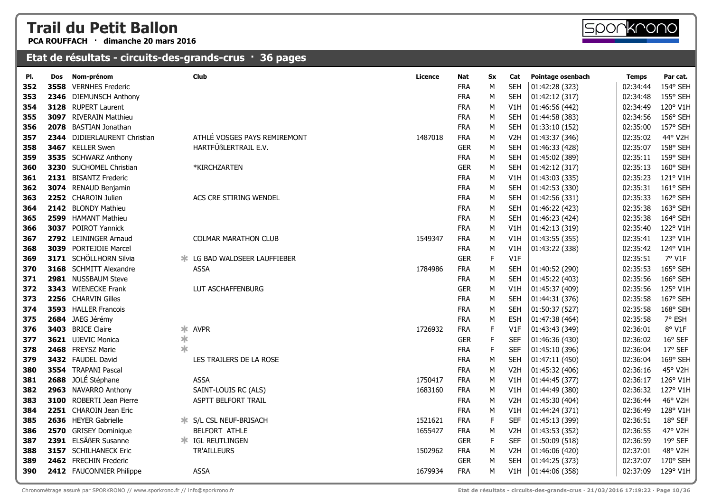**PCA ROUFFACH · dimanche 20 mars 2016**



#### **Etat de résultats - circuits-des-grands-crus · 36 pages**

| PI. | Dos  | Nom-prénom                   |        | <b>Club</b>                  | Licence | Nat        | Sx          | Cat              | Pointage osenbach | <b>Temps</b> | Par cat. |
|-----|------|------------------------------|--------|------------------------------|---------|------------|-------------|------------------|-------------------|--------------|----------|
| 352 | 3558 | <b>VERNHES Frederic</b>      |        |                              |         | <b>FRA</b> | M           | <b>SEH</b>       | 01:42:28 (323)    | 02:34:44     | 154° SEH |
| 353 |      | 2346 DIEMUNSCH Anthony       |        |                              |         | <b>FRA</b> | М           | <b>SEH</b>       | 01:42:12 (317)    | 02:34:48     | 155° SEH |
| 354 |      | 3128 RUPERT Laurent          |        |                              |         | <b>FRA</b> | М           | V1H              | 01:46:56 (442)    | 02:34:49     | 120° V1H |
| 355 |      | 3097 RIVERAIN Matthieu       |        |                              |         | <b>FRA</b> | M           | <b>SEH</b>       | 01:44:58 (383)    | 02:34:56     | 156° SEH |
| 356 |      | 2078 BASTIAN Jonathan        |        |                              |         | <b>FRA</b> | М           | <b>SEH</b>       | 01:33:10 (152)    | 02:35:00     | 157° SEH |
| 357 |      | 2344 DIDIERLAURENT Christian |        | ATHLÉ VOSGES PAYS REMIREMONT | 1487018 | <b>FRA</b> | М           | V <sub>2</sub> H | 01:43:37 (346)    | 02:35:02     | 44° V2H  |
| 358 |      | 3467 KELLER Swen             |        | HARTFÜßLERTRAIL E.V.         |         | <b>GER</b> | М           | <b>SEH</b>       | 01:46:33 (428)    | 02:35:07     | 158° SEH |
| 359 |      | 3535 SCHWARZ Anthony         |        |                              |         | <b>FRA</b> | М           | <b>SEH</b>       | 01:45:02 (389)    | 02:35:11     | 159° SEH |
| 360 |      | 3230 SUCHOMEL Christian      |        | *KIRCHZARTEN                 |         | <b>GER</b> | M           | <b>SEH</b>       | 01:42:12 (317)    | 02:35:13     | 160° SEH |
| 361 |      | 2131 BISANTZ Frederic        |        |                              |         | <b>FRA</b> | М           | V1H              | 01:43:03 (335)    | 02:35:23     | 121° V1H |
| 362 |      | 3074 RENAUD Benjamin         |        |                              |         | <b>FRA</b> | М           | <b>SEH</b>       | 01:42:53 (330)    | 02:35:31     | 161° SEH |
| 363 |      | 2252 CHAROIN Julien          |        | ACS CRE STIRING WENDEL       |         | <b>FRA</b> | М           | <b>SEH</b>       | 01:42:56 (331)    | 02:35:33     | 162° SEH |
| 364 |      | 2142 BLONDY Mathieu          |        |                              |         | <b>FRA</b> | М           | <b>SEH</b>       | 01:46:22 (423)    | 02:35:38     | 163° SEH |
| 365 |      | 2599 HAMANT Mathieu          |        |                              |         | <b>FRA</b> | М           | <b>SEH</b>       | 01:46:23 (424)    | 02:35:38     | 164° SEH |
| 366 |      | 3037 POIROT Yannick          |        |                              |         | <b>FRA</b> | М           | V1H              | 01:42:13 (319)    | 02:35:40     | 122° V1H |
| 367 |      | 2792 LEININGER Arnaud        |        | <b>COLMAR MARATHON CLUB</b>  | 1549347 | <b>FRA</b> | М           | V1H              | 01:43:55 (355)    | 02:35:41     | 123° V1H |
| 368 |      | 3039 PORTEJOIE Marcel        |        |                              |         | <b>FRA</b> | М           | V1H              | 01:43:22 (338)    | 02:35:42     | 124° V1H |
| 369 |      | 3171 SCHÖLLHORN Silvia       |        | LG BAD WALDSEER LAUFFIEBER   |         | <b>GER</b> | F           | V1F              |                   | 02:35:51     | 7° V1F   |
| 370 |      | 3168 SCHMITT Alexandre       |        | <b>ASSA</b>                  | 1784986 | <b>FRA</b> | М           | <b>SEH</b>       | 01:40:52 (290)    | 02:35:53     | 165° SEH |
| 371 |      | 2981 NUSSBAUM Steve          |        |                              |         | <b>FRA</b> | М           | <b>SEH</b>       | 01:45:22 (403)    | 02:35:56     | 166° SEH |
| 372 |      | 3343 WIENECKE Frank          |        | LUT ASCHAFFENBURG            |         | <b>GER</b> | М           | V1H              | 01:45:37 (409)    | 02:35:56     | 125° V1H |
| 373 |      | 2256 CHARVIN Gilles          |        |                              |         | <b>FRA</b> | М           | <b>SEH</b>       | 01:44:31 (376)    | 02:35:58     | 167° SEH |
| 374 |      | 3593 HALLER Francois         |        |                              |         | <b>FRA</b> | М           | <b>SEH</b>       | 01:50:37 (527)    | 02:35:58     | 168° SEH |
| 375 |      | 2684 JAEG Jérémy             |        |                              |         | <b>FRA</b> | М           | <b>ESH</b>       | 01:47:38 (464)    | 02:35:58     | 7° ESH   |
| 376 |      | 3403 BRICE Claire            | ∗      | <b>AVPR</b>                  | 1726932 | <b>FRA</b> | F           | V1F              | 01:43:43 (349)    | 02:36:01     | 8° V1F   |
| 377 |      | 3621 UJEVIC Monica           | $\ast$ |                              |         | <b>GER</b> | F           | <b>SEF</b>       | 01:46:36 (430)    | 02:36:02     | 16° SEF  |
| 378 |      | 2468 FREYSZ Marie            | $\ast$ |                              |         | <b>FRA</b> | $\mathsf F$ | <b>SEF</b>       | 01:45:10 (396)    | 02:36:04     | 17° SEF  |
| 379 |      | 3432 FAUDEL David            |        | LES TRAILERS DE LA ROSE      |         | <b>FRA</b> | M           | <b>SEH</b>       | 01:47:11 (450)    | 02:36:04     | 169° SEH |
| 380 |      | 3554 TRAPANI Pascal          |        |                              |         | <b>FRA</b> | М           | V <sub>2</sub> H | 01:45:32 (406)    | 02:36:16     | 45° V2H  |
| 381 |      | 2688 JOLÉ Stéphane           |        | <b>ASSA</b>                  | 1750417 | <b>FRA</b> | M           | V1H              | 01:44:45 (377)    | 02:36:17     | 126° V1H |
| 382 |      | 2963 NAVARRO Anthony         |        | SAINT-LOUIS RC (ALS)         | 1683160 | <b>FRA</b> | М           | V1H              | 01:44:49 (380)    | 02:36:32     | 127° V1H |
| 383 |      | 3100 ROBERTI Jean Pierre     |        | <b>ASPTT BELFORT TRAIL</b>   |         | <b>FRA</b> | М           | V <sub>2</sub> H | 01:45:30 (404)    | 02:36:44     | 46° V2H  |
| 384 |      | 2251 CHAROIN Jean Eric       |        |                              |         | <b>FRA</b> | М           | V1H              | 01:44:24 (371)    | 02:36:49     | 128° V1H |
| 385 |      | 2636 HEYER Gabrielle         | Ж.     | S/L CSL NEUF-BRISACH         | 1521621 | <b>FRA</b> | F           | <b>SEF</b>       | 01:45:13 (399)    | 02:36:51     | 18° SEF  |
| 386 |      | 2570 GRISEY Dominique        |        | BELFORT ATHLE                | 1655427 | <b>FRA</b> | М           | V <sub>2</sub> H | 01:43:53 (352)    | 02:36:55     | 47° V2H  |
| 387 | 2391 | ELSÄßER Susanne              |        | <b>* IGL REUTLINGEN</b>      |         | <b>GER</b> | F           | <b>SEF</b>       | 01:50:09 (518)    | 02:36:59     | 19° SEF  |
| 388 |      | 3157 SCHILHANECK Eric        |        | TR'AILLEURS                  | 1502962 | <b>FRA</b> | М           | V <sub>2</sub> H | 01:46:06 (420)    | 02:37:01     | 48° V2H  |
| 389 |      | 2462 FRECHIN Frederic        |        |                              |         | <b>GER</b> | M           | <b>SEH</b>       | 01:44:25 (373)    | 02:37:07     | 170° SEH |
| 390 |      | 2412 FAUCONNIER Philippe     |        | <b>ASSA</b>                  | 1679934 | <b>FRA</b> | M           | V1H              | 01:44:06 (358)    | 02:37:09     | 129° V1H |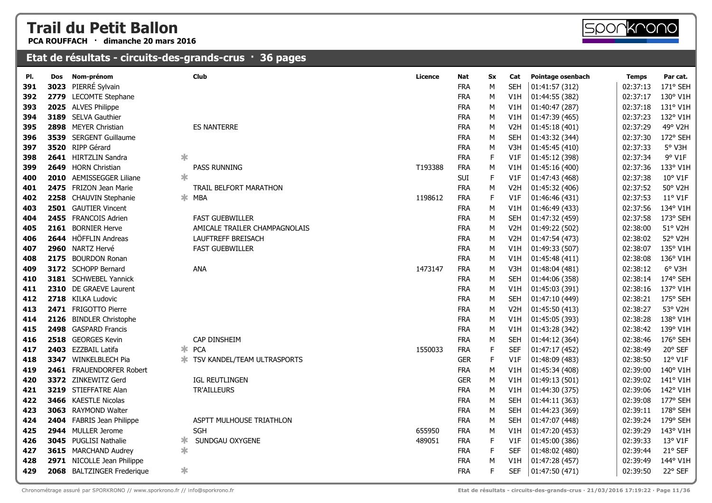**PCA ROUFFACH · dimanche 20 mars 2016**



| PI. | Dos  | Nom-prénom                 |        | Club                          | <b>Licence</b> | Nat        | Sx          | Cat              | Pointage osenbach | <b>Temps</b> | Par cat. |
|-----|------|----------------------------|--------|-------------------------------|----------------|------------|-------------|------------------|-------------------|--------------|----------|
| 391 | 3023 | PIERRÉ Sylvain             |        |                               |                | <b>FRA</b> | M           | <b>SEH</b>       | 01:41:57 (312)    | 02:37:13     | 171° SEH |
| 392 | 2779 | <b>LECOMTE Stephane</b>    |        |                               |                | <b>FRA</b> | M           | V1H              | 01:44:55 (382)    | 02:37:17     | 130° V1H |
| 393 |      | 2025 ALVES Philippe        |        |                               |                | <b>FRA</b> | M           | V1H              | 01:40:47 (287)    | 02:37:18     | 131° V1H |
| 394 |      | 3189 SELVA Gauthier        |        |                               |                | <b>FRA</b> | M           | V1H              | 01:47:39 (465)    | 02:37:23     | 132° V1H |
| 395 |      | 2898 MEYER Christian       |        | <b>ES NANTERRE</b>            |                | <b>FRA</b> | M           | V <sub>2</sub> H | 01:45:18 (401)    | 02:37:29     | 49° V2H  |
| 396 |      | 3539 SERGENT Guillaume     |        |                               |                | <b>FRA</b> | М           | <b>SEH</b>       | 01:43:32 (344)    | 02:37:30     | 172° SEH |
| 397 |      | 3520 RIPP Gérard           |        |                               |                | <b>FRA</b> | M           | V3H              | 01:45:45 (410)    | 02:37:33     | 5° V3H   |
| 398 |      | 2641 HIRTZLIN Sandra       | $\ast$ |                               |                | <b>FRA</b> | $\mathsf F$ | V1F              | 01:45:12 (398)    | 02:37:34     | 9° V1F   |
| 399 |      | 2649 HORN Christian        |        | PASS RUNNING                  | T193388        | <b>FRA</b> | M           | V1H              | 01:45:16 (400)    | 02:37:36     | 133° V1H |
| 400 |      | 2010 AEMISSEGGER Liliane   | $\ast$ |                               |                | SUI        | $\mathsf F$ | V1F              | 01:47:43 (468)    | 02:37:38     | 10° V1F  |
| 401 |      | 2475 FRIZON Jean Marie     |        | <b>TRAIL BELFORT MARATHON</b> |                | <b>FRA</b> | М           | V <sub>2</sub> H | 01:45:32 (406)    | 02:37:52     | 50° V2H  |
| 402 |      | 2258 CHAUVIN Stephanie     |        | $*$ MBA                       | 1198612        | <b>FRA</b> | $\mathsf F$ | V1F              | 01:46:46 (431)    | 02:37:53     | 11° V1F  |
| 403 |      | 2501 GAUTIER Vincent       |        |                               |                | <b>FRA</b> | M           | V1H              | 01:46:49 (433)    | 02:37:56     | 134° V1H |
| 404 |      | 2455 FRANCOIS Adrien       |        | <b>FAST GUEBWILLER</b>        |                | <b>FRA</b> | M           | <b>SEH</b>       | 01:47:32 (459)    | 02:37:58     | 173° SEH |
| 405 |      | 2161 BORNIER Herve         |        | AMICALE TRAILER CHAMPAGNOLAIS |                | <b>FRA</b> | M           | V <sub>2</sub> H | 01:49:22 (502)    | 02:38:00     | 51° V2H  |
| 406 |      | 2644 HÖFFLIN Andreas       |        | LAUFTREFF BREISACH            |                | <b>FRA</b> | M           | V <sub>2</sub> H | 01:47:54 (473)    | 02:38:02     | 52° V2H  |
| 407 |      | 2960 NARTZ Hervé           |        | <b>FAST GUEBWILLER</b>        |                | <b>FRA</b> | М           | V1H              | 01:49:33 (507)    | 02:38:07     | 135° V1H |
| 408 |      | 2175 BOURDON Ronan         |        |                               |                | <b>FRA</b> | M           | V1H              | 01:45:48 (411)    | 02:38:08     | 136° V1H |
| 409 |      | 3172 SCHOPP Bernard        |        | <b>ANA</b>                    | 1473147        | <b>FRA</b> | M           | V3H              | 01:48:04 (481)    | 02:38:12     | 6° V3H   |
| 410 |      | 3181 SCHWEBEL Yannick      |        |                               |                | <b>FRA</b> | М           | <b>SEH</b>       | 01:44:06 (358)    | 02:38:14     | 174° SEH |
| 411 |      | 2310 DE GRAEVE Laurent     |        |                               |                | <b>FRA</b> | M           | V1H              | 01:45:03 (391)    | 02:38:16     | 137° V1H |
| 412 |      | 2718 KILKA Ludovic         |        |                               |                | <b>FRA</b> | М           | <b>SEH</b>       | 01:47:10 (449)    | 02:38:21     | 175° SEH |
| 413 |      | 2471 FRIGOTTO Pierre       |        |                               |                | <b>FRA</b> | M           | V <sub>2</sub> H | 01:45:50 (413)    | 02:38:27     | 53° V2H  |
| 414 |      | 2126 BINDLER Christophe    |        |                               |                | <b>FRA</b> | M           | V1H              | 01:45:05 (393)    | 02:38:28     | 138° V1H |
| 415 |      | 2498 GASPARD Francis       |        |                               |                | <b>FRA</b> | M           | V1H              | 01:43:28 (342)    | 02:38:42     | 139° V1H |
| 416 |      | 2518 GEORGES Kevin         |        | CAP DINSHEIM                  |                | <b>FRA</b> | М           | <b>SEH</b>       | 01:44:12 (364)    | 02:38:46     | 176° SEH |
| 417 |      | 2403 EZZBAIL Latifa        |        | $*$ PCA                       | 1550033        | <b>FRA</b> | $\mathsf F$ | <b>SEF</b>       | 01:47:17 (452)    | 02:38:49     | 20° SEF  |
| 418 |      | 3347 WINKELBLECH Pia       | ∗.     | TSV KANDEL/TEAM ULTRASPORTS   |                | <b>GER</b> | $\mathsf F$ | V1F              | 01:48:09 (483)    | 02:38:50     | 12° V1F  |
| 419 |      | 2461 FRAUENDORFER Robert   |        |                               |                | <b>FRA</b> | M           | V1H              | 01:45:34 (408)    | 02:39:00     | 140° V1H |
| 420 |      | 3372 ZINKEWITZ Gerd        |        | IGL REUTLINGEN                |                | <b>GER</b> | M           | V1H              | 01:49:13 (501)    | 02:39:02     | 141° V1H |
| 421 |      | 3219 STIEFFATRE Alan       |        | <b>TR'AILLEURS</b>            |                | <b>FRA</b> | M           | V1H              | 01:44:30 (375)    | 02:39:06     | 142° V1H |
| 422 |      | 3466 KAESTLE Nicolas       |        |                               |                | <b>FRA</b> | M           | <b>SEH</b>       | 01:44:11 (363)    | 02:39:08     | 177° SEH |
| 423 |      | 3063 RAYMOND Walter        |        |                               |                | <b>FRA</b> | M           | <b>SEH</b>       | 01:44:23 (369)    | 02:39:11     | 178° SEH |
| 424 |      | 2404 FABRIS Jean Philippe  |        | ASPTT MULHOUSE TRIATHLON      |                | <b>FRA</b> | М           | <b>SEH</b>       | 01:47:07 (448)    | 02:39:24     | 179° SEH |
| 425 |      | 2944 MULLER Jerome         |        | SGH                           | 655950         | <b>FRA</b> | М           | V1H              | 01:47:20 (453)    | 02:39:29     | 143° V1H |
| 426 |      | 3045 PUGLISI Nathalie      | ∗      | SUNDGAU OXYGENE               | 489051         | <b>FRA</b> | F           | V1F              | 01:45:00 (386)    | 02:39:33     | 13° V1F  |
| 427 |      | 3615 MARCHAND Audrey       | $\ast$ |                               |                | <b>FRA</b> | $\mathsf F$ | <b>SEF</b>       | 01:48:02 (480)    | 02:39:44     | 21° SEF  |
| 428 |      | 2971 NICOLLE Jean Philippe |        |                               |                | <b>FRA</b> | M           | V1H              | 01:47:28 (457)    | 02:39:49     | 144° V1H |
| 429 |      | 2068 BALTZINGER Frederique | $\ast$ |                               |                | <b>FRA</b> | F           | <b>SEF</b>       | 01:47:50 (471)    | 02:39:50     | 22° SEF  |
|     |      |                            |        |                               |                |            |             |                  |                   |              |          |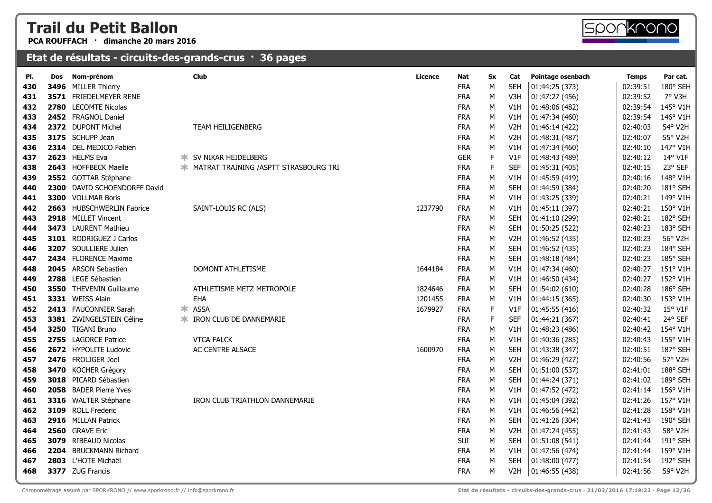**PCA ROUFFACH · dimanche 20 mars 2016**



| PI. | Dos | Nom-prénom                   |    | <b>Club</b>                                     | Licence | Nat        | <b>Sx</b>   | Cat              | Pointage osenbach | <b>Temps</b> | Par cat. |
|-----|-----|------------------------------|----|-------------------------------------------------|---------|------------|-------------|------------------|-------------------|--------------|----------|
| 430 |     | 3496 MILLER Thierry          |    |                                                 |         | <b>FRA</b> | M           | <b>SEH</b>       | 01:44:25 (373)    | 02:39:51     | 180° SEH |
| 431 |     | 3571 FRIEDELMEYER RENE       |    |                                                 |         | <b>FRA</b> | М           | V3H              | 01:47:27 (456)    | 02:39:52     | 7° V3H   |
| 432 |     | 2780 LECOMTE Nicolas         |    |                                                 |         | <b>FRA</b> | M           | V1H              | 01:48:06 (482)    | 02:39:54     | 145° V1H |
| 433 |     | 2452 FRAGNOL Daniel          |    |                                                 |         | <b>FRA</b> | M           | V1H              | 01:47:34 (460)    | 02:39:54     | 146° V1H |
| 434 |     | 2372 DUPONT Michel           |    | TEAM HEILIGENBERG                               |         | <b>FRA</b> | M           | V <sub>2</sub> H | 01:46:14 (422)    | 02:40:03     | 54° V2H  |
| 435 |     | 3175 SCHUPP Jean             |    |                                                 |         | <b>FRA</b> | М           | V <sub>2</sub> H | 01:48:31 (487)    | 02:40:07     | 55° V2H  |
| 436 |     | 2314 DEL MEDICO Fabien       |    |                                                 |         | <b>FRA</b> | M           | V1H              | 01:47:34 (460)    | 02:40:10     | 147° V1H |
| 437 |     | 2623 HELMS Eva               |    | <b>* SV NIKAR HEIDELBERG</b>                    |         | <b>GER</b> | $\mathsf F$ | V1F              | 01:48:43 (489)    | 02:40:12     | 14° V1F  |
| 438 |     | 2643 HOFFBECK Maelle         |    | <b>* MATRAT TRAINING / ASPTT STRASBOURG TRI</b> |         | <b>FRA</b> | $\mathsf F$ | <b>SEF</b>       | 01:45:31 (405)    | 02:40:15     | 23° SEF  |
| 439 |     | 2552 GOTTAR Stéphane         |    |                                                 |         | <b>FRA</b> | M           | V1H              | 01:45:59 (419)    | 02:40:16     | 148° V1H |
| 440 |     | 2300 DAVID SCHOENDORFF David |    |                                                 |         | <b>FRA</b> | M           | <b>SEH</b>       | 01:44:59 (384)    | 02:40:20     | 181° SEH |
| 441 |     | 3300 VOLLMAR Boris           |    |                                                 |         | <b>FRA</b> | М           | V1H              | 01:43:25 (339)    | 02:40:21     | 149° V1H |
| 442 |     | 2663 HUBSCHWERLIN Fabrice    |    | SAINT-LOUIS RC (ALS)                            | 1237790 | <b>FRA</b> | M           | V1H              | 01:45:11 (397)    | 02:40:21     | 150° V1H |
| 443 |     | 2918 MILLET Vincent          |    |                                                 |         | <b>FRA</b> | M           | <b>SEH</b>       | 01:41:10 (299)    | 02:40:21     | 182° SEH |
| 444 |     | 3473 LAURENT Mathieu         |    |                                                 |         | <b>FRA</b> | M           | <b>SEH</b>       | 01:50:25 (522)    | 02:40:23     | 183° SEH |
| 445 |     | 3101 RODRIGUEZ J Carlos      |    |                                                 |         | <b>FRA</b> | M           | V <sub>2</sub> H | 01:46:52 (435)    | 02:40:23     | 56° V2H  |
| 446 |     | 3207 SOULLIERE Julien        |    |                                                 |         | <b>FRA</b> | M           | <b>SEH</b>       | 01:46:52 (435)    | 02:40:23     | 184° SEH |
| 447 |     | 2434 FLORENCE Maxime         |    |                                                 |         | <b>FRA</b> | М           | <b>SEH</b>       | 01:48:18 (484)    | 02:40:23     | 185° SEH |
| 448 |     | 2045 ARSON Sebastien         |    | DOMONT ATHLETISME                               | 1644184 | <b>FRA</b> | М           | V1H              | 01:47:34 (460)    | 02:40:27     | 151° V1H |
| 449 |     | 2788 LEGE Sébastien          |    |                                                 |         | <b>FRA</b> | М           | V1H              | 01:46:50 (434)    | 02:40:27     | 152° V1H |
| 450 |     | 3550 THEVENIN Guillaume      |    | ATHLETISME METZ METROPOLE                       | 1824646 | <b>FRA</b> | M           | <b>SEH</b>       | 01:54:02 (610)    | 02:40:28     | 186° SEH |
| 451 |     | 3331 WEISS Alain             |    | EHA                                             | 1201455 | <b>FRA</b> | М           | V1H              | 01:44:15 (365)    | 02:40:30     | 153° V1H |
| 452 |     | 2413 FAUCONNIER Sarah        | ∗. | <b>ASSA</b>                                     | 1679927 | <b>FRA</b> | $\mathsf F$ | V1F              | 01:45:55 (416)    | 02:40:32     | 15° V1F  |
| 453 |     | 3381 ZWINGELSTEIN Céline     | Ж. | IRON CLUB DE DANNEMARIE                         |         | <b>FRA</b> | F           | <b>SEF</b>       | 01:44:21 (367)    | 02:40:41     | 24° SEF  |
| 454 |     | 3250 TIGANI Bruno            |    |                                                 |         | <b>FRA</b> | М           | V1H              | 01:48:23 (486)    | 02:40:42     | 154° V1H |
| 455 |     | 2755 LAGORCE Patrice         |    | <b>VTCA FALCK</b>                               |         | <b>FRA</b> | М           | V1H              | 01:40:36 (285)    | 02:40:43     | 155° V1H |
| 456 |     | 2672 HYPOLITE Ludovic        |    | AC CENTRE ALSACE                                | 1600970 | <b>FRA</b> | ${\sf M}$   | <b>SEH</b>       | 01:43:38 (347)    | 02:40:51     | 187° SEH |
| 457 |     | 2476 FROLIGER Joel           |    |                                                 |         | <b>FRA</b> | M           | V <sub>2</sub> H | 01:46:29 (427)    | 02:40:56     | 57° V2H  |
| 458 |     | 3470 KOCHER Grégory          |    |                                                 |         | <b>FRA</b> | ${\sf M}$   | <b>SEH</b>       | 01:51:00 (537)    | 02:41:01     | 188° SEH |
| 459 |     | 3018 PICARD Sébastien        |    |                                                 |         | <b>FRA</b> | M           | <b>SEH</b>       | 01:44:24 (371)    | 02:41:02     | 189° SEH |
| 460 |     | 2058 BADER Pierre Yves       |    |                                                 |         | <b>FRA</b> | М           | V1H              | 01:47:52 (472)    | 02:41:14     | 156° V1H |
| 461 |     | 3316 WALTER Stéphane         |    | IRON CLUB TRIATHLON DANNEMARIE                  |         | <b>FRA</b> | М           | V1H              | 01:45:04 (392)    | 02:41:26     | 157° V1H |
| 462 |     | 3109 ROLL Frederic           |    |                                                 |         | <b>FRA</b> | M           | V1H              | 01:46:56 (442)    | 02:41:28     | 158° V1H |
| 463 |     | 2916 MILLAN Patrick          |    |                                                 |         | <b>FRA</b> | М           | <b>SEH</b>       | 01:41:26 (304)    | 02:41:43     | 190° SEH |
| 464 |     | 2560 GRAVE Eric              |    |                                                 |         | <b>FRA</b> | M           | V <sub>2</sub> H | 01:47:24 (455)    | 02:41:43     | 58° V2H  |
| 465 |     | 3079 RIBEAUD Nicolas         |    |                                                 |         | SUI        | М           | <b>SEH</b>       | 01:51:08 (541)    | 02:41:44     | 191° SEH |
| 466 |     | 2204 BRUCKMANN Richard       |    |                                                 |         | <b>FRA</b> | М           | V1H              | 01:47:56 (474)    | 02:41:44     | 159° V1H |
| 467 |     | 2803 L'HOTE Michaël          |    |                                                 |         | <b>FRA</b> | M           | <b>SEH</b>       | 01:48:00 (477)    | 02:41:54     | 192° SEH |
| 468 |     | 3377 ZUG Francis             |    |                                                 |         | <b>FRA</b> | M           | V <sub>2</sub> H | 01:46:55 (438)    | 02:41:56     | 59° V2H  |
|     |     |                              |    |                                                 |         |            |             |                  |                   |              |          |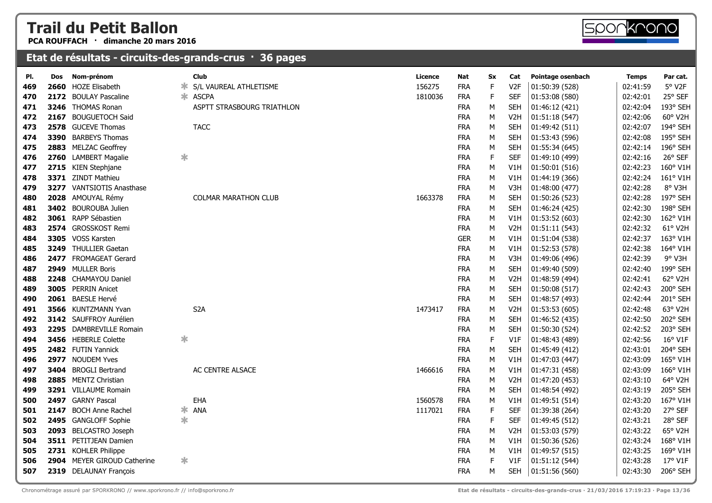**PCA ROUFFACH · dimanche 20 mars 2016**

#### **Etat de résultats - circuits-des-grands-crus · 36 pages**

| PI. | Dos | Nom-prénom                       |        | <b>Club</b>                 | <b>Licence</b> |         | Nat        | Sx          | Cat              | Pointage osenbach | <b>Temps</b> | Par cat.         |
|-----|-----|----------------------------------|--------|-----------------------------|----------------|---------|------------|-------------|------------------|-------------------|--------------|------------------|
| 469 |     | 2660 HOZE Elisabeth              | ж      | S/L VAUREAL ATHLETISME      | 156275         |         | <b>FRA</b> | F           | V <sub>2F</sub>  | 01:50:39 (528)    | 02:41:59     | 5° V2F           |
| 470 |     | 2172 BOULAY Pascaline            |        | * ASCPA                     |                | 1810036 | <b>FRA</b> | $\mathsf F$ | <b>SEF</b>       | 01:53:08 (580)    | 02:42:01     | 25° SEF          |
| 471 |     | 3246 THOMAS Ronan                |        | ASPTT STRASBOURG TRIATHLON  |                |         | <b>FRA</b> | М           | <b>SEH</b>       | 01:46:12 (421)    | 02:42:04     | 193° SEH         |
| 472 |     | 2167 BOUGUETOCH Said             |        |                             |                |         | <b>FRA</b> | М           | V <sub>2</sub> H | 01:51:18 (547)    | 02:42:06     | 60° V2H          |
| 473 |     | 2578 GUCEVE Thomas               |        | <b>TACC</b>                 |                |         | <b>FRA</b> | M           | <b>SEH</b>       | 01:49:42 (511)    | 02:42:07     | 194° SEH         |
| 474 |     | 3390 BARBEYS Thomas              |        |                             |                |         | <b>FRA</b> | М           | <b>SEH</b>       | 01:53:43 (596)    | 02:42:08     | 195° SEH         |
| 475 |     | 2883 MELZAC Geoffrey             |        |                             |                |         | <b>FRA</b> | М           | <b>SEH</b>       | 01:55:34 (645)    | 02:42:14     | 196° SEH         |
| 476 |     | 2760 LAMBERT Magalie             | $\ast$ |                             |                |         | <b>FRA</b> | $\mathsf F$ | <b>SEF</b>       | 01:49:10 (499)    | 02:42:16     | 26° SEF          |
| 477 |     | 2715 KIEN Stephjane              |        |                             |                |         | <b>FRA</b> | М           | V1H              | 01:50:01 (516)    | 02:42:23     | 160° V1H         |
| 478 |     | 3371 ZINDT Mathieu               |        |                             |                |         | <b>FRA</b> | М           | V1H              | 01:44:19 (366)    | 02:42:24     | 161° V1H         |
| 479 |     | <b>3277</b> VANTSIOTIS Anasthase |        |                             |                |         | <b>FRA</b> | М           | V3H              | 01:48:00 (477)    | 02:42:28     | 8° V3H           |
| 480 |     | 2028 AMOUYAL Rémy                |        | <b>COLMAR MARATHON CLUB</b> |                | 1663378 | <b>FRA</b> | м           | <b>SEH</b>       | 01:50:26 (523)    | 02:42:28     | 197° SEH         |
| 481 |     | 3402 BOUROUBA Julien             |        |                             |                |         | <b>FRA</b> | М           | <b>SEH</b>       | 01:46:24 (425)    | 02:42:30     | 198° SEH         |
| 482 |     | 3061 RAPP Sébastien              |        |                             |                |         | <b>FRA</b> | М           | V1H              | 01:53:52 (603)    | 02:42:30     | 162° V1H         |
| 483 |     | 2574 GROSSKOST Remi              |        |                             |                |         | <b>FRA</b> | М           | V <sub>2</sub> H | 01:51:11(543)     | 02:42:32     | 61° V2H          |
| 484 |     | 3305 VOSS Karsten                |        |                             |                |         | <b>GER</b> | М           | V <sub>1</sub> H | 01:51:04 (538)    | 02:42:37     | 163° V1H         |
| 485 |     | 3249 THULLIER Gaetan             |        |                             |                |         | <b>FRA</b> | М           | V1H              | 01:52:53 (578)    | 02:42:38     | 164° V1H         |
| 486 |     | 2477 FROMAGEAT Gerard            |        |                             |                |         | <b>FRA</b> | м           | V3H              | 01:49:06 (496)    | 02:42:39     | 9° V3H           |
| 487 |     | 2949 MULLER Boris                |        |                             |                |         | <b>FRA</b> | М           | <b>SEH</b>       | 01:49:40 (509)    | 02:42:40     | 199° SEH         |
| 488 |     | 2248 CHAMAYOU Daniel             |        |                             |                |         | <b>FRA</b> | М           | V <sub>2</sub> H | 01:48:59 (494)    | 02:42:41     | 62° V2H          |
| 489 |     | <b>3005</b> PERRIN Anicet        |        |                             |                |         | <b>FRA</b> | М           | <b>SEH</b>       | 01:50:08 (517)    | 02:42:43     | 200° SEH         |
| 490 |     | 2061 BAESLE Hervé                |        |                             |                |         | <b>FRA</b> | М           | <b>SEH</b>       | 01:48:57 (493)    | 02:42:44     | 201° SEH         |
| 491 |     | 3566 KUNTZMANN Yvan              |        | S <sub>2</sub> A            |                | 1473417 | <b>FRA</b> | М           | V <sub>2</sub> H | 01:53:53(605)     | 02:42:48     | 63° V2H          |
| 492 |     | 3142 SAUFFROY Aurélien           |        |                             |                |         | <b>FRA</b> | М           | <b>SEH</b>       | 01:46:52 (435)    | 02:42:50     | 202° SEH         |
| 493 |     | 2295 DAMBREVILLE Romain          |        |                             |                |         | <b>FRA</b> | М           | <b>SEH</b>       | 01:50:30 (524)    | 02:42:52     | 203° SEH         |
| 494 |     | 3456 HEBERLE Colette             | $\ast$ |                             |                |         | <b>FRA</b> | $\mathsf F$ | V1F              | 01:48:43 (489)    | 02:42:56     | 16° V1F          |
| 495 |     | 2482 FUTIN Yannick               |        |                             |                |         | <b>FRA</b> | М           | <b>SEH</b>       | 01:45:49 (412)    | 02:43:01     | 204° SEH         |
| 496 |     | 2977 NOUDEM Yves                 |        |                             |                |         | <b>FRA</b> | М           | V1H              | 01:47:03 (447)    | 02:43:09     | 165° V1H         |
| 497 |     | 3404 BROGLI Bertrand             |        | AC CENTRE ALSACE            |                | 1466616 | <b>FRA</b> | М           | V1H              | 01:47:31 (458)    | 02:43:09     | 166° V1H         |
| 498 |     | 2885 MENTZ Christian             |        |                             |                |         | <b>FRA</b> | М           | V <sub>2</sub> H | 01:47:20 (453)    | 02:43:10     | 64° V2H          |
| 499 |     | 3291 VILLAUME Romain             |        |                             |                |         | <b>FRA</b> | М           | <b>SEH</b>       | 01:48:54 (492)    | 02:43:19     | 205° SEH         |
| 500 |     | 2497 GARNY Pascal                |        | EHA                         |                | 1560578 | <b>FRA</b> | М           | V1H              | 01:49:51 (514)    | 02:43:20     | 167° V1H         |
| 501 |     | 2147 BOCH Anne Rachel            | *      | ANA                         |                | 1117021 | <b>FRA</b> | F           | <b>SEF</b>       | 01:39:38 (264)    | 02:43:20     | 27° SEF          |
| 502 |     | 2495 GANGLOFF Sophie             | $\ast$ |                             |                |         | <b>FRA</b> | $\mathsf F$ | <b>SEF</b>       | 01:49:45 (512)    | 02:43:21     | 28° SEF          |
| 503 |     | 2093 BELCASTRO Joseph            |        |                             |                |         | <b>FRA</b> | М           | V <sub>2</sub> H | 01:53:03 (579)    | 02:43:22     | 65° V2H          |
| 504 |     | 3511 PETITJEAN Damien            |        |                             |                |         | <b>FRA</b> | М           | V1H              | 01:50:36 (526)    | 02:43:24     | 168° V1H         |
| 505 |     | 2731 KOHLER Philippe             |        |                             |                |         | <b>FRA</b> | м           | V1H              | 01:49:57 (515)    | 02:43:25     | 169° V1H         |
| 506 |     | 2904 MEYER GIROUD Catherine      | $\ast$ |                             |                |         | <b>FRA</b> | F           | V1F              | 01:51:12 (544)    | 02:43:28     | $17^{\circ}$ V1F |
| 507 |     | 2319 DELAUNAY François           |        |                             |                |         | <b>FRA</b> | М           | <b>SEH</b>       | 01:51:56 (560)    | 02:43:30     | 206° SEH         |

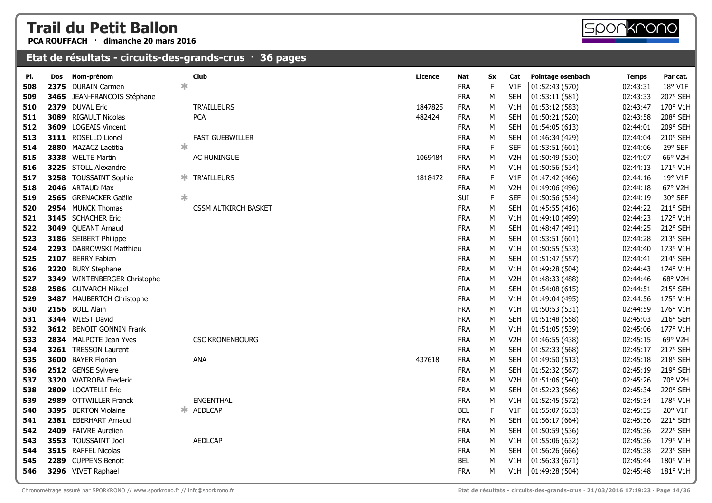**PCA ROUFFACH · dimanche 20 mars 2016**

#### **Etat de résultats - circuits-des-grands-crus · 36 pages**

| PI. | Dos  | Nom-prénom                  |        | <b>Club</b>                 | Licence | Nat        | Sx          | Cat              | Pointage osenbach | Temps    | Par cat. |
|-----|------|-----------------------------|--------|-----------------------------|---------|------------|-------------|------------------|-------------------|----------|----------|
| 508 |      | 2375 DURAIN Carmen          | *      |                             |         | <b>FRA</b> | F           | V1F              | 01:52:43 (570)    | 02:43:31 | 18° V1F  |
| 509 |      | 3465 JEAN-FRANCOIS Stéphane |        |                             |         | <b>FRA</b> | M           | <b>SEH</b>       | 01:53:11(581)     | 02:43:33 | 207° SEH |
| 510 | 2379 | <b>DUVAL Eric</b>           |        | <b>TR'AILLEURS</b>          | 1847825 | <b>FRA</b> | М           | V1H              | 01:53:12 (583)    | 02:43:47 | 170° V1H |
| 511 | 3089 | <b>RIGAULT Nicolas</b>      |        | <b>PCA</b>                  | 482424  | <b>FRA</b> | М           | <b>SEH</b>       | 01:50:21 (520)    | 02:43:58 | 208° SEH |
| 512 |      | 3609 LOGEAIS Vincent        |        |                             |         | <b>FRA</b> | м           | <b>SEH</b>       | 01:54:05(613)     | 02:44:01 | 209° SEH |
| 513 |      | 3111 ROSELLO Lionel         |        | <b>FAST GUEBWILLER</b>      |         | <b>FRA</b> | M           | <b>SEH</b>       | 01:46:34 (429)    | 02:44:04 | 210° SEH |
| 514 |      | 2880 MAZACZ Laetitia        | ∗      |                             |         | <b>FRA</b> | $\mathsf F$ | <b>SEF</b>       | 01:53:51(601)     | 02:44:06 | 29° SEF  |
| 515 |      | 3338 WELTE Martin           |        | AC HUNINGUE                 | 1069484 | FRA        | M           | V <sub>2</sub> H | 01:50:49 (530)    | 02:44:07 | 66° V2H  |
| 516 |      | 3225 STOLL Alexandre        |        |                             |         | <b>FRA</b> | М           | V1H              | 01:50:56 (534)    | 02:44:13 | 171° V1H |
| 517 |      | 3258 TOUSSAINT Sophie       | Ж.     | <b>TR'AILLEURS</b>          | 1818472 | <b>FRA</b> | $\mathsf F$ | V1F              | 01:47:42 (466)    | 02:44:16 | 19° V1F  |
| 518 |      | 2046 ARTAUD Max             |        |                             |         | <b>FRA</b> | М           | V <sub>2</sub> H | 01:49:06 (496)    | 02:44:18 | 67° V2H  |
| 519 |      | 2565 GRENACKER Gaëlle       | $\ast$ |                             |         | SUI        | $\mathsf F$ | <b>SEF</b>       | 01:50:56 (534)    | 02:44:19 | 30° SEF  |
| 520 |      | 2954 MUNCK Thomas           |        | <b>CSSM ALTKIRCH BASKET</b> |         | <b>FRA</b> | М           | <b>SEH</b>       | 01:45:55(416)     | 02:44:22 | 211° SEH |
| 521 |      | 3145 SCHACHER Eric          |        |                             |         | <b>FRA</b> | М           | V1H              | 01:49:10 (499)    | 02:44:23 | 172° V1H |
| 522 |      | 3049 QUEANT Arnaud          |        |                             |         | <b>FRA</b> | М           | <b>SEH</b>       | 01:48:47 (491)    | 02:44:25 | 212° SEH |
| 523 |      | 3186 SEIBERT Philippe       |        |                             |         | <b>FRA</b> | М           | <b>SEH</b>       | 01:53:51(601)     | 02:44:28 | 213° SEH |
| 524 |      | 2293 DABROWSKI Matthieu     |        |                             |         | <b>FRA</b> | M           | V1H              | 01:50:55 (533)    | 02:44:40 | 173° V1H |
| 525 | 2107 | <b>BERRY Fabien</b>         |        |                             |         | <b>FRA</b> | М           | <b>SEH</b>       | 01:51:47 (557)    | 02:44:41 | 214° SEH |
| 526 | 2220 | <b>BURY Stephane</b>        |        |                             |         | <b>FRA</b> | M           | V1H              | 01:49:28 (504)    | 02:44:43 | 174° V1H |
| 527 | 3349 | WINTENBERGER Christophe     |        |                             |         | <b>FRA</b> | M           | V <sub>2</sub> H | 01:48:33 (488)    | 02:44:46 | 68° V2H  |
| 528 |      | 2586 GUIVARCH Mikael        |        |                             |         | <b>FRA</b> | М           | <b>SEH</b>       | 01:54:08 (615)    | 02:44:51 | 215° SEH |
| 529 |      | 3487 MAUBERTCH Christophe   |        |                             |         | <b>FRA</b> | м           | V1H              | 01:49:04 (495)    | 02:44:56 | 175° V1H |
| 530 |      | 2156 BOLL Alain             |        |                             |         | <b>FRA</b> | М           | V1H              | 01:50:53 (531)    | 02:44:59 | 176° V1H |
| 531 |      | 3344 WIEST David            |        |                             |         | <b>FRA</b> | М           | <b>SEH</b>       | 01:51:48 (558)    | 02:45:03 | 216° SEH |
| 532 |      | 3612 BENOIT GONNIN Frank    |        |                             |         | <b>FRA</b> | М           | V1H              | 01:51:05 (539)    | 02:45:06 | 177° V1H |
| 533 |      | 2834 MALPOTE Jean Yves      |        | <b>CSC KRONENBOURG</b>      |         | <b>FRA</b> | M           | V <sub>2</sub> H | 01:46:55 (438)    | 02:45:15 | 69° V2H  |
| 534 |      | 3261 TRESSON Laurent        |        |                             |         | <b>FRA</b> | М           | <b>SEH</b>       | 01:52:33 (568)    | 02:45:17 | 217° SEH |
| 535 |      | 3600 BAYER Florian          |        | ANA                         | 437618  | <b>FRA</b> | М           | <b>SEH</b>       | 01:49:50 (513)    | 02:45:18 | 218° SEH |
| 536 |      | 2512 GENSE Sylvere          |        |                             |         | <b>FRA</b> | М           | <b>SEH</b>       | 01:52:32 (567)    | 02:45:19 | 219° SEH |
| 537 |      | 3320 WATROBA Frederic       |        |                             |         | <b>FRA</b> | М           | V <sub>2</sub> H | 01:51:06 (540)    | 02:45:26 | 70° V2H  |
| 538 |      | 2809 LOCATELLI Eric         |        |                             |         | <b>FRA</b> | M           | <b>SEH</b>       | 01:52:23 (566)    | 02:45:34 | 220° SEH |
| 539 |      | 2989 OTTWILLER Franck       |        | <b>ENGENTHAL</b>            |         | <b>FRA</b> | м           | V1H              | 01:52:45 (572)    | 02:45:34 | 178° V1H |
| 540 |      | 3395 BERTON Violaine        | ∗.     | <b>AEDLCAP</b>              |         | <b>BEL</b> | F           | V1F              | 01:55:07 (633)    | 02:45:35 | 20° V1F  |
| 541 |      | 2381 EBERHART Arnaud        |        |                             |         | <b>FRA</b> | М           | <b>SEH</b>       | 01:56:17 (664)    | 02:45:36 | 221° SEH |
| 542 |      | 2409 FAIVRE Aurelien        |        |                             |         | <b>FRA</b> | М           | <b>SEH</b>       | 01:50:59 (536)    | 02:45:36 | 222° SEH |
| 543 |      | 3553 TOUSSAINT Joel         |        | <b>AEDLCAP</b>              |         | <b>FRA</b> | М           | V1H              | 01:55:06 (632)    | 02:45:36 | 179° V1H |
| 544 |      | 3515 RAFFEL Nicolas         |        |                             |         | <b>FRA</b> | м           | <b>SEH</b>       | 01:56:26 (666)    | 02:45:38 | 223° SEH |
| 545 |      | 2289 CUPPENS Benoit         |        |                             |         | <b>BEL</b> | M           | V1H              | 01:56:33 (671)    | 02:45:44 | 180° V1H |
| 546 |      | 3296 VIVET Raphael          |        |                             |         | <b>FRA</b> | М           | V1H              | 01:49:28 (504)    | 02:45:48 | 181° V1H |
|     |      |                             |        |                             |         |            |             |                  |                   |          |          |

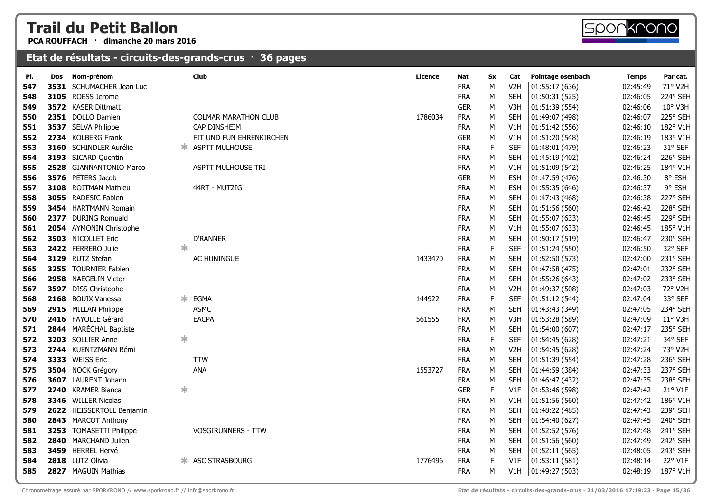**PCA ROUFFACH · dimanche 20 mars 2016**



| PI. | <b>Dos</b> | Nom-prénom                    |        | <b>Club</b>                 | Licence | Nat        | <b>Sx</b>   | Cat              | Pointage osenbach | <b>Temps</b> | Par cat.         |
|-----|------------|-------------------------------|--------|-----------------------------|---------|------------|-------------|------------------|-------------------|--------------|------------------|
| 547 | 3531       | SCHUMACHER Jean Luc           |        |                             |         | <b>FRA</b> | М           | V <sub>2</sub> H | 01:55:17 (636)    | 02:45:49     | 71° V2H          |
| 548 |            | 3105 ROESS Jerome             |        |                             |         | <b>FRA</b> | М           | <b>SEH</b>       | 01:50:31 (525)    | 02:46:05     | 224° SEH         |
| 549 |            | 3572 KASER Dittmatt           |        |                             |         | <b>GER</b> | М           | V3H              | 01:51:39 (554)    | 02:46:06     | 10° V3H          |
| 550 |            | 2351 DOLLO Damien             |        | <b>COLMAR MARATHON CLUB</b> | 1786034 | <b>FRA</b> | М           | <b>SEH</b>       | 01:49:07 (498)    | 02:46:07     | 225° SEH         |
| 551 |            | 3537 SELVA Philippe           |        | CAP DINSHEIM                |         | <b>FRA</b> | М           | V1H              | 01:51:42 (556)    | 02:46:10     | 182° V1H         |
| 552 |            | 2734 KOLBERG Frank            |        | FIT UND FUN EHRENKIRCHEN    |         | <b>GER</b> | M           | V1H              | 01:51:20 (548)    | 02:46:19     | 183° V1H         |
| 553 |            | <b>3160</b> SCHINDLER Aurélie |        | * ASPTT MULHOUSE            |         | <b>FRA</b> | E           | <b>SEF</b>       | 01:48:01 (479)    | 02:46:23     | 31° SEF          |
| 554 |            | 3193 SICARD Quentin           |        |                             |         | <b>FRA</b> | M           | <b>SEH</b>       | 01:45:19 (402)    | 02:46:24     | 226° SEH         |
| 555 |            | 2528 GIANNANTONIO Marco       |        | ASPTT MULHOUSE TRI          |         | <b>FRA</b> | М           | V1H              | 01:51:09 (542)    | 02:46:25     | 184° V1H         |
| 556 |            | 3576 PETERS Jacob             |        |                             |         | <b>GER</b> | M           | <b>ESH</b>       | 01:47:59 (476)    | 02:46:30     | 8° ESH           |
| 557 |            | 3108 ROJTMAN Mathieu          |        | 44RT - MUTZIG               |         | <b>FRA</b> | М           | <b>ESH</b>       | 01:55:35 (646)    | 02:46:37     | 9° ESH           |
| 558 |            | 3055 RADESIC Fabien           |        |                             |         | <b>FRA</b> | М           | <b>SEH</b>       | 01:47:43 (468)    | 02:46:38     | 227° SEH         |
| 559 |            | <b>3454</b> HARTMANN Romain   |        |                             |         | <b>FRA</b> | M           | <b>SEH</b>       | 01:51:56 (560)    | 02:46:42     | 228° SEH         |
| 560 |            | 2377 DURING Romuald           |        |                             |         | <b>FRA</b> | M           | <b>SEH</b>       | 01:55:07 (633)    | 02:46:45     | 229° SEH         |
| 561 |            | 2054 AYMONIN Christophe       |        |                             |         | <b>FRA</b> | M           | V1H              | 01:55:07 (633)    | 02:46:45     | 185° V1H         |
| 562 |            | 3503 NICOLLET Eric            |        | <b>D'RANNER</b>             |         | <b>FRA</b> | M           | <b>SEH</b>       | 01:50:17 (519)    | 02:46:47     | 230° SEH         |
| 563 |            | 2422 FERRERO Julie            | $\ast$ |                             |         | <b>FRA</b> | $\mathsf F$ | <b>SEF</b>       | 01:51:24 (550)    | 02:46:50     | 32° SEF          |
| 564 |            | 3129 RUTZ Stefan              |        | AC HUNINGUE                 | 1433470 | <b>FRA</b> | М           | <b>SEH</b>       | 01:52:50 (573)    | 02:47:00     | 231° SEH         |
| 565 |            | 3255 TOURNIER Fabien          |        |                             |         | <b>FRA</b> | М           | <b>SEH</b>       | 01:47:58 (475)    | 02:47:01     | 232° SEH         |
| 566 |            | 2958 NAEGELIN Victor          |        |                             |         | <b>FRA</b> | М           | <b>SEH</b>       | 01:55:26 (643)    | 02:47:02     | 233° SEH         |
| 567 |            | 3597 DISS Christophe          |        |                             |         | <b>FRA</b> | М           | V <sub>2</sub> H | 01:49:37 (508)    | 02:47:03     | 72° V2H          |
| 568 |            | 2168 BOUIX Vanessa            | Ж      | EGMA                        | 144922  | <b>FRA</b> | $\mathsf F$ | <b>SEF</b>       | 01:51:12 (544)    | 02:47:04     | 33° SEF          |
| 569 |            | 2915 MILLAN Philippe          |        | <b>ASMC</b>                 |         | <b>FRA</b> | М           | <b>SEH</b>       | 01:43:43 (349)    | 02:47:05     | 234° SEH         |
| 570 |            | 2416 FAYOLLE Gérard           |        | <b>EACPA</b>                | 561555  | <b>FRA</b> | М           | V3H              | 01:53:28 (589)    | 02:47:09     | $11^{\circ}$ V3H |
| 571 |            | 2844 MARÉCHAL Baptiste        |        |                             |         | <b>FRA</b> | М           | <b>SEH</b>       | 01:54:00 (607)    | 02:47:17     | 235° SEH         |
| 572 |            | 3203 SOLLIER Anne             | $\ast$ |                             |         | <b>FRA</b> | $\mathsf F$ | <b>SEF</b>       | 01:54:45 (628)    | 02:47:21     | 34° SEF          |
| 573 |            | 2744 KUENTZMANN Rémi          |        |                             |         | <b>FRA</b> | М           | V <sub>2</sub> H | 01:54:45 (628)    | 02:47:24     | 73° V2H          |
| 574 |            | 3333 WEISS Eric               |        | <b>TTW</b>                  |         | <b>FRA</b> | М           | <b>SEH</b>       | 01:51:39 (554)    | 02:47:28     | 236° SEH         |
| 575 |            | 3504 NOCK Grégory             |        | <b>ANA</b>                  | 1553727 | <b>FRA</b> | М           | <b>SEH</b>       | 01:44:59 (384)    | 02:47:33     | 237° SEH         |
| 576 | 3607       | LAURENT Johann                |        |                             |         | <b>FRA</b> | М           | <b>SEH</b>       | 01:46:47 (432)    | 02:47:35     | 238° SEH         |
| 577 |            | 2740 KRAMER Bianca            | ∗      |                             |         | <b>GER</b> | E           | V1F              | 01:53:46 (598)    | 02:47:42     | 21° V1F          |
| 578 |            | 3346 WILLER Nicolas           |        |                             |         | <b>FRA</b> | М           | V1H              | 01:51:56 (560)    | 02:47:42     | 186° V1H         |
| 579 |            | 2622 HEISSERTOLL Benjamin     |        |                             |         | <b>FRA</b> | М           | <b>SEH</b>       | 01:48:22 (485)    | 02:47:43     | 239° SEH         |
| 580 |            | 2843 MARCOT Anthony           |        |                             |         | <b>FRA</b> | М           | <b>SEH</b>       | 01:54:40 (627)    | 02:47:45     | 240° SEH         |
| 581 |            | 3253 TOMASETTI Philippe       |        | <b>VOSGIRUNNERS - TTW</b>   |         | <b>FRA</b> | М           | <b>SEH</b>       | 01:52:52 (576)    | 02:47:48     | 241° SEH         |
| 582 |            | 2840 MARCHAND Julien          |        |                             |         | <b>FRA</b> | М           | <b>SEH</b>       | 01:51:56 (560)    | 02:47:49     | 242° SEH         |
| 583 |            | 3459 HERREL Hervé             |        |                             |         | <b>FRA</b> | М           | <b>SEH</b>       | 01:52:11(565)     | 02:48:05     | 243° SEH         |
| 584 |            | 2818 LUTZ Olivia              |        | <b>* ASC STRASBOURG</b>     | 1776496 | <b>FRA</b> | E           | V1F              | 01:53:11 (581)    | 02:48:14     | 22° V1F          |
| 585 |            | 2827 MAGUIN Mathias           |        |                             |         | <b>FRA</b> | M           | V1H              | 01:49:27 (503)    | 02:48:19     | 187° V1H         |
|     |            |                               |        |                             |         |            |             |                  |                   |              |                  |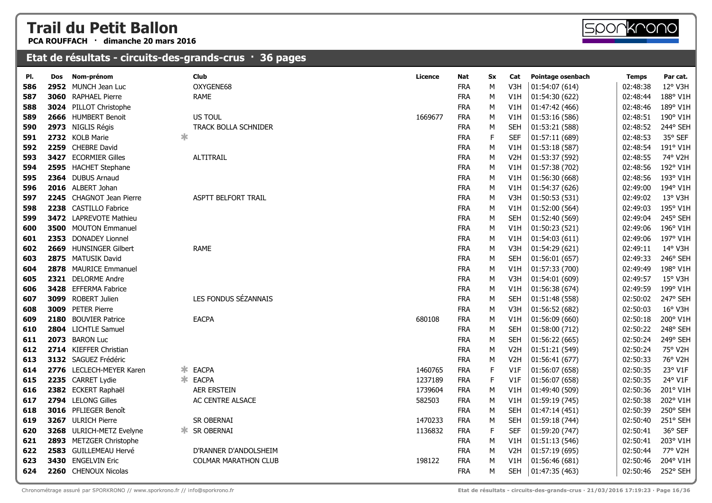**PCA ROUFFACH · dimanche 20 mars 2016**



#### **Etat de résultats - circuits-des-grands-crus · 36 pages**

| PI. | Dos | Nom-prénom               | <b>Club</b>                 | <b>Licence</b> | Nat        | <b>Sx</b>   | Cat              | Pointage osenbach | <b>Temps</b> | Par cat. |
|-----|-----|--------------------------|-----------------------------|----------------|------------|-------------|------------------|-------------------|--------------|----------|
| 586 |     | 2952 MUNCH Jean Luc      | OXYGENE68                   |                | <b>FRA</b> | M           | V3H              | 01:54:07 (614)    | 02:48:38     | 12° V3H  |
| 587 |     | 3060 RAPHAEL Pierre      | <b>RAME</b>                 |                | <b>FRA</b> | M           | V1H              | 01:54:30 (622)    | 02:48:44     | 188° V1H |
| 588 |     | 3024 PILLOT Christophe   |                             |                | <b>FRA</b> | M           | V1H              | 01:47:42 (466)    | 02:48:46     | 189° V1H |
| 589 |     | 2666 HUMBERT Benoit      | US TOUL                     | 1669677        | <b>FRA</b> | M           | V1H              | 01:53:16 (586)    | 02:48:51     | 190° V1H |
| 590 |     | 2973 NIGLIS Régis        | TRACK BOLLA SCHNIDER        |                | <b>FRA</b> | M           | <b>SEH</b>       | 01:53:21 (588)    | 02:48:52     | 244° SEH |
| 591 |     | 2732 KOLB Marie          | ∗                           |                | <b>FRA</b> | F           | <b>SEF</b>       | 01:57:11 (689)    | 02:48:53     | 35° SEF  |
| 592 |     | 2259 CHEBRE David        |                             |                | <b>FRA</b> | M           | V <sub>1</sub> H | 01:53:18 (587)    | 02:48:54     | 191° V1H |
| 593 |     | 3427 ECORMIER Gilles     | <b>ALTITRAIL</b>            |                | <b>FRA</b> | M           | V <sub>2</sub> H | 01:53:37 (592)    | 02:48:55     | 74° V2H  |
| 594 |     | 2595 HACHET Stephane     |                             |                | <b>FRA</b> | M           | V1H              | 01:57:38 (702)    | 02:48:56     | 192° V1H |
| 595 |     | 2364 DUBUS Arnaud        |                             |                | <b>FRA</b> | M           | V <sub>1</sub> H | 01:56:30 (668)    | 02:48:56     | 193° V1H |
| 596 |     | 2016 ALBERT Johan        |                             |                | <b>FRA</b> | M           | V1H              | 01:54:37 (626)    | 02:49:00     | 194° V1H |
| 597 |     | 2245 CHAGNOT Jean Pierre | ASPTT BELFORT TRAIL         |                | <b>FRA</b> | M           | V3H              | 01:50:53 (531)    | 02:49:02     | 13° V3H  |
| 598 |     | 2238 CASTILLO Fabrice    |                             |                | <b>FRA</b> | M           | V1H              | 01:52:00 (564)    | 02:49:03     | 195° V1H |
| 599 |     | 3472 LAPREVOTE Mathieu   |                             |                | <b>FRA</b> | M           | <b>SEH</b>       | 01:52:40 (569)    | 02:49:04     | 245° SEH |
| 600 |     | 3500 MOUTON Emmanuel     |                             |                | <b>FRA</b> | M           | V1H              | 01:50:23 (521)    | 02:49:06     | 196° V1H |
| 601 |     | 2353 DONADEY Lionnel     |                             |                | <b>FRA</b> | M           | V <sub>1</sub> H | 01:54:03 (611)    | 02:49:06     | 197° V1H |
| 602 |     | 2669 HUNSINGER Gilbert   | <b>RAME</b>                 |                | <b>FRA</b> | M           | V <sub>3</sub> H | 01:54:29 (621)    | 02:49:11     | 14° V3H  |
| 603 |     | 2875 MATUSIK David       |                             |                | <b>FRA</b> | M           | <b>SEH</b>       | 01:56:01(657)     | 02:49:33     | 246° SEH |
| 604 |     | 2878 MAURICE Emmanuel    |                             |                | <b>FRA</b> | M           | V1H              | 01:57:33 (700)    | 02:49:49     | 198° V1H |
| 605 |     | 2321 DELORME Andre       |                             |                | <b>FRA</b> | M           | V3H              | 01:54:01 (609)    | 02:49:57     | 15° V3H  |
| 606 |     | 3428 EFFERMA Fabrice     |                             |                | <b>FRA</b> | M           | V1H              | 01:56:38 (674)    | 02:49:59     | 199° V1H |
| 607 |     | 3099 ROBERT Julien       | LES FONDUS SÉZANNAIS        |                | <b>FRA</b> | M           | <b>SEH</b>       | 01:51:48 (558)    | 02:50:02     | 247° SEH |
| 608 |     | 3009 PETER Pierre        |                             |                | <b>FRA</b> | M           | V <sub>3</sub> H | 01:56:52 (682)    | 02:50:03     | 16° V3H  |
| 609 |     | 2180 BOUVIER Patrice     | <b>EACPA</b>                | 680108         | <b>FRA</b> | M           | V1H              | 01:56:09 (660)    | 02:50:18     | 200° V1H |
| 610 |     | 2804 LICHTLE Samuel      |                             |                | <b>FRA</b> | M           | <b>SEH</b>       | 01:58:00 (712)    | 02:50:22     | 248° SEH |
| 611 |     | 2073 BARON Luc           |                             |                | <b>FRA</b> | M           | <b>SEH</b>       | 01:56:22 (665)    | 02:50:24     | 249° SEH |
| 612 |     | 2714 KIEFFER Christian   |                             |                | <b>FRA</b> | M           | V <sub>2</sub> H | 01:51:21 (549)    | 02:50:24     | 75° V2H  |
| 613 |     | 3132 SAGUEZ Frédéric     |                             |                | <b>FRA</b> | M           | V <sub>2</sub> H | 01:56:41 (677)    | 02:50:33     | 76° V2H  |
| 614 |     | 2776 LECLECH-MEYER Karen | <b>EACPA</b><br>∗.          | 1460765        | <b>FRA</b> | $\mathsf F$ | V1F              | 01:56:07 (658)    | 02:50:35     | 23° V1F  |
| 615 |     | 2235 CARRET Lydie        | * EACPA                     | 1237189        | <b>FRA</b> | F           | V1F              | 01:56:07 (658)    | 02:50:35     | 24° V1F  |
| 616 |     | 2382 ECKERT Raphaël      | <b>AER ERSTEIN</b>          | 1739604        | <b>FRA</b> | M           | V <sub>1</sub> H | 01:49:40 (509)    | 02:50:36     | 201° V1H |
| 617 |     | 2794 LELONG Gilles       | AC CENTRE ALSACE            | 582503         | <b>FRA</b> | M           | V1H              | 01:59:19 (745)    | 02:50:38     | 202° V1H |
| 618 |     | 3016 PFLIEGER Benoît     |                             |                | <b>FRA</b> | M           | <b>SEH</b>       | 01:47:14 (451)    | 02:50:39     | 250° SEH |
| 619 |     | 3267 ULRICH Pierre       | SR OBERNAI                  | 1470233        | <b>FRA</b> | M           | <b>SEH</b>       | 01:59:18 (744)    | 02:50:40     | 251° SEH |
| 620 |     | 3268 ULRICH-METZ Evelyne | <b>* SR OBERNAI</b>         | 1136832        | <b>FRA</b> | F           | <b>SEF</b>       | 01:59:20 (747)    | 02:50:41     | 36° SEF  |
| 621 |     | 2893 METZGER Christophe  |                             |                | <b>FRA</b> | M           | V1H              | 01:51:13 (546)    | 02:50:41     | 203° V1H |
| 622 |     | 2583 GUILLEMEAU Hervé    | D'RANNER D'ANDOLSHEIM       |                | <b>FRA</b> | M           | V <sub>2</sub> H | 01:57:19 (695)    | 02:50:44     | 77° V2H  |
| 623 |     | 3430 ENGELVIN Eric       | <b>COLMAR MARATHON CLUB</b> | 198122         | <b>FRA</b> | M           | V1H              | 01:56:46 (681)    | 02:50:46     | 204° V1H |
| 624 |     | 2260 CHENOUX Nicolas     |                             |                | <b>FRA</b> | M           | <b>SEH</b>       | 01:47:35 (463)    | 02:50:46     | 252° SEH |
|     |     |                          |                             |                |            |             |                  |                   |              |          |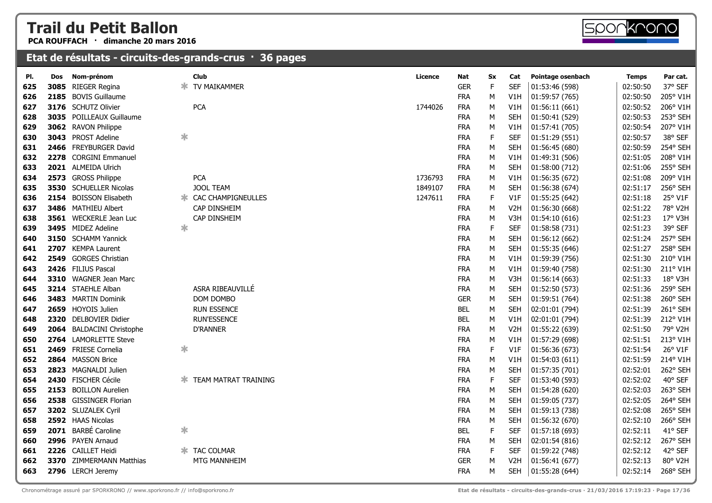**PCA ROUFFACH · dimanche 20 mars 2016**

| PI. | Dos  | Nom-prénom                |        | <b>Club</b>                 | Licence | Nat        | Sx          | Cat              | Pointage osenbach | <b>Temps</b> | Par cat. |
|-----|------|---------------------------|--------|-----------------------------|---------|------------|-------------|------------------|-------------------|--------------|----------|
| 625 | 3085 | <b>RIEGER Regina</b>      |        | TV MAIKAMMER                |         | <b>GER</b> | F           | <b>SEF</b>       | 01:53:46 (598)    | 02:50:50     | 37° SEF  |
| 626 |      | 2185 BOVIS Guillaume      |        |                             |         | <b>FRA</b> | М           | V1H              | 01:59:57 (765)    | 02:50:50     | 205° V1H |
| 627 |      | 3176 SCHUTZ Olivier       |        | <b>PCA</b>                  | 1744026 | <b>FRA</b> | М           | V <sub>1</sub> H | 01:56:11(661)     | 02:50:52     | 206° V1H |
| 628 |      | 3035 POILLEAUX Guillaume  |        |                             |         | <b>FRA</b> | М           | <b>SEH</b>       | 01:50:41 (529)    | 02:50:53     | 253° SEH |
| 629 |      | 3062 RAVON Philippe       |        |                             |         | <b>FRA</b> | M           | V1H              | 01:57:41 (705)    | 02:50:54     | 207° V1H |
| 630 |      | 3043 PROST Adeline        | ∗      |                             |         | <b>FRA</b> | $\mathsf F$ | SEF              | 01:51:29 (551)    | 02:50:57     | 38° SEF  |
| 631 |      | 2466 FREYBURGER David     |        |                             |         | <b>FRA</b> | М           | <b>SEH</b>       | 01:56:45 (680)    | 02:50:59     | 254° SEH |
| 632 |      | 2278 CORGINI Emmanuel     |        |                             |         | <b>FRA</b> | М           | V1H              | 01:49:31 (506)    | 02:51:05     | 208° V1H |
| 633 |      | 2021 ALMEIDA Ulrich       |        |                             |         | <b>FRA</b> | М           | <b>SEH</b>       | 01:58:00 (712)    | 02:51:06     | 255° SEH |
| 634 |      | 2573 GROSS Philippe       |        | <b>PCA</b>                  | 1736793 | <b>FRA</b> | М           | V1H              | 01:56:35 (672)    | 02:51:08     | 209° V1H |
| 635 |      | 3530 SCHUELLER Nicolas    |        | <b>JOOL TEAM</b>            | 1849107 | <b>FRA</b> | М           | <b>SEH</b>       | 01:56:38 (674)    | 02:51:17     | 256° SEH |
| 636 |      | 2154 BOISSON Elisabeth    |        | <b>* CAC CHAMPIGNEULLES</b> | 1247611 | <b>FRA</b> | F           | V1F              | 01:55:25 (642)    | 02:51:18     | 25° V1F  |
| 637 |      | 3486 MATHIEU Albert       |        | CAP DINSHEIM                |         | <b>FRA</b> | М           | V <sub>2</sub> H | 01:56:30 (668)    | 02:51:22     | 78° V2H  |
| 638 |      | 3561 WECKERLE Jean Luc    |        | CAP DINSHEIM                |         | <b>FRA</b> | М           | V3H              | 01:54:10 (616)    | 02:51:23     | 17° V3H  |
| 639 |      | 3495 MIDEZ Adeline        | ∗      |                             |         | <b>FRA</b> | $\mathsf F$ | <b>SEF</b>       | 01:58:58 (731)    | 02:51:23     | 39° SEF  |
| 640 |      | 3150 SCHAMM Yannick       |        |                             |         | <b>FRA</b> | М           | <b>SEH</b>       | 01:56:12 (662)    | 02:51:24     | 257° SEH |
| 641 |      | 2707 KEMPA Laurent        |        |                             |         | <b>FRA</b> | М           | <b>SEH</b>       | 01:55:35 (646)    | 02:51:27     | 258° SEH |
| 642 |      | 2549 GORGES Christian     |        |                             |         | <b>FRA</b> | М           | V1H              | 01:59:39 (756)    | 02:51:30     | 210° V1H |
| 643 |      | 2426 FILIUS Pascal        |        |                             |         | <b>FRA</b> | М           | V1H              | 01:59:40 (758)    | 02:51:30     | 211° V1H |
| 644 |      | 3310 WAGNER Jean Marc     |        |                             |         | <b>FRA</b> | М           | V3H              | 01:56:14(663)     | 02:51:33     | 18° V3H  |
| 645 |      | 3214 STAEHLE Alban        |        | ASRA RIBEAUVILLÉ            |         | <b>FRA</b> | M           | <b>SEH</b>       | 01:52:50 (573)    | 02:51:36     | 259° SEH |
| 646 |      | 3483 MARTIN Dominik       |        | DOM DOMBO                   |         | <b>GER</b> | М           | SEH              | 01:59:51 (764)    | 02:51:38     | 260° SEH |
| 647 |      | 2659 HOYOIS Julien        |        | <b>RUN ESSENCE</b>          |         | <b>BEL</b> | М           | <b>SEH</b>       | 02:01:01 (794)    | 02:51:39     | 261° SEH |
| 648 |      | 2320 DELBOVIER Didier     |        | <b>RUN'ESSENCE</b>          |         | <b>BEL</b> | М           | V1H              | 02:01:01 (794)    | 02:51:39     | 212° V1H |
| 649 |      | 2064 BALDACINI Christophe |        | <b>D'RANNER</b>             |         | <b>FRA</b> | М           | V <sub>2</sub> H | 01:55:22 (639)    | 02:51:50     | 79° V2H  |
| 650 |      | 2764 LAMORLETTE Steve     |        |                             |         | <b>FRA</b> | M           | V1H              | 01:57:29 (698)    | 02:51:51     | 213° V1H |
| 651 |      | 2469 FRIESE Cornelia      | ∗      |                             |         | <b>FRA</b> | $\mathsf F$ | V1F              | 01:56:36 (673)    | 02:51:54     | 26° V1F  |
| 652 |      | 2864 MASSON Brice         |        |                             |         | <b>FRA</b> | М           | V1H              | 01:54:03(611)     | 02:51:59     | 214° V1H |
| 653 |      | 2823 MAGNALDI Julien      |        |                             |         | <b>FRA</b> | М           | SEH              | 01:57:35 (701)    | 02:52:01     | 262° SEH |
| 654 |      | 2430 FISCHER Cécile       |        | <b>TEAM MATRAT TRAINING</b> |         | <b>FRA</b> | $\mathsf F$ | <b>SEF</b>       | 01:53:40 (593)    | 02:52:02     | 40° SEF  |
| 655 |      | 2153 BOILLON Aurelien     |        |                             |         | <b>FRA</b> | М           | <b>SEH</b>       | 01:54:28 (620)    | 02:52:03     | 263° SEH |
| 656 |      | 2538 GISSINGER Florian    |        |                             |         | <b>FRA</b> | М           | <b>SEH</b>       | 01:59:05 (737)    | 02:52:05     | 264° SEH |
| 657 |      | 3202 SLUZALEK Cyril       |        |                             |         | <b>FRA</b> | М           | <b>SEH</b>       | 01:59:13 (738)    | 02:52:08     | 265° SEH |
| 658 |      | 2592 HAAS Nicolas         |        |                             |         | <b>FRA</b> | M           | <b>SEH</b>       | 01:56:32 (670)    | 02:52:10     | 266° SEH |
| 659 |      | 2071 BARBÉ Caroline       | $\ast$ |                             |         | <b>BEL</b> | F           | <b>SEF</b>       | 01:57:18 (693)    | 02:52:11     | 41° SEF  |
| 660 |      | 2996 PAYEN Arnaud         |        |                             |         | <b>FRA</b> | М           | <b>SEH</b>       | 02:01:54 (816)    | 02:52:12     | 267° SEH |
| 661 |      | 2226 CAILLET Heidi        |        | <b>* TAC COLMAR</b>         |         | <b>FRA</b> | F           | <b>SEF</b>       | 01:59:22 (748)    | 02:52:12     | 42° SEF  |
| 662 |      | 3370 ZIMMERMANN Matthias  |        | MTG MANNHEIM                |         | <b>GER</b> | M           | V <sub>2</sub> H | 01:56:41 (677)    | 02:52:13     | 80° V2H  |
| 663 |      | 2796 LERCH Jeremy         |        |                             |         | <b>FRA</b> | М           | <b>SEH</b>       | 01:55:28 (644)    | 02:52:14     | 268° SEH |

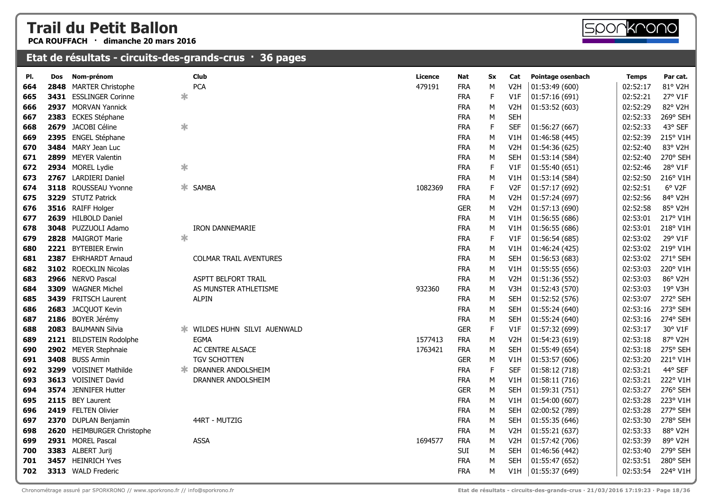**PCA ROUFFACH · dimanche 20 mars 2016**

| PI. | Dos  | Nom-prénom                 |        | <b>Club</b>                   | Licence | <b>Nat</b> | <b>Sx</b> | Cat              | Pointage osenbach | Temps    | Par cat. |
|-----|------|----------------------------|--------|-------------------------------|---------|------------|-----------|------------------|-------------------|----------|----------|
| 664 |      | 2848 MARTER Christophe     |        | <b>PCA</b>                    | 479191  | <b>FRA</b> | M         | V <sub>2</sub> H | 01:53:49 (600)    | 02:52:17 | 81° V2H  |
| 665 |      | 3431 ESSLINGER Corinne     | $\ast$ |                               |         | <b>FRA</b> | F         | V1F              | 01:57:16 (691)    | 02:52:21 | 27° V1F  |
| 666 |      | 2937 MORVAN Yannick        |        |                               |         | <b>FRA</b> | M         | V <sub>2</sub> H | 01:53:52 (603)    | 02:52:29 | 82° V2H  |
| 667 |      | 2383 ECKES Stéphane        |        |                               |         | <b>FRA</b> | M         | <b>SEH</b>       |                   | 02:52:33 | 269° SEH |
| 668 |      | 2679 JACOBI Céline         | $\ast$ |                               |         | <b>FRA</b> | F         | <b>SEF</b>       | 01:56:27 (667)    | 02:52:33 | 43° SEF  |
| 669 |      | 2395 ENGEL Stéphane        |        |                               |         | <b>FRA</b> | M         | V1H              | 01:46:58 (445)    | 02:52:39 | 215° V1H |
| 670 |      | 3484 MARY Jean Luc         |        |                               |         | <b>FRA</b> | M         | V <sub>2</sub> H | 01:54:36 (625)    | 02:52:40 | 83° V2H  |
| 671 |      | 2899 MEYER Valentin        |        |                               |         | <b>FRA</b> | M         | <b>SEH</b>       | 01:53:14 (584)    | 02:52:40 | 270° SEH |
| 672 |      | 2934 MOREL Lydie           | ∗      |                               |         | <b>FRA</b> | F         | V1F              | 01:55:40 (651)    | 02:52:46 | 28° V1F  |
| 673 |      | 2767 LARDIERI Daniel       |        |                               |         | <b>FRA</b> | М         | V1H              | 01:53:14 (584)    | 02:52:50 | 216° V1H |
| 674 |      | 3118 ROUSSEAU Yvonne       | ∗.     | SAMBA                         | 1082369 | <b>FRA</b> | F         | V <sub>2F</sub>  | 01:57:17 (692)    | 02:52:51 | 6° V2F   |
| 675 |      | 3229 STUTZ Patrick         |        |                               |         | <b>FRA</b> | M         | V <sub>2</sub> H | 01:57:24 (697)    | 02:52:56 | 84° V2H  |
| 676 |      | 3516 RAIFF Holger          |        |                               |         | <b>GER</b> | M         | V <sub>2</sub> H | 01:57:13 (690)    | 02:52:58 | 85° V2H  |
| 677 |      | 2639 HILBOLD Daniel        |        |                               |         | <b>FRA</b> | M         | V1H              | 01:56:55 (686)    | 02:53:01 | 217° V1H |
| 678 |      | 3048 PUZZUOLI Adamo        |        | <b>IRON DANNEMARIE</b>        |         | <b>FRA</b> | M         | V1H              | 01:56:55 (686)    | 02:53:01 | 218° V1H |
| 679 |      | 2828 MAIGROT Marie         | $\ast$ |                               |         | <b>FRA</b> | F         | V1F              | 01:56:54 (685)    | 02:53:02 | 29° V1F  |
| 680 |      | 2221 BYTEBIER Erwin        |        |                               |         | <b>FRA</b> | М         | V1H              | 01:46:24 (425)    | 02:53:02 | 219° V1H |
| 681 |      | 2387 EHRHARDT Arnaud       |        | <b>COLMAR TRAIL AVENTURES</b> |         | <b>FRA</b> | M         | <b>SEH</b>       | 01:56:53 (683)    | 02:53:02 | 271° SEH |
| 682 |      | 3102 ROECKLIN Nicolas      |        |                               |         | <b>FRA</b> | M         | V1H              | 01:55:55 (656)    | 02:53:03 | 220° V1H |
| 683 |      | 2966 NERVO Pascal          |        | <b>ASPTT BELFORT TRAIL</b>    |         | <b>FRA</b> | M         | V <sub>2</sub> H | 01:51:36 (552)    | 02:53:03 | 86° V2H  |
| 684 |      | 3309 WAGNER Michel         |        | AS MUNSTER ATHLETISME         | 932360  | <b>FRA</b> | M         | V3H              | 01:52:43 (570)    | 02:53:03 | 19° V3H  |
| 685 |      | 3439 FRITSCH Laurent       |        | <b>ALPIN</b>                  |         | <b>FRA</b> | M         | <b>SEH</b>       | 01:52:52 (576)    | 02:53:07 | 272° SEH |
| 686 |      | 2683 JACQUOT Kevin         |        |                               |         | <b>FRA</b> | M         | <b>SEH</b>       | 01:55:24 (640)    | 02:53:16 | 273° SEH |
| 687 |      | 2186 BOYER Jérémy          |        |                               |         | <b>FRA</b> | М         | <b>SEH</b>       | 01:55:24 (640)    | 02:53:16 | 274° SEH |
| 688 | 2083 | <b>BAUMANN Silvia</b>      |        |                               |         | <b>GER</b> | F         | V1F              | 01:57:32 (699)    | 02:53:17 | 30° V1F  |
| 689 |      | 2121 BILDSTEIN Rodolphe    |        | <b>EGMA</b>                   | 1577413 | <b>FRA</b> | M         | V <sub>2</sub> H | 01:54:23 (619)    | 02:53:18 | 87° V2H  |
| 690 |      | 2902 MEYER Stephnaie       |        | AC CENTRE ALSACE              | 1763421 | <b>FRA</b> | M         | <b>SEH</b>       | 01:55:49 (654)    | 02:53:18 | 275° SEH |
| 691 |      | 3408 BUSS Armin            |        | TGV SCHOTTEN                  |         | <b>GER</b> | М         | V1H              | 01:53:57 (606)    | 02:53:20 | 221° V1H |
| 692 |      | 3299 VOISINET Mathilde     |        | <b>* DRANNER ANDOLSHEIM</b>   |         | <b>FRA</b> | F         | <b>SEF</b>       | 01:58:12 (718)    | 02:53:21 | 44° SEF  |
| 693 |      | 3613 VOISINET David        |        | DRANNER ANDOLSHEIM            |         | <b>FRA</b> | M         | V1H              | 01:58:11 (716)    | 02:53:21 | 222° V1H |
| 694 |      | 3574 JENNIFER Hutter       |        |                               |         | <b>GER</b> | M         | <b>SEH</b>       | 01:59:31 (751)    | 02:53:27 | 276° SEH |
| 695 |      | 2115 BEY Laurent           |        |                               |         | <b>FRA</b> | M         | V1H              | 01:54:00 (607)    | 02:53:28 | 223° V1H |
| 696 |      | 2419 FELTEN Olivier        |        |                               |         | <b>FRA</b> | M         | <b>SEH</b>       | 02:00:52 (789)    | 02:53:28 | 277° SEH |
| 697 |      | 2370 DUPLAN Benjamin       |        | 44RT - MUTZIG                 |         | <b>FRA</b> | M         | <b>SEH</b>       | 01:55:35 (646)    | 02:53:30 | 278° SEH |
| 698 |      | 2620 HEIMBURGER Christophe |        |                               |         | <b>FRA</b> | M         | V <sub>2</sub> H | 01:55:21 (637)    | 02:53:33 | 88° V2H  |
| 699 |      | 2931 MOREL Pascal          |        | <b>ASSA</b>                   | 1694577 | <b>FRA</b> | M         | V <sub>2</sub> H | 01:57:42 (706)    | 02:53:39 | 89° V2H  |
| 700 |      | 3383 ALBERT Jurij          |        |                               |         | SUI        | М         | <b>SEH</b>       | 01:46:56 (442)    | 02:53:40 | 279° SEH |
| 701 |      | 3457 HEINRICH Yves         |        |                               |         | <b>FRA</b> | M         | <b>SEH</b>       | 01:55:47 (652)    | 02:53:51 | 280° SEH |
| 702 |      | 3313 WALD Frederic         |        |                               |         | <b>FRA</b> | М         | V1H              | 01:55:37 (649)    | 02:53:54 | 224° V1H |

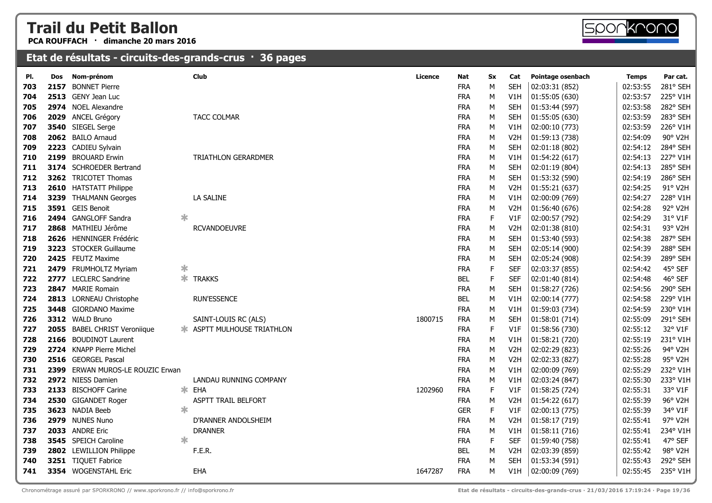**PCA ROUFFACH · dimanche 20 mars 2016**



#### **Etat de résultats - circuits-des-grands-crus · 36 pages**

| PI. | Dos  | Nom-prénom                   |        | <b>Club</b>                | Licence | Nat        | <b>Sx</b>   | Cat              | Pointage osenbach | <b>Temps</b> | Par cat. |
|-----|------|------------------------------|--------|----------------------------|---------|------------|-------------|------------------|-------------------|--------------|----------|
| 703 | 2157 | <b>BONNET Pierre</b>         |        |                            |         | <b>FRA</b> | M           | <b>SEH</b>       | 02:03:31 (852)    | 02:53:55     | 281° SEH |
| 704 |      | 2513 GENY Jean Luc           |        |                            |         | <b>FRA</b> | М           | V1H              | 01:55:05 (630)    | 02:53:57     | 225° V1H |
| 705 |      | 2974 NOEL Alexandre          |        |                            |         | <b>FRA</b> | M           | <b>SEH</b>       | 01:53:44 (597)    | 02:53:58     | 282° SEH |
| 706 |      | 2029 ANCEL Grégory           |        | <b>TACC COLMAR</b>         |         | <b>FRA</b> | M           | <b>SEH</b>       | 01:55:05 (630)    | 02:53:59     | 283° SEH |
| 707 |      | 3540 SIEGEL Serge            |        |                            |         | <b>FRA</b> | M           | V1H              | 02:00:10 (773)    | 02:53:59     | 226° V1H |
| 708 |      | 2062 BAILO Arnaud            |        |                            |         | <b>FRA</b> | М           | V <sub>2</sub> H | 01:59:13 (738)    | 02:54:09     | 90° V2H  |
| 709 | 2223 | CADIEU Sylvain               |        |                            |         | <b>FRA</b> | M           | <b>SEH</b>       | 02:01:18 (802)    | 02:54:12     | 284° SEH |
| 710 |      | 2199 BROUARD Erwin           |        | <b>TRIATHLON GERARDMER</b> |         | <b>FRA</b> | M           | V1H              | 01:54:22 (617)    | 02:54:13     | 227° V1H |
| 711 |      | 3174 SCHROEDER Bertrand      |        |                            |         | <b>FRA</b> | M           | <b>SEH</b>       | 02:01:19 (804)    | 02:54:13     | 285° SEH |
| 712 |      | 3262 TRICOTET Thomas         |        |                            |         | <b>FRA</b> | M           | <b>SEH</b>       | 01:53:32 (590)    | 02:54:19     | 286° SEH |
| 713 |      | 2610 HATSTATT Philippe       |        |                            |         | <b>FRA</b> | M           | V <sub>2</sub> H | 01:55:21 (637)    | 02:54:25     | 91° V2H  |
| 714 |      | 3239 THALMANN Georges        |        | LA SALINE                  |         | <b>FRA</b> | М           | V1H              | 02:00:09 (769)    | 02:54:27     | 228° V1H |
| 715 |      | 3591 GEIS Benoit             |        |                            |         | <b>FRA</b> | M           | V <sub>2</sub> H | 01:56:40 (676)    | 02:54:28     | 92° V2H  |
| 716 |      | 2494 GANGLOFF Sandra         | ∗      |                            |         | <b>FRA</b> | $\mathsf F$ | V1F              | 02:00:57 (792)    | 02:54:29     | 31° V1F  |
| 717 |      | 2868 MATHIEU Jérôme          |        | <b>RCVANDOEUVRE</b>        |         | <b>FRA</b> | M           | V <sub>2</sub> H | 02:01:38 (810)    | 02:54:31     | 93° V2H  |
| 718 |      | 2626 HENNINGER Frédéric      |        |                            |         | <b>FRA</b> | M           | <b>SEH</b>       | 01:53:40 (593)    | 02:54:38     | 287° SEH |
| 719 |      | 3223 STOCKER Guillaume       |        |                            |         | <b>FRA</b> | M           | <b>SEH</b>       | 02:05:14 (900)    | 02:54:39     | 288° SEH |
| 720 |      | 2425 FEUTZ Maxime            |        |                            |         | <b>FRA</b> | М           | <b>SEH</b>       | 02:05:24 (908)    | 02:54:39     | 289° SEH |
| 721 |      | 2479 FRUMHOLTZ Myriam        | $\ast$ |                            |         | <b>FRA</b> | F           | <b>SEF</b>       | 02:03:37 (855)    | 02:54:42     | 45° SEF  |
| 722 |      | 2777 LECLERC Sandrine        |        | <b>* TRAKKS</b>            |         | <b>BEL</b> | F           | <b>SEF</b>       | 02:01:40 (814)    | 02:54:48     | 46° SEF  |
| 723 |      | 2847 MARIE Romain            |        |                            |         | <b>FRA</b> | M           | <b>SEH</b>       | 01:58:27 (726)    | 02:54:56     | 290° SEH |
| 724 |      | 2813 LORNEAU Christophe      |        | <b>RUN'ESSENCE</b>         |         | <b>BEL</b> | М           | V1H              | 02:00:14 (777)    | 02:54:58     | 229° V1H |
| 725 |      | 3448 GIORDANO Maxime         |        |                            |         | <b>FRA</b> | M           | V1H              | 01:59:03 (734)    | 02:54:59     | 230° V1H |
| 726 |      | 3312 WALD Bruno              |        | SAINT-LOUIS RC (ALS)       | 1800715 | <b>FRA</b> | М           | <b>SEH</b>       | 01:58:01 (714)    | 02:55:09     | 291° SEH |
| 727 |      | 2055 BABEL CHRIST Veroniique |        | * ASPTT MULHOUSE TRIATHLON |         | <b>FRA</b> | $\mathsf F$ | V1F              | 01:58:56 (730)    | 02:55:12     | 32° V1F  |
| 728 |      | 2166 BOUDINOT Laurent        |        |                            |         | <b>FRA</b> | M           | V1H              | 01:58:21 (720)    | 02:55:19     | 231° V1H |
| 729 |      | 2724 KNAPP Pierre Michel     |        |                            |         | <b>FRA</b> | M           | V <sub>2</sub> H | 02:02:29 (823)    | 02:55:26     | 94° V2H  |
| 730 |      | 2516 GEORGEL Pascal          |        |                            |         | <b>FRA</b> | M           | V <sub>2</sub> H | 02:02:33 (827)    | 02:55:28     | 95° V2H  |
| 731 | 2399 | ERWAN MUROS-LE ROUZIC Erwan  |        |                            |         | <b>FRA</b> | M           | V1H              | 02:00:09 (769)    | 02:55:29     | 232° V1H |
| 732 |      | 2972 NIESS Damien            |        | LANDAU RUNNING COMPANY     |         | <b>FRA</b> | М           | V1H              | 02:03:24 (847)    | 02:55:30     | 233° V1H |
| 733 |      | 2133 BISCHOFF Carine         | ∗.     | EHA                        | 1202960 | <b>FRA</b> | $\mathsf F$ | V1F              | 01:58:25 (724)    | 02:55:31     | 33° V1F  |
| 734 |      | 2530 GIGANDET Roger          |        | ASPTT TRAIL BELFORT        |         | <b>FRA</b> | М           | V <sub>2</sub> H | 01:54:22(617)     | 02:55:39     | 96° V2H  |
| 735 |      | 3623 NADIA Beeb              | $\ast$ |                            |         | <b>GER</b> | $\mathsf F$ | V1F              | 02:00:13 (775)    | 02:55:39     | 34° V1F  |
| 736 |      | 2979 NUNES Nuno              |        | D'RANNER ANDOLSHEIM        |         | <b>FRA</b> | М           | V <sub>2</sub> H | 01:58:17 (719)    | 02:55:41     | 97° V2H  |
| 737 |      | 2033 ANDRE Eric              |        | <b>DRANNER</b>             |         | <b>FRA</b> | M           | V1H              | 01:58:11 (716)    | 02:55:41     | 234° V1H |
| 738 |      | 3545 SPEICH Caroline         | ж      |                            |         | <b>FRA</b> | $\mathsf F$ | <b>SEF</b>       | 01:59:40 (758)    | 02:55:41     | 47° SEF  |
| 739 |      | 2802 LEWILLION Philippe      |        | F.E.R.                     |         | <b>BEL</b> | М           | V <sub>2</sub> H | 02:03:39 (859)    | 02:55:42     | 98° V2H  |
| 740 |      | 3251 TIQUET Fabrice          |        |                            |         | <b>FRA</b> | M           | <b>SEH</b>       | 01:53:34 (591)    | 02:55:43     | 292° SEH |
| 741 |      | 3354 WOGENSTAHL Eric         |        | EHA                        | 1647287 | <b>FRA</b> | M           | V1H              | 02:00:09 (769)    | 02:55:45     | 235° V1H |
|     |      |                              |        |                            |         |            |             |                  |                   |              |          |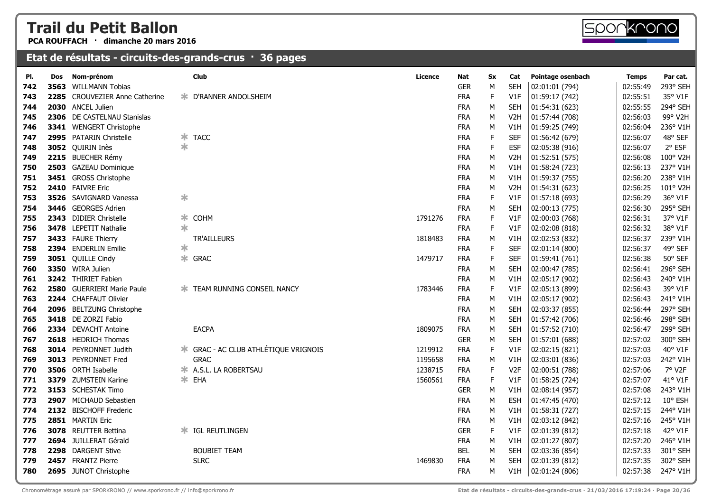**PCA ROUFFACH · dimanche 20 mars 2016**

| 3563<br>742<br>743<br>2285<br>744<br>745<br>746<br>747<br>748<br>749<br>750<br>751<br>752<br>753<br>754<br>755<br>756<br>757<br>758<br>759<br>760<br>761<br>762<br>763<br>764<br>765<br>766<br>767<br>768<br>769<br>770<br>771<br>772<br>773<br>774<br>775<br>776<br>777<br>778<br>779 | Nom-prénom<br>Dos                |        | <b>Club</b>                          | Licence | Nat        | Sx          | Cat              | Pointage osenbach | <b>Temps</b> | Par cat. |
|----------------------------------------------------------------------------------------------------------------------------------------------------------------------------------------------------------------------------------------------------------------------------------------|----------------------------------|--------|--------------------------------------|---------|------------|-------------|------------------|-------------------|--------------|----------|
|                                                                                                                                                                                                                                                                                        | <b>WILLMANN Tobias</b>           |        |                                      |         | <b>GER</b> | M           | <b>SEH</b>       | 02:01:01 (794)    | 02:55:49     | 293° SEH |
|                                                                                                                                                                                                                                                                                        | <b>CROUVEZIER Anne Catherine</b> | ∗.     | D'RANNER ANDOLSHEIM                  |         | <b>FRA</b> | F           | V1F              | 01:59:17 (742)    | 02:55:51     | 35° V1F  |
|                                                                                                                                                                                                                                                                                        | 2030 ANCEL Julien                |        |                                      |         | <b>FRA</b> | М           | SEH              | 01:54:31 (623)    | 02:55:55     | 294° SEH |
|                                                                                                                                                                                                                                                                                        | 2306 DE CASTELNAU Stanislas      |        |                                      |         | <b>FRA</b> | М           | V <sub>2</sub> H | 01:57:44 (708)    | 02:56:03     | 99° V2H  |
|                                                                                                                                                                                                                                                                                        | 3341 WENGERT Christophe          |        |                                      |         | <b>FRA</b> | М           | V1H              | 01:59:25 (749)    | 02:56:04     | 236° V1H |
|                                                                                                                                                                                                                                                                                        | 2995 PATARIN Christelle          | ∗      | <b>TACC</b>                          |         | <b>FRA</b> | $\mathsf F$ | <b>SEF</b>       | 01:56:42 (679)    | 02:56:07     | 48° SEF  |
|                                                                                                                                                                                                                                                                                        | 3052 QUIRIN Inès                 | ∗      |                                      |         | <b>FRA</b> | $\mathsf F$ | <b>ESF</b>       | 02:05:38 (916)    | 02:56:07     | 2° ESF   |
|                                                                                                                                                                                                                                                                                        | 2215 BUECHER Rémy                |        |                                      |         | <b>FRA</b> | М           | V <sub>2</sub> H | 01:52:51(575)     | 02:56:08     | 100° V2H |
|                                                                                                                                                                                                                                                                                        | 2503 GAZEAU Dominique            |        |                                      |         | <b>FRA</b> | М           | V1H              | 01:58:24 (723)    | 02:56:13     | 237° V1H |
|                                                                                                                                                                                                                                                                                        | 3451 GROSS Christophe            |        |                                      |         | <b>FRA</b> | M           | V1H              | 01:59:37 (755)    | 02:56:20     | 238° V1H |
|                                                                                                                                                                                                                                                                                        | 2410 FAIVRE Eric                 |        |                                      |         | <b>FRA</b> | M           | V <sub>2</sub> H | 01:54:31 (623)    | 02:56:25     | 101° V2H |
|                                                                                                                                                                                                                                                                                        | 3526 SAVIGNARD Vanessa           | $\ast$ |                                      |         | <b>FRA</b> | F           | V1F              | 01:57:18(693)     | 02:56:29     | 36° V1F  |
|                                                                                                                                                                                                                                                                                        | 3446 GEORGES Adrien              |        |                                      |         | <b>FRA</b> | М           | <b>SEH</b>       | 02:00:13 (775)    | 02:56:30     | 295° SEH |
|                                                                                                                                                                                                                                                                                        | 2343 DIDIER Christelle           | ∗      | <b>COHM</b>                          | 1791276 | <b>FRA</b> | $\mathsf F$ | V1F              | 02:00:03 (768)    | 02:56:31     | 37° V1F  |
|                                                                                                                                                                                                                                                                                        | 3478 LEPETIT Nathalie            | ∗      |                                      |         | <b>FRA</b> | F           | V1F              | 02:02:08 (818)    | 02:56:32     | 38° V1F  |
|                                                                                                                                                                                                                                                                                        | 3433 FAURE Thierry               |        | TR'AILLEURS                          | 1818483 | <b>FRA</b> | М           | V1H              | 02:02:53 (832)    | 02:56:37     | 239° V1H |
|                                                                                                                                                                                                                                                                                        | 2394 ENDERLIN Emilie             | ∗      |                                      |         | <b>FRA</b> | F           | <b>SEF</b>       | 02:01:14 (800)    | 02:56:37     | 49° SEF  |
|                                                                                                                                                                                                                                                                                        | 3051 QUILLE Cindy                | ∗.     | <b>GRAC</b>                          | 1479717 | <b>FRA</b> | F           | <b>SEF</b>       | 01:59:41 (761)    | 02:56:38     | 50° SEF  |
|                                                                                                                                                                                                                                                                                        | 3350 WIRA Julien                 |        |                                      |         | <b>FRA</b> | М           | <b>SEH</b>       | 02:00:47 (785)    | 02:56:41     | 296° SEH |
|                                                                                                                                                                                                                                                                                        | 3242 THIRIET Fabien              |        |                                      |         | <b>FRA</b> | М           | V1H              | 02:05:17 (902)    | 02:56:43     | 240° V1H |
|                                                                                                                                                                                                                                                                                        | 2580 GUERRIERI Marie Paule       | Ж.     | TEAM RUNNING CONSEIL NANCY           | 1783446 | <b>FRA</b> | F           | V1F              | 02:05:13 (899)    | 02:56:43     | 39° V1F  |
|                                                                                                                                                                                                                                                                                        | 2244 CHAFFAUT Olivier            |        |                                      |         | <b>FRA</b> | М           | V1H              | 02:05:17 (902)    | 02:56:43     | 241° V1H |
|                                                                                                                                                                                                                                                                                        | 2096 BELTZUNG Christophe         |        |                                      |         | <b>FRA</b> | М           | <b>SEH</b>       | 02:03:37 (855)    | 02:56:44     | 297° SEH |
|                                                                                                                                                                                                                                                                                        | 3418 DE ZORZI Fabio              |        |                                      |         | <b>FRA</b> | M           | <b>SEH</b>       | 01:57:42 (706)    | 02:56:46     | 298° SEH |
|                                                                                                                                                                                                                                                                                        | 2334 DEVACHT Antoine             |        | <b>EACPA</b>                         | 1809075 | <b>FRA</b> | ${\sf M}$   | <b>SEH</b>       | 01:57:52 (710)    | 02:56:47     | 299° SEH |
|                                                                                                                                                                                                                                                                                        | 2618 HEDRICH Thomas              |        |                                      |         | <b>GER</b> | М           | <b>SEH</b>       | 01:57:01 (688)    | 02:57:02     | 300° SEH |
|                                                                                                                                                                                                                                                                                        | <b>3014</b> PEYRONNET Judith     |        | * GRAC - AC CLUB ATHLÉTIQUE VRIGNOIS | 1219912 | <b>FRA</b> | $\mathsf F$ | V1F              | 02:02:15 (821)    | 02:57:03     | 40° V1F  |
|                                                                                                                                                                                                                                                                                        | 3013 PEYRONNET Fred              |        | <b>GRAC</b>                          | 1195658 | <b>FRA</b> | М           | V1H              | 02:03:01 (836)    | 02:57:03     | 242° V1H |
|                                                                                                                                                                                                                                                                                        | 3506 ORTH Isabelle               | Ж.     | A.S.L. LA ROBERTSAU                  | 1238715 | <b>FRA</b> | F           | V <sub>2F</sub>  | 02:00:51 (788)    | 02:57:06     | 7° V2F   |
|                                                                                                                                                                                                                                                                                        | 3379 ZUMSTEIN Karine             |        | <b>≭</b> EHA                         | 1560561 | <b>FRA</b> | $\mathsf F$ | V1F              | 01:58:25 (724)    | 02:57:07     | 41° V1F  |
|                                                                                                                                                                                                                                                                                        | 3153 SCHESTAK Timo               |        |                                      |         | <b>GER</b> | М           | V1H              | 02:08:14 (957)    | 02:57:08     | 243° V1H |
|                                                                                                                                                                                                                                                                                        | 2907 MICHAUD Sebastien           |        |                                      |         | <b>FRA</b> | М           | <b>ESH</b>       | 01:47:45 (470)    | 02:57:12     | 10° ESH  |
|                                                                                                                                                                                                                                                                                        | 2132 BISCHOFF Frederic           |        |                                      |         | <b>FRA</b> | М           | V1H              | 01:58:31 (727)    | 02:57:15     | 244° V1H |
|                                                                                                                                                                                                                                                                                        | 2851 MARTIN Eric                 |        |                                      |         | <b>FRA</b> | М           | V1H              | 02:03:12 (842)    | 02:57:16     | 245° V1H |
|                                                                                                                                                                                                                                                                                        | 3078 REUTTER Bettina             | Ж.     | IGL REUTLINGEN                       |         | <b>GER</b> | F           | V1F              | 02:01:39 (812)    | 02:57:18     | 42° V1F  |
|                                                                                                                                                                                                                                                                                        | 2694 JUILLERAT Gérald            |        |                                      |         | <b>FRA</b> | М           | V1H              | 02:01:27 (807)    | 02:57:20     | 246° V1H |
|                                                                                                                                                                                                                                                                                        | 2298 DARGENT Stive               |        | <b>BOUBIET TEAM</b>                  |         | <b>BEL</b> | М           | <b>SEH</b>       | 02:03:36 (854)    | 02:57:33     | 301° SEH |
|                                                                                                                                                                                                                                                                                        | 2457 FRANTZ Pierre               |        | <b>SLRC</b>                          | 1469830 | <b>FRA</b> | M           | SEH              | 02:01:39 (812)    | 02:57:35     | 302° SEH |
| 780                                                                                                                                                                                                                                                                                    | 2695 JUNOT Christophe            |        |                                      |         | <b>FRA</b> | M           | V1H              | 02:01:24 (806)    | 02:57:38     | 247° V1H |

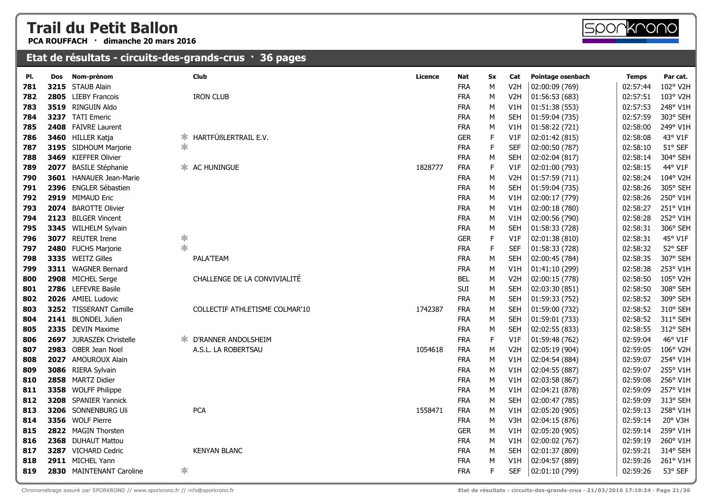**PCA ROUFFACH · dimanche 20 mars 2016**



#### **Etat de résultats - circuits-des-grands-crus · 36 pages**

| PI. | Dos  | Nom-prénom                  |        | Club                           | <b>Licence</b> | <b>Nat</b> | Sx | Cat              | Pointage osenbach | <b>Temps</b> | Par cat. |
|-----|------|-----------------------------|--------|--------------------------------|----------------|------------|----|------------------|-------------------|--------------|----------|
| 781 |      | 3215 STAUB Alain            |        |                                |                | <b>FRA</b> | M  | V <sub>2</sub> H | 02:00:09 (769)    | 02:57:44     | 102° V2H |
| 782 |      | 2805 LIEBY Francois         |        | <b>IRON CLUB</b>               |                | <b>FRA</b> | M  | V <sub>2</sub> H | 01:56:53 (683)    | 02:57:51     | 103° V2H |
| 783 |      | 3519 RINGUIN Aldo           |        |                                |                | <b>FRA</b> | M  | V1H              | 01:51:38(553)     | 02:57:53     | 248° V1H |
| 784 |      | 3237 TATI Emeric            |        |                                |                | <b>FRA</b> | M  | <b>SEH</b>       | 01:59:04 (735)    | 02:57:59     | 303° SEH |
| 785 |      | 2408 FAIVRE Laurent         |        |                                |                | <b>FRA</b> | M  | V1H              | 01:58:22 (721)    | 02:58:00     | 249° V1H |
| 786 |      | 3460 HILLER Katja           | ∗      | HARTFÜßLERTRAIL E.V.           |                | <b>GER</b> | F  | V1F              | 02:01:42 (815)    | 02:58:08     | 43° V1F  |
| 787 |      | 3195 SIDHOUM Marjorie       | $\ast$ |                                |                | <b>FRA</b> | F  | <b>SEF</b>       | 02:00:50 (787)    | 02:58:10     | 51° SEF  |
| 788 |      | 3469 KIEFFER Olivier        |        |                                |                | <b>FRA</b> | M  | <b>SEH</b>       | 02:02:04 (817)    | 02:58:14     | 304° SEH |
| 789 | 2077 | <b>BASILE Stéphanie</b>     |        | <b>* AC HUNINGUE</b>           | 1828777        | <b>FRA</b> | F  | V1F              | 02:01:00 (793)    | 02:58:15     | 44° V1F  |
| 790 |      | 3601 HANAUER Jean-Marie     |        |                                |                | <b>FRA</b> | M  | V <sub>2</sub> H | 01:57:59 (711)    | 02:58:24     | 104° V2H |
| 791 |      | 2396 ENGLER Sébastien       |        |                                |                | <b>FRA</b> | М  | <b>SEH</b>       | 01:59:04 (735)    | 02:58:26     | 305° SEH |
| 792 |      | 2919 MIMAUD Eric            |        |                                |                | <b>FRA</b> | M  | V1H              | 02:00:17 (779)    | 02:58:26     | 250° V1H |
| 793 |      | 2074 BAROTTE Olivier        |        |                                |                | <b>FRA</b> | M  | V1H              | 02:00:18 (780)    | 02:58:27     | 251° V1H |
| 794 |      | 2123 BILGER Vincent         |        |                                |                | <b>FRA</b> | M  | V1H              | 02:00:56 (790)    | 02:58:28     | 252° V1H |
| 795 |      | 3345 WILHELM Sylvain        |        |                                |                | <b>FRA</b> | M  | <b>SEH</b>       | 01:58:33 (728)    | 02:58:31     | 306° SEH |
| 796 |      | 3077 REUTER Irene           | $\ast$ |                                |                | <b>GER</b> | F  | V1F              | 02:01:38 (810)    | 02:58:31     | 45° V1F  |
| 797 |      | 2480 FUCHS Marjorie         | $\ast$ |                                |                | <b>FRA</b> | F  | <b>SEF</b>       | 01:58:33 (728)    | 02:58:32     | 52° SEF  |
| 798 |      | 3335 WEITZ Gilles           |        | PALA'TEAM                      |                | <b>FRA</b> | M  | <b>SEH</b>       | 02:00:45 (784)    | 02:58:35     | 307° SEH |
| 799 |      | 3311 WAGNER Bernard         |        |                                |                | <b>FRA</b> | M  | V1H              | 01:41:10 (299)    | 02:58:38     | 253° V1H |
| 800 |      | 2908 MICHEL Serge           |        | CHALLENGE DE LA CONVIVIALITÉ   |                | <b>BEL</b> | M  | V <sub>2</sub> H | 02:00:15 (778)    | 02:58:50     | 105° V2H |
| 801 |      | 2786 LEFEVRE Basile         |        |                                |                | <b>SUI</b> | M  | <b>SEH</b>       | 02:03:30 (851)    | 02:58:50     | 308° SEH |
| 802 |      | 2026 AMIEL Ludovic          |        |                                |                | <b>FRA</b> | М  | <b>SEH</b>       | 01:59:33 (752)    | 02:58:52     | 309° SEH |
| 803 |      | 3252 TISSERANT Camille      |        | COLLECTIF ATHLETISME COLMAR'10 | 1742387        | <b>FRA</b> | M  | <b>SEH</b>       | 01:59:00 (732)    | 02:58:52     | 310° SEH |
| 804 |      | 2141 BLONDEL Julien         |        |                                |                | <b>FRA</b> | M  | <b>SEH</b>       | 01:59:01 (733)    | 02:58:52     | 311° SEH |
| 805 |      | 2335 DEVIN Maxime           |        |                                |                | <b>FRA</b> | M  | <b>SEH</b>       | 02:02:55 (833)    | 02:58:55     | 312° SEH |
| 806 |      | 2697 JURASZEK Christelle    | Ж.     | D'RANNER ANDOLSHEIM            |                | <b>FRA</b> | F  | V1F              | 01:59:48 (762)    | 02:59:04     | 46° V1F  |
| 807 |      | 2983 OBER Jean Noel         |        | A.S.L. LA ROBERTSAU            | 1054618        | <b>FRA</b> | M  | V <sub>2</sub> H | 02:05:19 (904)    | 02:59:05     | 106° V2H |
| 808 |      | 2027 AMOUROUX Alain         |        |                                |                | <b>FRA</b> | M  | V1H              | 02:04:54 (884)    | 02:59:07     | 254° V1H |
| 809 |      | 3086 RIERA Sylvain          |        |                                |                | <b>FRA</b> | M  | V <sub>1</sub> H | 02:04:55 (887)    | 02:59:07     | 255° V1H |
| 810 |      | 2858 MARTZ Didier           |        |                                |                | <b>FRA</b> | M  | V1H              | 02:03:58 (867)    | 02:59:08     | 256° V1H |
| 811 |      | 3358 WOLFF Philippe         |        |                                |                | <b>FRA</b> | M  | V1H              | 02:04:21 (878)    | 02:59:09     | 257° V1H |
| 812 |      | <b>3208</b> SPANIER Yannick |        |                                |                | <b>FRA</b> | M  | <b>SEH</b>       | 02:00:47 (785)    | 02:59:09     | 313° SEH |
| 813 |      | 3206 SONNENBURG Uli         |        | <b>PCA</b>                     | 1558471        | <b>FRA</b> | M  | V1H              | 02:05:20 (905)    | 02:59:13     | 258° V1H |
| 814 |      | 3356 WOLF Pierre            |        |                                |                | <b>FRA</b> | M  | V <sub>3</sub> H | 02:04:15 (876)    | 02:59:14     | 20° V3H  |
| 815 |      | 2822 MAGIN Thorsten         |        |                                |                | <b>GER</b> | M  | V1H              | 02:05:20 (905)    | 02:59:14     | 259° V1H |
| 816 |      | 2368 DUHAUT Mattou          |        |                                |                | <b>FRA</b> | M  | V1H              | 02:00:02 (767)    | 02:59:19     | 260° V1H |
| 817 |      | 3287 VICHARD Cedric         |        | <b>KENYAN BLANC</b>            |                | <b>FRA</b> | M  | <b>SEH</b>       | 02:01:37 (809)    | 02:59:21     | 314° SEH |
| 818 |      | 2911 MICHEL Yann            |        |                                |                | <b>FRA</b> | M  | V1H              | 02:04:57 (889)    | 02:59:26     | 261° V1H |
| 819 |      | 2830 MAINTENANT Caroline    | ∗      |                                |                | <b>FRA</b> | F  | <b>SEF</b>       | 02:01:10 (799)    | 02:59:26     | 53° SEF  |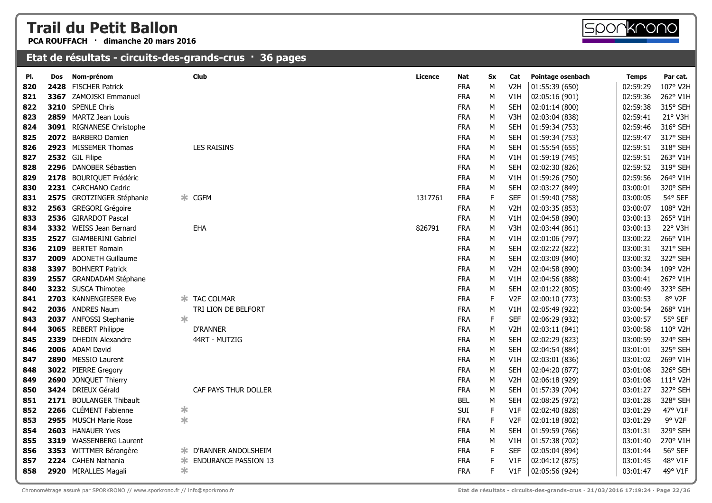**PCA ROUFFACH · dimanche 20 mars 2016**



| PI. | Dos  | Nom-prénom                |        | <b>Club</b>                 | <b>Licence</b> | Nat        | Sx          | Cat              | Pointage osenbach | Temps    | Par cat. |
|-----|------|---------------------------|--------|-----------------------------|----------------|------------|-------------|------------------|-------------------|----------|----------|
| 820 | 2428 | <b>FISCHER Patrick</b>    |        |                             |                | <b>FRA</b> | M           | V <sub>2</sub> H | 01:55:39 (650)    | 02:59:29 | 107° V2H |
| 821 | 3367 | ZAMOJSKI Emmanuel         |        |                             |                | <b>FRA</b> | M           | V1H              | 02:05:16 (901)    | 02:59:36 | 262° V1H |
| 822 |      | 3210 SPENLE Chris         |        |                             |                | <b>FRA</b> | M           | <b>SEH</b>       | 02:01:14 (800)    | 02:59:38 | 315° SEH |
| 823 |      | 2859 MARTZ Jean Louis     |        |                             |                | <b>FRA</b> | M           | V <sub>3</sub> H | 02:03:04 (838)    | 02:59:41 | 21° V3H  |
| 824 |      | 3091 RIGNANESE Christophe |        |                             |                | <b>FRA</b> | M           | <b>SEH</b>       | 01:59:34 (753)    | 02:59:46 | 316° SEH |
| 825 |      | 2072 BARBERO Damien       |        |                             |                | <b>FRA</b> | M           | <b>SEH</b>       | 01:59:34 (753)    | 02:59:47 | 317° SEH |
| 826 |      | 2923 MISSEMER Thomas      |        | <b>LES RAISINS</b>          |                | <b>FRA</b> | M           | <b>SEH</b>       | 01:55:54 (655)    | 02:59:51 | 318° SEH |
| 827 |      | 2532 GIL Filipe           |        |                             |                | <b>FRA</b> | M           | V1H              | 01:59:19 (745)    | 02:59:51 | 263° V1H |
| 828 |      | 2296 DANOBER Sébastien    |        |                             |                | <b>FRA</b> | M           | <b>SEH</b>       | 02:02:30 (826)    | 02:59:52 | 319° SEH |
| 829 | 2178 | <b>BOURIQUET Frédéric</b> |        |                             |                | <b>FRA</b> | M           | V1H              | 01:59:26 (750)    | 02:59:56 | 264° V1H |
| 830 |      | 2231 CARCHANO Cedric      |        |                             |                | <b>FRA</b> | M           | <b>SEH</b>       | 02:03:27 (849)    | 03:00:01 | 320° SEH |
| 831 |      | 2575 GROTZINGER Stéphanie |        | * CGFM                      | 1317761        | <b>FRA</b> | F           | <b>SEF</b>       | 01:59:40 (758)    | 03:00:05 | 54° SEF  |
| 832 | 2563 | <b>GREGORI Grégoire</b>   |        |                             |                | <b>FRA</b> | M           | V <sub>2</sub> H | 02:03:35 (853)    | 03:00:07 | 108° V2H |
| 833 |      | 2536 GIRARDOT Pascal      |        |                             |                | <b>FRA</b> | M           | V1H              | 02:04:58 (890)    | 03:00:13 | 265° V1H |
| 834 |      | 3332 WEISS Jean Bernard   |        | <b>EHA</b>                  | 826791         | <b>FRA</b> | M           | V <sub>3</sub> H | 02:03:44 (861)    | 03:00:13 | 22° V3H  |
| 835 | 2527 | <b>GIAMBERINI Gabriel</b> |        |                             |                | <b>FRA</b> | M           | V1H              | 02:01:06 (797)    | 03:00:22 | 266° V1H |
| 836 | 2109 | <b>BERTET Romain</b>      |        |                             |                | <b>FRA</b> | М           | <b>SEH</b>       | 02:02:22 (822)    | 03:00:31 | 321° SEH |
| 837 |      | 2009 ADONETH Guillaume    |        |                             |                | <b>FRA</b> | M           | <b>SEH</b>       | 02:03:09 (840)    | 03:00:32 | 322° SEH |
| 838 | 3397 | <b>BOHNERT Patrick</b>    |        |                             |                | <b>FRA</b> | M           | V <sub>2</sub> H | 02:04:58 (890)    | 03:00:34 | 109° V2H |
| 839 |      | 2557 GRANDADAM Stéphane   |        |                             |                | <b>FRA</b> | М           | V1H              | 02:04:56 (888)    | 03:00:41 | 267° V1H |
| 840 |      | 3232 SUSCA Thimotee       |        |                             |                | <b>FRA</b> | M           | <b>SEH</b>       | 02:01:22 (805)    | 03:00:49 | 323° SEH |
| 841 |      | 2703 KANNENGIESER Eve     |        | <b>* TAC COLMAR</b>         |                | <b>FRA</b> | $\mathsf F$ | V <sub>2F</sub>  | 02:00:10 (773)    | 03:00:53 | 8° V2F   |
| 842 |      | 2036 ANDRES Naum          |        | TRI LION DE BELFORT         |                | <b>FRA</b> | M           | V1H              | 02:05:49 (922)    | 03:00:54 | 268° V1H |
| 843 |      | 2037 ANFOSSI Stephanie    | $\ast$ |                             |                | <b>FRA</b> | $\mathsf F$ | <b>SEF</b>       | 02:06:29 (932)    | 03:00:57 | 55° SEF  |
| 844 |      | 3065 REBERT Philippe      |        | <b>D'RANNER</b>             |                | <b>FRA</b> | M           | V <sub>2</sub> H | 02:03:11 (841)    | 03:00:58 | 110° V2H |
| 845 | 2339 | <b>DHEDIN Alexandre</b>   |        | 44RT - MUTZIG               |                | <b>FRA</b> | M           | <b>SEH</b>       | 02:02:29 (823)    | 03:00:59 | 324° SEH |
| 846 |      | 2006 ADAM David           |        |                             |                | <b>FRA</b> | M           | <b>SEH</b>       | 02:04:54 (884)    | 03:01:01 | 325° SEH |
| 847 |      | 2890 MESSIO Laurent       |        |                             |                | <b>FRA</b> | M           | V1H              | 02:03:01 (836)    | 03:01:02 | 269° V1H |
| 848 |      | 3022 PIERRE Gregory       |        |                             |                | <b>FRA</b> | M           | <b>SEH</b>       | 02:04:20 (877)    | 03:01:08 | 326° SEH |
| 849 |      | 2690 JONQUET Thierry      |        |                             |                | <b>FRA</b> | M           | V <sub>2</sub> H | 02:06:18 (929)    | 03:01:08 | 111° V2H |
| 850 |      | 3424 DRIEUX Gérald        |        | CAF PAYS THUR DOLLER        |                | <b>FRA</b> | M           | <b>SEH</b>       | 01:57:39 (704)    | 03:01:27 | 327° SEH |
| 851 | 2171 | <b>BOULANGER Thibault</b> |        |                             |                | <b>BEL</b> | M           | <b>SEH</b>       | 02:08:25 (972)    | 03:01:28 | 328° SEH |
| 852 |      | 2266 CLÉMENT Fabienne     | ∗      |                             |                | SUI        | F           | V1F              | 02:02:40 (828)    | 03:01:29 | 47° V1F  |
| 853 |      | 2955 MUSCH Marie Rose     | $\ast$ |                             |                | <b>FRA</b> | $\mathsf F$ | V <sub>2F</sub>  | 02:01:18 (802)    | 03:01:29 | 9° V2F   |
| 854 |      | 2603 HANAUER Yves         |        |                             |                | <b>FRA</b> | M           | <b>SEH</b>       | 01:59:59 (766)    | 03:01:31 | 329° SEH |
| 855 |      | 3319 WASSENBERG Laurent   |        |                             |                | <b>FRA</b> | M           | V1H              | 01:57:38 (702)    | 03:01:40 | 270° V1H |
| 856 |      | 3353 WITTMER Bérangère    | ∗      | D'RANNER ANDOLSHEIM         |                | <b>FRA</b> | F           | <b>SEF</b>       | 02:05:04 (894)    | 03:01:44 | 56° SEF  |
| 857 |      | 2224 CAHEN Nathania       | ∗      | <b>ENDURANCE PASSION 13</b> |                | <b>FRA</b> | F           | V1F              | 02:04:12 (875)    | 03:01:45 | 48° V1F  |
| 858 |      | 2920 MIRALLES Magali      | $\ast$ |                             |                | <b>FRA</b> | F           | V1F              | 02:05:56 (924)    | 03:01:47 | 49° V1F  |
|     |      |                           |        |                             |                |            |             |                  |                   |          |          |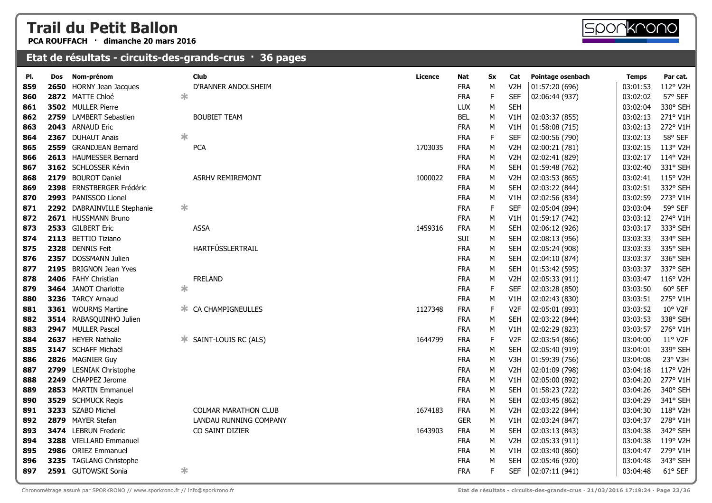**PCA ROUFFACH · dimanche 20 mars 2016**

#### **Etat de résultats - circuits-des-grands-crus · 36 pages**

| 2650 HORNY Jean Jacques<br>V <sub>2</sub> H<br>D'RANNER ANDOLSHEIM<br><b>FRA</b><br>М<br>01:57:20 (696)<br>03:01:53<br>859<br>*<br>2872 MATTE Chloé<br>F<br><b>SEF</b><br>03:02:02<br><b>FRA</b><br>02:06:44 (937)<br>860<br>3502 MULLER Pierre<br><b>SEH</b><br><b>LUX</b><br>M<br>03:02:04<br>861<br>2759 LAMBERT Sebastien<br><b>BEL</b><br><b>BOUBIET TEAM</b><br>М<br>V1H<br>02:03:37 (855)<br>03:02:13<br>862<br><b>FRA</b><br>2043 ARNAUD Eric<br>V1H<br>01:58:08 (715)<br>03:02:13<br>863<br>M<br>*<br>$\mathsf F$<br>2367 DUHAUT Anaïs<br><b>FRA</b><br><b>SEF</b><br>03:02:13<br>864<br>02:00:56 (790)<br>2559 GRANDJEAN Bernard<br><b>PCA</b><br>1703035<br><b>FRA</b><br>M<br>V <sub>2</sub> H<br>02:00:21 (781)<br>03:02:15<br>865<br>2613 HAUMESSER Bernard<br><b>FRA</b><br>М<br>V <sub>2</sub> H<br>02:02:41 (829)<br>03:02:17<br>866<br>3162 SCHLOSSER Kévin<br><b>FRA</b><br>M<br><b>SEH</b><br>01:59:48 (762)<br>03:02:40<br>867<br>2179 BOUROT Daniel<br><b>FRA</b><br><b>ASRHV REMIREMONT</b><br>1000022<br>M<br>V <sub>2</sub> H<br>02:03:53 (865)<br>03:02:41<br>868<br>2398<br>ERNSTBERGER Frédéric<br><b>FRA</b><br>M<br><b>SEH</b><br>02:03:22 (844)<br>03:02:51<br>869<br>2993 PANISSOD Lionel<br><b>FRA</b><br>M<br>V1H<br>02:02:56 (834)<br>03:02:59<br>870<br>$\ast$<br>F<br>2292 DABRAINVILLE Stephanie<br><b>FRA</b><br><b>SEF</b><br>03:03:04<br>02:05:04 (894)<br>871<br>2671 HUSSMANN Bruno<br><b>FRA</b><br>M<br>V1H<br>01:59:17 (742)<br>03:03:12<br>872<br>2533 GILBERT Eric<br><b>FRA</b><br><b>ASSA</b><br>1459316<br>M<br><b>SEH</b><br>03:03:17<br>873<br>02:06:12 (926)<br>2113 BETTIO Tiziano<br><b>SUI</b><br><b>SEH</b><br>M<br>02:08:13 (956)<br>03:03:33<br>874<br>HARTFÜSSLERTRAIL<br>2328<br><b>DENNIS Feit</b><br><b>FRA</b><br>M<br><b>SEH</b><br>02:05:24 (908)<br>03:03:33<br>875<br>2357 DOSSMANN Julien<br><b>FRA</b><br>M<br><b>SEH</b><br>336° SEH<br>876<br>02:04:10 (874)<br>03:03:37<br><b>BRIGNON Jean Yves</b><br><b>FRA</b><br>337° SEH<br>2195<br>M<br><b>SEH</b><br>01:53:42 (595)<br>03:03:37<br>877<br>2406 FAHY Christian<br><b>FRELAND</b><br><b>FRA</b><br>M<br>V <sub>2</sub> H<br>02:05:33 (911)<br>03:03:47<br>878<br>$\ast$<br><b>FRA</b><br>$\mathsf F$<br>60° SEF<br>3464 JANOT Charlotte<br><b>SEF</b><br>02:03:28 (850)<br>03:03:50<br>879<br>3236 TARCY Arnaud<br><b>FRA</b><br>275° V1H<br>M<br>V1H<br>02:02:43 (830)<br>03:03:51<br>880<br>F<br>10° V2F<br>3361 WOURMS Martine<br>CA CHAMPIGNEULLES<br><b>FRA</b><br>V <sub>2F</sub><br>03:03:52<br>881<br>1127348<br>02:05:01 (893)<br>Ж.<br>3514 RABASQUINHO Julien<br><b>FRA</b><br>M<br><b>SEH</b><br>03:03:53<br>338° SEH<br>882<br>02:03:22 (844)<br>2947 MULLER Pascal<br><b>FRA</b><br>03:03:57<br>276° V1H<br>883<br>М<br>V1H<br>02:02:29 (823)<br>F<br>11° V2F<br>2637 HEYER Nathalie<br>SAINT-LOUIS RC (ALS)<br>1644799<br><b>FRA</b><br>V <sub>2F</sub><br>02:03:54 (866)<br>03:04:00<br>884<br>ж<br>3147 SCHAFF Michaël<br><b>FRA</b><br><b>SEH</b><br>339° SEH<br>885<br>M<br>02:05:40 (919)<br>03:04:01<br>2826 MAGNIER Guy<br><b>FRA</b><br>23° V3H<br>M<br>V3H<br>01:59:39 (756)<br>03:04:08<br>886<br>117° V2H<br>2799 LESNIAK Christophe<br><b>FRA</b><br>M<br>03:04:18<br>V <sub>2</sub> H<br>02:01:09 (798)<br>887<br>2249 CHAPPEZ Jerome<br><b>FRA</b><br>M<br>V1H<br>03:04:20<br>277° V1H<br>888<br>02:05:00 (892)<br><b>FRA</b><br>340° SEH<br>2853 MARTIN Emmanuel<br>M<br><b>SEH</b><br>01:58:23 (722)<br>03:04:26<br>889<br>341° SEH<br>3529 SCHMUCK Regis<br><b>FRA</b><br>M<br><b>SEH</b><br>03:04:29<br>890<br>02:03:45 (862)<br>3233 SZABO Michel<br><b>FRA</b><br>118° V2H<br><b>COLMAR MARATHON CLUB</b><br>1674183<br>М<br>V <sub>2</sub> H<br>02:03:22 (844)<br>03:04:30<br>891<br>2879 MAYER Stefan<br>278° V1H<br>LANDAU RUNNING COMPANY<br><b>GER</b><br>V1H<br>02:03:24 (847)<br>03:04:37<br>892<br>М<br>342° SEH<br>3474 LEBRUN Frederic<br>1643903<br><b>FRA</b><br>M<br><b>SEH</b><br>03:04:38<br>893<br>CO SAINT DIZIER<br>02:03:13 (843)<br>3288 VIELLARD Emmanuel<br><b>FRA</b><br>M<br>119° V2H<br>V <sub>2</sub> H<br>02:05:33 (911)<br>03:04:38<br>894<br>2986 ORIEZ Emmanuel<br><b>FRA</b><br>279° V1H<br>M<br>V <sub>1</sub> H<br>02:03:40 (860)<br>03:04:47<br>895<br>3235 TAGLANG Christophe<br><b>FRA</b><br>M<br>03:04:48<br>343° SEH<br><b>SEH</b><br>02:05:46 (920)<br>896<br>2591 GUTOWSKI Sonia<br>∗<br>F.<br>61° SEF<br><b>FRA</b><br><b>SEF</b><br>02:07:11 (941)<br>03:04:48<br>897 | PI. | Dos | Nom-prénom | <b>Club</b> | Licence | <b>Nat</b> | Sx | Cat | Pointage osenbach | <b>Temps</b> | Par cat. |
|------------------------------------------------------------------------------------------------------------------------------------------------------------------------------------------------------------------------------------------------------------------------------------------------------------------------------------------------------------------------------------------------------------------------------------------------------------------------------------------------------------------------------------------------------------------------------------------------------------------------------------------------------------------------------------------------------------------------------------------------------------------------------------------------------------------------------------------------------------------------------------------------------------------------------------------------------------------------------------------------------------------------------------------------------------------------------------------------------------------------------------------------------------------------------------------------------------------------------------------------------------------------------------------------------------------------------------------------------------------------------------------------------------------------------------------------------------------------------------------------------------------------------------------------------------------------------------------------------------------------------------------------------------------------------------------------------------------------------------------------------------------------------------------------------------------------------------------------------------------------------------------------------------------------------------------------------------------------------------------------------------------------------------------------------------------------------------------------------------------------------------------------------------------------------------------------------------------------------------------------------------------------------------------------------------------------------------------------------------------------------------------------------------------------------------------------------------------------------------------------------------------------------------------------------------------------------------------------------------------------------------------------------------------------------------------------------------------------------------------------------------------------------------------------------------------------------------------------------------------------------------------------------------------------------------------------------------------------------------------------------------------------------------------------------------------------------------------------------------------------------------------------------------------------------------------------------------------------------------------------------------------------------------------------------------------------------------------------------------------------------------------------------------------------------------------------------------------------------------------------------------------------------------------------------------------------------------------------------------------------------------------------------------------------------------------------------------------------------------------------------------------------------------------------------------------------------------------------------------------------------------------------------------------------------------------------------------------------------------------------------------------------------------------------------------------------------------------------------------------------------------------------------------------------------------------------------------------------------------------------------------------------------------------------------------------------------------------------------------------------------------------------------------------------------------------------------------------------------------|-----|-----|------------|-------------|---------|------------|----|-----|-------------------|--------------|----------|
|                                                                                                                                                                                                                                                                                                                                                                                                                                                                                                                                                                                                                                                                                                                                                                                                                                                                                                                                                                                                                                                                                                                                                                                                                                                                                                                                                                                                                                                                                                                                                                                                                                                                                                                                                                                                                                                                                                                                                                                                                                                                                                                                                                                                                                                                                                                                                                                                                                                                                                                                                                                                                                                                                                                                                                                                                                                                                                                                                                                                                                                                                                                                                                                                                                                                                                                                                                                                                                                                                                                                                                                                                                                                                                                                                                                                                                                                                                                                                                                                                                                                                                                                                                                                                                                                                                                                                                                                                                                                                    |     |     |            |             |         |            |    |     |                   |              | 112° V2H |
|                                                                                                                                                                                                                                                                                                                                                                                                                                                                                                                                                                                                                                                                                                                                                                                                                                                                                                                                                                                                                                                                                                                                                                                                                                                                                                                                                                                                                                                                                                                                                                                                                                                                                                                                                                                                                                                                                                                                                                                                                                                                                                                                                                                                                                                                                                                                                                                                                                                                                                                                                                                                                                                                                                                                                                                                                                                                                                                                                                                                                                                                                                                                                                                                                                                                                                                                                                                                                                                                                                                                                                                                                                                                                                                                                                                                                                                                                                                                                                                                                                                                                                                                                                                                                                                                                                                                                                                                                                                                                    |     |     |            |             |         |            |    |     |                   |              | 57° SEF  |
|                                                                                                                                                                                                                                                                                                                                                                                                                                                                                                                                                                                                                                                                                                                                                                                                                                                                                                                                                                                                                                                                                                                                                                                                                                                                                                                                                                                                                                                                                                                                                                                                                                                                                                                                                                                                                                                                                                                                                                                                                                                                                                                                                                                                                                                                                                                                                                                                                                                                                                                                                                                                                                                                                                                                                                                                                                                                                                                                                                                                                                                                                                                                                                                                                                                                                                                                                                                                                                                                                                                                                                                                                                                                                                                                                                                                                                                                                                                                                                                                                                                                                                                                                                                                                                                                                                                                                                                                                                                                                    |     |     |            |             |         |            |    |     |                   |              | 330° SEH |
|                                                                                                                                                                                                                                                                                                                                                                                                                                                                                                                                                                                                                                                                                                                                                                                                                                                                                                                                                                                                                                                                                                                                                                                                                                                                                                                                                                                                                                                                                                                                                                                                                                                                                                                                                                                                                                                                                                                                                                                                                                                                                                                                                                                                                                                                                                                                                                                                                                                                                                                                                                                                                                                                                                                                                                                                                                                                                                                                                                                                                                                                                                                                                                                                                                                                                                                                                                                                                                                                                                                                                                                                                                                                                                                                                                                                                                                                                                                                                                                                                                                                                                                                                                                                                                                                                                                                                                                                                                                                                    |     |     |            |             |         |            |    |     |                   |              | 271° V1H |
|                                                                                                                                                                                                                                                                                                                                                                                                                                                                                                                                                                                                                                                                                                                                                                                                                                                                                                                                                                                                                                                                                                                                                                                                                                                                                                                                                                                                                                                                                                                                                                                                                                                                                                                                                                                                                                                                                                                                                                                                                                                                                                                                                                                                                                                                                                                                                                                                                                                                                                                                                                                                                                                                                                                                                                                                                                                                                                                                                                                                                                                                                                                                                                                                                                                                                                                                                                                                                                                                                                                                                                                                                                                                                                                                                                                                                                                                                                                                                                                                                                                                                                                                                                                                                                                                                                                                                                                                                                                                                    |     |     |            |             |         |            |    |     |                   |              | 272° V1H |
|                                                                                                                                                                                                                                                                                                                                                                                                                                                                                                                                                                                                                                                                                                                                                                                                                                                                                                                                                                                                                                                                                                                                                                                                                                                                                                                                                                                                                                                                                                                                                                                                                                                                                                                                                                                                                                                                                                                                                                                                                                                                                                                                                                                                                                                                                                                                                                                                                                                                                                                                                                                                                                                                                                                                                                                                                                                                                                                                                                                                                                                                                                                                                                                                                                                                                                                                                                                                                                                                                                                                                                                                                                                                                                                                                                                                                                                                                                                                                                                                                                                                                                                                                                                                                                                                                                                                                                                                                                                                                    |     |     |            |             |         |            |    |     |                   |              | 58° SEF  |
|                                                                                                                                                                                                                                                                                                                                                                                                                                                                                                                                                                                                                                                                                                                                                                                                                                                                                                                                                                                                                                                                                                                                                                                                                                                                                                                                                                                                                                                                                                                                                                                                                                                                                                                                                                                                                                                                                                                                                                                                                                                                                                                                                                                                                                                                                                                                                                                                                                                                                                                                                                                                                                                                                                                                                                                                                                                                                                                                                                                                                                                                                                                                                                                                                                                                                                                                                                                                                                                                                                                                                                                                                                                                                                                                                                                                                                                                                                                                                                                                                                                                                                                                                                                                                                                                                                                                                                                                                                                                                    |     |     |            |             |         |            |    |     |                   |              | 113° V2H |
|                                                                                                                                                                                                                                                                                                                                                                                                                                                                                                                                                                                                                                                                                                                                                                                                                                                                                                                                                                                                                                                                                                                                                                                                                                                                                                                                                                                                                                                                                                                                                                                                                                                                                                                                                                                                                                                                                                                                                                                                                                                                                                                                                                                                                                                                                                                                                                                                                                                                                                                                                                                                                                                                                                                                                                                                                                                                                                                                                                                                                                                                                                                                                                                                                                                                                                                                                                                                                                                                                                                                                                                                                                                                                                                                                                                                                                                                                                                                                                                                                                                                                                                                                                                                                                                                                                                                                                                                                                                                                    |     |     |            |             |         |            |    |     |                   |              | 114° V2H |
|                                                                                                                                                                                                                                                                                                                                                                                                                                                                                                                                                                                                                                                                                                                                                                                                                                                                                                                                                                                                                                                                                                                                                                                                                                                                                                                                                                                                                                                                                                                                                                                                                                                                                                                                                                                                                                                                                                                                                                                                                                                                                                                                                                                                                                                                                                                                                                                                                                                                                                                                                                                                                                                                                                                                                                                                                                                                                                                                                                                                                                                                                                                                                                                                                                                                                                                                                                                                                                                                                                                                                                                                                                                                                                                                                                                                                                                                                                                                                                                                                                                                                                                                                                                                                                                                                                                                                                                                                                                                                    |     |     |            |             |         |            |    |     |                   |              | 331° SEH |
|                                                                                                                                                                                                                                                                                                                                                                                                                                                                                                                                                                                                                                                                                                                                                                                                                                                                                                                                                                                                                                                                                                                                                                                                                                                                                                                                                                                                                                                                                                                                                                                                                                                                                                                                                                                                                                                                                                                                                                                                                                                                                                                                                                                                                                                                                                                                                                                                                                                                                                                                                                                                                                                                                                                                                                                                                                                                                                                                                                                                                                                                                                                                                                                                                                                                                                                                                                                                                                                                                                                                                                                                                                                                                                                                                                                                                                                                                                                                                                                                                                                                                                                                                                                                                                                                                                                                                                                                                                                                                    |     |     |            |             |         |            |    |     |                   |              | 115° V2H |
|                                                                                                                                                                                                                                                                                                                                                                                                                                                                                                                                                                                                                                                                                                                                                                                                                                                                                                                                                                                                                                                                                                                                                                                                                                                                                                                                                                                                                                                                                                                                                                                                                                                                                                                                                                                                                                                                                                                                                                                                                                                                                                                                                                                                                                                                                                                                                                                                                                                                                                                                                                                                                                                                                                                                                                                                                                                                                                                                                                                                                                                                                                                                                                                                                                                                                                                                                                                                                                                                                                                                                                                                                                                                                                                                                                                                                                                                                                                                                                                                                                                                                                                                                                                                                                                                                                                                                                                                                                                                                    |     |     |            |             |         |            |    |     |                   |              | 332° SEH |
|                                                                                                                                                                                                                                                                                                                                                                                                                                                                                                                                                                                                                                                                                                                                                                                                                                                                                                                                                                                                                                                                                                                                                                                                                                                                                                                                                                                                                                                                                                                                                                                                                                                                                                                                                                                                                                                                                                                                                                                                                                                                                                                                                                                                                                                                                                                                                                                                                                                                                                                                                                                                                                                                                                                                                                                                                                                                                                                                                                                                                                                                                                                                                                                                                                                                                                                                                                                                                                                                                                                                                                                                                                                                                                                                                                                                                                                                                                                                                                                                                                                                                                                                                                                                                                                                                                                                                                                                                                                                                    |     |     |            |             |         |            |    |     |                   |              | 273° V1H |
|                                                                                                                                                                                                                                                                                                                                                                                                                                                                                                                                                                                                                                                                                                                                                                                                                                                                                                                                                                                                                                                                                                                                                                                                                                                                                                                                                                                                                                                                                                                                                                                                                                                                                                                                                                                                                                                                                                                                                                                                                                                                                                                                                                                                                                                                                                                                                                                                                                                                                                                                                                                                                                                                                                                                                                                                                                                                                                                                                                                                                                                                                                                                                                                                                                                                                                                                                                                                                                                                                                                                                                                                                                                                                                                                                                                                                                                                                                                                                                                                                                                                                                                                                                                                                                                                                                                                                                                                                                                                                    |     |     |            |             |         |            |    |     |                   |              | 59° SEF  |
|                                                                                                                                                                                                                                                                                                                                                                                                                                                                                                                                                                                                                                                                                                                                                                                                                                                                                                                                                                                                                                                                                                                                                                                                                                                                                                                                                                                                                                                                                                                                                                                                                                                                                                                                                                                                                                                                                                                                                                                                                                                                                                                                                                                                                                                                                                                                                                                                                                                                                                                                                                                                                                                                                                                                                                                                                                                                                                                                                                                                                                                                                                                                                                                                                                                                                                                                                                                                                                                                                                                                                                                                                                                                                                                                                                                                                                                                                                                                                                                                                                                                                                                                                                                                                                                                                                                                                                                                                                                                                    |     |     |            |             |         |            |    |     |                   |              | 274° V1H |
|                                                                                                                                                                                                                                                                                                                                                                                                                                                                                                                                                                                                                                                                                                                                                                                                                                                                                                                                                                                                                                                                                                                                                                                                                                                                                                                                                                                                                                                                                                                                                                                                                                                                                                                                                                                                                                                                                                                                                                                                                                                                                                                                                                                                                                                                                                                                                                                                                                                                                                                                                                                                                                                                                                                                                                                                                                                                                                                                                                                                                                                                                                                                                                                                                                                                                                                                                                                                                                                                                                                                                                                                                                                                                                                                                                                                                                                                                                                                                                                                                                                                                                                                                                                                                                                                                                                                                                                                                                                                                    |     |     |            |             |         |            |    |     |                   |              | 333° SEH |
|                                                                                                                                                                                                                                                                                                                                                                                                                                                                                                                                                                                                                                                                                                                                                                                                                                                                                                                                                                                                                                                                                                                                                                                                                                                                                                                                                                                                                                                                                                                                                                                                                                                                                                                                                                                                                                                                                                                                                                                                                                                                                                                                                                                                                                                                                                                                                                                                                                                                                                                                                                                                                                                                                                                                                                                                                                                                                                                                                                                                                                                                                                                                                                                                                                                                                                                                                                                                                                                                                                                                                                                                                                                                                                                                                                                                                                                                                                                                                                                                                                                                                                                                                                                                                                                                                                                                                                                                                                                                                    |     |     |            |             |         |            |    |     |                   |              | 334° SEH |
|                                                                                                                                                                                                                                                                                                                                                                                                                                                                                                                                                                                                                                                                                                                                                                                                                                                                                                                                                                                                                                                                                                                                                                                                                                                                                                                                                                                                                                                                                                                                                                                                                                                                                                                                                                                                                                                                                                                                                                                                                                                                                                                                                                                                                                                                                                                                                                                                                                                                                                                                                                                                                                                                                                                                                                                                                                                                                                                                                                                                                                                                                                                                                                                                                                                                                                                                                                                                                                                                                                                                                                                                                                                                                                                                                                                                                                                                                                                                                                                                                                                                                                                                                                                                                                                                                                                                                                                                                                                                                    |     |     |            |             |         |            |    |     |                   |              | 335° SEH |
|                                                                                                                                                                                                                                                                                                                                                                                                                                                                                                                                                                                                                                                                                                                                                                                                                                                                                                                                                                                                                                                                                                                                                                                                                                                                                                                                                                                                                                                                                                                                                                                                                                                                                                                                                                                                                                                                                                                                                                                                                                                                                                                                                                                                                                                                                                                                                                                                                                                                                                                                                                                                                                                                                                                                                                                                                                                                                                                                                                                                                                                                                                                                                                                                                                                                                                                                                                                                                                                                                                                                                                                                                                                                                                                                                                                                                                                                                                                                                                                                                                                                                                                                                                                                                                                                                                                                                                                                                                                                                    |     |     |            |             |         |            |    |     |                   |              |          |
|                                                                                                                                                                                                                                                                                                                                                                                                                                                                                                                                                                                                                                                                                                                                                                                                                                                                                                                                                                                                                                                                                                                                                                                                                                                                                                                                                                                                                                                                                                                                                                                                                                                                                                                                                                                                                                                                                                                                                                                                                                                                                                                                                                                                                                                                                                                                                                                                                                                                                                                                                                                                                                                                                                                                                                                                                                                                                                                                                                                                                                                                                                                                                                                                                                                                                                                                                                                                                                                                                                                                                                                                                                                                                                                                                                                                                                                                                                                                                                                                                                                                                                                                                                                                                                                                                                                                                                                                                                                                                    |     |     |            |             |         |            |    |     |                   |              |          |
|                                                                                                                                                                                                                                                                                                                                                                                                                                                                                                                                                                                                                                                                                                                                                                                                                                                                                                                                                                                                                                                                                                                                                                                                                                                                                                                                                                                                                                                                                                                                                                                                                                                                                                                                                                                                                                                                                                                                                                                                                                                                                                                                                                                                                                                                                                                                                                                                                                                                                                                                                                                                                                                                                                                                                                                                                                                                                                                                                                                                                                                                                                                                                                                                                                                                                                                                                                                                                                                                                                                                                                                                                                                                                                                                                                                                                                                                                                                                                                                                                                                                                                                                                                                                                                                                                                                                                                                                                                                                                    |     |     |            |             |         |            |    |     |                   |              | 116° V2H |
|                                                                                                                                                                                                                                                                                                                                                                                                                                                                                                                                                                                                                                                                                                                                                                                                                                                                                                                                                                                                                                                                                                                                                                                                                                                                                                                                                                                                                                                                                                                                                                                                                                                                                                                                                                                                                                                                                                                                                                                                                                                                                                                                                                                                                                                                                                                                                                                                                                                                                                                                                                                                                                                                                                                                                                                                                                                                                                                                                                                                                                                                                                                                                                                                                                                                                                                                                                                                                                                                                                                                                                                                                                                                                                                                                                                                                                                                                                                                                                                                                                                                                                                                                                                                                                                                                                                                                                                                                                                                                    |     |     |            |             |         |            |    |     |                   |              |          |
|                                                                                                                                                                                                                                                                                                                                                                                                                                                                                                                                                                                                                                                                                                                                                                                                                                                                                                                                                                                                                                                                                                                                                                                                                                                                                                                                                                                                                                                                                                                                                                                                                                                                                                                                                                                                                                                                                                                                                                                                                                                                                                                                                                                                                                                                                                                                                                                                                                                                                                                                                                                                                                                                                                                                                                                                                                                                                                                                                                                                                                                                                                                                                                                                                                                                                                                                                                                                                                                                                                                                                                                                                                                                                                                                                                                                                                                                                                                                                                                                                                                                                                                                                                                                                                                                                                                                                                                                                                                                                    |     |     |            |             |         |            |    |     |                   |              |          |
|                                                                                                                                                                                                                                                                                                                                                                                                                                                                                                                                                                                                                                                                                                                                                                                                                                                                                                                                                                                                                                                                                                                                                                                                                                                                                                                                                                                                                                                                                                                                                                                                                                                                                                                                                                                                                                                                                                                                                                                                                                                                                                                                                                                                                                                                                                                                                                                                                                                                                                                                                                                                                                                                                                                                                                                                                                                                                                                                                                                                                                                                                                                                                                                                                                                                                                                                                                                                                                                                                                                                                                                                                                                                                                                                                                                                                                                                                                                                                                                                                                                                                                                                                                                                                                                                                                                                                                                                                                                                                    |     |     |            |             |         |            |    |     |                   |              |          |
|                                                                                                                                                                                                                                                                                                                                                                                                                                                                                                                                                                                                                                                                                                                                                                                                                                                                                                                                                                                                                                                                                                                                                                                                                                                                                                                                                                                                                                                                                                                                                                                                                                                                                                                                                                                                                                                                                                                                                                                                                                                                                                                                                                                                                                                                                                                                                                                                                                                                                                                                                                                                                                                                                                                                                                                                                                                                                                                                                                                                                                                                                                                                                                                                                                                                                                                                                                                                                                                                                                                                                                                                                                                                                                                                                                                                                                                                                                                                                                                                                                                                                                                                                                                                                                                                                                                                                                                                                                                                                    |     |     |            |             |         |            |    |     |                   |              |          |
|                                                                                                                                                                                                                                                                                                                                                                                                                                                                                                                                                                                                                                                                                                                                                                                                                                                                                                                                                                                                                                                                                                                                                                                                                                                                                                                                                                                                                                                                                                                                                                                                                                                                                                                                                                                                                                                                                                                                                                                                                                                                                                                                                                                                                                                                                                                                                                                                                                                                                                                                                                                                                                                                                                                                                                                                                                                                                                                                                                                                                                                                                                                                                                                                                                                                                                                                                                                                                                                                                                                                                                                                                                                                                                                                                                                                                                                                                                                                                                                                                                                                                                                                                                                                                                                                                                                                                                                                                                                                                    |     |     |            |             |         |            |    |     |                   |              |          |
|                                                                                                                                                                                                                                                                                                                                                                                                                                                                                                                                                                                                                                                                                                                                                                                                                                                                                                                                                                                                                                                                                                                                                                                                                                                                                                                                                                                                                                                                                                                                                                                                                                                                                                                                                                                                                                                                                                                                                                                                                                                                                                                                                                                                                                                                                                                                                                                                                                                                                                                                                                                                                                                                                                                                                                                                                                                                                                                                                                                                                                                                                                                                                                                                                                                                                                                                                                                                                                                                                                                                                                                                                                                                                                                                                                                                                                                                                                                                                                                                                                                                                                                                                                                                                                                                                                                                                                                                                                                                                    |     |     |            |             |         |            |    |     |                   |              |          |
|                                                                                                                                                                                                                                                                                                                                                                                                                                                                                                                                                                                                                                                                                                                                                                                                                                                                                                                                                                                                                                                                                                                                                                                                                                                                                                                                                                                                                                                                                                                                                                                                                                                                                                                                                                                                                                                                                                                                                                                                                                                                                                                                                                                                                                                                                                                                                                                                                                                                                                                                                                                                                                                                                                                                                                                                                                                                                                                                                                                                                                                                                                                                                                                                                                                                                                                                                                                                                                                                                                                                                                                                                                                                                                                                                                                                                                                                                                                                                                                                                                                                                                                                                                                                                                                                                                                                                                                                                                                                                    |     |     |            |             |         |            |    |     |                   |              |          |
|                                                                                                                                                                                                                                                                                                                                                                                                                                                                                                                                                                                                                                                                                                                                                                                                                                                                                                                                                                                                                                                                                                                                                                                                                                                                                                                                                                                                                                                                                                                                                                                                                                                                                                                                                                                                                                                                                                                                                                                                                                                                                                                                                                                                                                                                                                                                                                                                                                                                                                                                                                                                                                                                                                                                                                                                                                                                                                                                                                                                                                                                                                                                                                                                                                                                                                                                                                                                                                                                                                                                                                                                                                                                                                                                                                                                                                                                                                                                                                                                                                                                                                                                                                                                                                                                                                                                                                                                                                                                                    |     |     |            |             |         |            |    |     |                   |              |          |
|                                                                                                                                                                                                                                                                                                                                                                                                                                                                                                                                                                                                                                                                                                                                                                                                                                                                                                                                                                                                                                                                                                                                                                                                                                                                                                                                                                                                                                                                                                                                                                                                                                                                                                                                                                                                                                                                                                                                                                                                                                                                                                                                                                                                                                                                                                                                                                                                                                                                                                                                                                                                                                                                                                                                                                                                                                                                                                                                                                                                                                                                                                                                                                                                                                                                                                                                                                                                                                                                                                                                                                                                                                                                                                                                                                                                                                                                                                                                                                                                                                                                                                                                                                                                                                                                                                                                                                                                                                                                                    |     |     |            |             |         |            |    |     |                   |              |          |
|                                                                                                                                                                                                                                                                                                                                                                                                                                                                                                                                                                                                                                                                                                                                                                                                                                                                                                                                                                                                                                                                                                                                                                                                                                                                                                                                                                                                                                                                                                                                                                                                                                                                                                                                                                                                                                                                                                                                                                                                                                                                                                                                                                                                                                                                                                                                                                                                                                                                                                                                                                                                                                                                                                                                                                                                                                                                                                                                                                                                                                                                                                                                                                                                                                                                                                                                                                                                                                                                                                                                                                                                                                                                                                                                                                                                                                                                                                                                                                                                                                                                                                                                                                                                                                                                                                                                                                                                                                                                                    |     |     |            |             |         |            |    |     |                   |              |          |
|                                                                                                                                                                                                                                                                                                                                                                                                                                                                                                                                                                                                                                                                                                                                                                                                                                                                                                                                                                                                                                                                                                                                                                                                                                                                                                                                                                                                                                                                                                                                                                                                                                                                                                                                                                                                                                                                                                                                                                                                                                                                                                                                                                                                                                                                                                                                                                                                                                                                                                                                                                                                                                                                                                                                                                                                                                                                                                                                                                                                                                                                                                                                                                                                                                                                                                                                                                                                                                                                                                                                                                                                                                                                                                                                                                                                                                                                                                                                                                                                                                                                                                                                                                                                                                                                                                                                                                                                                                                                                    |     |     |            |             |         |            |    |     |                   |              |          |
|                                                                                                                                                                                                                                                                                                                                                                                                                                                                                                                                                                                                                                                                                                                                                                                                                                                                                                                                                                                                                                                                                                                                                                                                                                                                                                                                                                                                                                                                                                                                                                                                                                                                                                                                                                                                                                                                                                                                                                                                                                                                                                                                                                                                                                                                                                                                                                                                                                                                                                                                                                                                                                                                                                                                                                                                                                                                                                                                                                                                                                                                                                                                                                                                                                                                                                                                                                                                                                                                                                                                                                                                                                                                                                                                                                                                                                                                                                                                                                                                                                                                                                                                                                                                                                                                                                                                                                                                                                                                                    |     |     |            |             |         |            |    |     |                   |              |          |
|                                                                                                                                                                                                                                                                                                                                                                                                                                                                                                                                                                                                                                                                                                                                                                                                                                                                                                                                                                                                                                                                                                                                                                                                                                                                                                                                                                                                                                                                                                                                                                                                                                                                                                                                                                                                                                                                                                                                                                                                                                                                                                                                                                                                                                                                                                                                                                                                                                                                                                                                                                                                                                                                                                                                                                                                                                                                                                                                                                                                                                                                                                                                                                                                                                                                                                                                                                                                                                                                                                                                                                                                                                                                                                                                                                                                                                                                                                                                                                                                                                                                                                                                                                                                                                                                                                                                                                                                                                                                                    |     |     |            |             |         |            |    |     |                   |              |          |
|                                                                                                                                                                                                                                                                                                                                                                                                                                                                                                                                                                                                                                                                                                                                                                                                                                                                                                                                                                                                                                                                                                                                                                                                                                                                                                                                                                                                                                                                                                                                                                                                                                                                                                                                                                                                                                                                                                                                                                                                                                                                                                                                                                                                                                                                                                                                                                                                                                                                                                                                                                                                                                                                                                                                                                                                                                                                                                                                                                                                                                                                                                                                                                                                                                                                                                                                                                                                                                                                                                                                                                                                                                                                                                                                                                                                                                                                                                                                                                                                                                                                                                                                                                                                                                                                                                                                                                                                                                                                                    |     |     |            |             |         |            |    |     |                   |              |          |
|                                                                                                                                                                                                                                                                                                                                                                                                                                                                                                                                                                                                                                                                                                                                                                                                                                                                                                                                                                                                                                                                                                                                                                                                                                                                                                                                                                                                                                                                                                                                                                                                                                                                                                                                                                                                                                                                                                                                                                                                                                                                                                                                                                                                                                                                                                                                                                                                                                                                                                                                                                                                                                                                                                                                                                                                                                                                                                                                                                                                                                                                                                                                                                                                                                                                                                                                                                                                                                                                                                                                                                                                                                                                                                                                                                                                                                                                                                                                                                                                                                                                                                                                                                                                                                                                                                                                                                                                                                                                                    |     |     |            |             |         |            |    |     |                   |              |          |
|                                                                                                                                                                                                                                                                                                                                                                                                                                                                                                                                                                                                                                                                                                                                                                                                                                                                                                                                                                                                                                                                                                                                                                                                                                                                                                                                                                                                                                                                                                                                                                                                                                                                                                                                                                                                                                                                                                                                                                                                                                                                                                                                                                                                                                                                                                                                                                                                                                                                                                                                                                                                                                                                                                                                                                                                                                                                                                                                                                                                                                                                                                                                                                                                                                                                                                                                                                                                                                                                                                                                                                                                                                                                                                                                                                                                                                                                                                                                                                                                                                                                                                                                                                                                                                                                                                                                                                                                                                                                                    |     |     |            |             |         |            |    |     |                   |              |          |
|                                                                                                                                                                                                                                                                                                                                                                                                                                                                                                                                                                                                                                                                                                                                                                                                                                                                                                                                                                                                                                                                                                                                                                                                                                                                                                                                                                                                                                                                                                                                                                                                                                                                                                                                                                                                                                                                                                                                                                                                                                                                                                                                                                                                                                                                                                                                                                                                                                                                                                                                                                                                                                                                                                                                                                                                                                                                                                                                                                                                                                                                                                                                                                                                                                                                                                                                                                                                                                                                                                                                                                                                                                                                                                                                                                                                                                                                                                                                                                                                                                                                                                                                                                                                                                                                                                                                                                                                                                                                                    |     |     |            |             |         |            |    |     |                   |              |          |
|                                                                                                                                                                                                                                                                                                                                                                                                                                                                                                                                                                                                                                                                                                                                                                                                                                                                                                                                                                                                                                                                                                                                                                                                                                                                                                                                                                                                                                                                                                                                                                                                                                                                                                                                                                                                                                                                                                                                                                                                                                                                                                                                                                                                                                                                                                                                                                                                                                                                                                                                                                                                                                                                                                                                                                                                                                                                                                                                                                                                                                                                                                                                                                                                                                                                                                                                                                                                                                                                                                                                                                                                                                                                                                                                                                                                                                                                                                                                                                                                                                                                                                                                                                                                                                                                                                                                                                                                                                                                                    |     |     |            |             |         |            |    |     |                   |              |          |
|                                                                                                                                                                                                                                                                                                                                                                                                                                                                                                                                                                                                                                                                                                                                                                                                                                                                                                                                                                                                                                                                                                                                                                                                                                                                                                                                                                                                                                                                                                                                                                                                                                                                                                                                                                                                                                                                                                                                                                                                                                                                                                                                                                                                                                                                                                                                                                                                                                                                                                                                                                                                                                                                                                                                                                                                                                                                                                                                                                                                                                                                                                                                                                                                                                                                                                                                                                                                                                                                                                                                                                                                                                                                                                                                                                                                                                                                                                                                                                                                                                                                                                                                                                                                                                                                                                                                                                                                                                                                                    |     |     |            |             |         |            |    |     |                   |              |          |

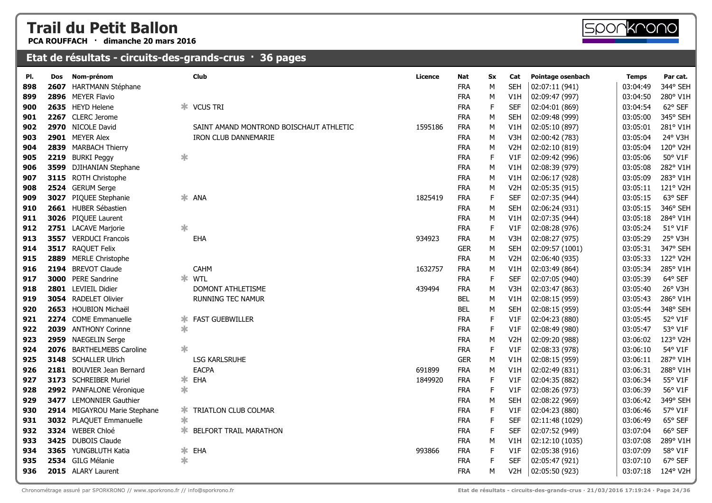**PCA ROUFFACH · dimanche 20 mars 2016**



| PI. | Dos  | Nom-prénom                   |        | Club                                    | <b>Licence</b> | Nat        | <b>Sx</b>   | Cat              | Pointage osenbach | <b>Temps</b> | Par cat. |
|-----|------|------------------------------|--------|-----------------------------------------|----------------|------------|-------------|------------------|-------------------|--------------|----------|
| 898 | 2607 | <b>HARTMANN Stéphane</b>     |        |                                         |                | <b>FRA</b> | M           | <b>SEH</b>       | 02:07:11 (941)    | 03:04:49     | 344° SEH |
| 899 |      | 2896 MEYER Flavio            |        |                                         |                | <b>FRA</b> | М           | V1H              | 02:09:47 (997)    | 03:04:50     | 280° V1H |
| 900 |      | 2635 HEYD Helene             | ж.     | <b>VCUS TRI</b>                         |                | <b>FRA</b> | $\mathsf F$ | <b>SEF</b>       | 02:04:01 (869)    | 03:04:54     | 62° SEF  |
| 901 |      | 2267 CLERC Jerome            |        |                                         |                | <b>FRA</b> | М           | <b>SEH</b>       | 02:09:48 (999)    | 03:05:00     | 345° SEH |
| 902 |      | 2970 NICOLE David            |        | SAINT AMAND MONTROND BOISCHAUT ATHLETIC | 1595186        | <b>FRA</b> | М           | V1H              | 02:05:10 (897)    | 03:05:01     | 281° V1H |
| 903 |      | 2901 MEYER Alex              |        | IRON CLUB DANNEMARIE                    |                | <b>FRA</b> | М           | V3H              | 02:00:42 (783)    | 03:05:04     | 24° V3H  |
| 904 | 2839 | <b>MARBACH Thierry</b>       |        |                                         |                | <b>FRA</b> | M           | V <sub>2</sub> H | 02:02:10 (819)    | 03:05:04     | 120° V2H |
| 905 | 2219 | <b>BURKI Peggy</b>           | $\ast$ |                                         |                | <b>FRA</b> | $\mathsf F$ | V1F              | 02:09:42 (996)    | 03:05:06     | 50° V1F  |
| 906 | 3599 | DJIHANIAN Stephane           |        |                                         |                | <b>FRA</b> | M           | V1H              | 02:08:39 (979)    | 03:05:08     | 282° V1H |
| 907 | 3115 | <b>ROTH Christophe</b>       |        |                                         |                | <b>FRA</b> | M           | V1H              | 02:06:17 (928)    | 03:05:09     | 283° V1H |
| 908 |      | 2524 GERUM Serge             |        |                                         |                | <b>FRA</b> | М           | V <sub>2</sub> H | 02:05:35 (915)    | 03:05:11     | 121° V2H |
| 909 | 3027 | PIQUEE Stephanie             | ∗      | <b>ANA</b>                              | 1825419        | <b>FRA</b> | $\mathsf F$ | <b>SEF</b>       | 02:07:35 (944)    | 03:05:15     | 63° SEF  |
| 910 |      | 2661 HUBER Sébastien         |        |                                         |                | <b>FRA</b> | ${\sf M}$   | <b>SEH</b>       | 02:06:24 (931)    | 03:05:15     | 346° SEH |
| 911 | 3026 | PIQUEE Laurent               |        |                                         |                | <b>FRA</b> | M           | V1H              | 02:07:35 (944)    | 03:05:18     | 284° V1H |
| 912 |      | 2751 LACAVE Marjorie         | $\ast$ |                                         |                | <b>FRA</b> | $\mathsf F$ | V1F              | 02:08:28 (976)    | 03:05:24     | 51° V1F  |
| 913 |      | 3557 VERDUCI Francois        |        | EHA                                     | 934923         | <b>FRA</b> | M           | V <sub>3</sub> H | 02:08:27 (975)    | 03:05:29     | 25° V3H  |
| 914 | 3517 | <b>RAQUET Felix</b>          |        |                                         |                | <b>GER</b> | M           | <b>SEH</b>       | 02:09:57 (1001)   | 03:05:31     | 347° SEH |
| 915 | 2889 | <b>MERLE Christophe</b>      |        |                                         |                | <b>FRA</b> | М           | V <sub>2</sub> H | 02:06:40 (935)    | 03:05:33     | 122° V2H |
| 916 |      | 2194 BREVOT Claude           |        | <b>CAHM</b>                             | 1632757        | <b>FRA</b> | M           | V1H              | 02:03:49 (864)    | 03:05:34     | 285° V1H |
| 917 | 3000 | <b>PERE Sandrine</b>         |        | $*$ WTL                                 |                | <b>FRA</b> | $\mathsf F$ | <b>SEF</b>       | 02:07:05 (940)    | 03:05:39     | 64° SEF  |
| 918 |      | 2801 LEVIEIL Didier          |        | DOMONT ATHLETISME                       | 439494         | <b>FRA</b> | M           | V3H              | 02:03:47 (863)    | 03:05:40     | 26° V3H  |
| 919 |      | 3054 RADELET Olivier         |        | RUNNING TEC NAMUR                       |                | <b>BEL</b> | M           | V1H              | 02:08:15 (959)    | 03:05:43     | 286° V1H |
| 920 | 2653 | HOUBION Michaël              |        |                                         |                | <b>BEL</b> | M           | <b>SEH</b>       | 02:08:15 (959)    | 03:05:44     | 348° SEH |
| 921 |      | 2274 COME Emmanuelle         | ∗.     | <b>FAST GUEBWILLER</b>                  |                | <b>FRA</b> | $\mathsf F$ | V1F              | 02:04:23 (880)    | 03:05:45     | 52° V1F  |
| 922 | 2039 | <b>ANTHONY Corinne</b>       | ∗      |                                         |                | <b>FRA</b> | $\mathsf F$ | V1F              | 02:08:49 (980)    | 03:05:47     | 53° V1F  |
| 923 | 2959 | <b>NAEGELIN Serge</b>        |        |                                         |                | <b>FRA</b> | ${\sf M}$   | V <sub>2</sub> H | 02:09:20 (988)    | 03:06:02     | 123° V2H |
| 924 | 2076 | <b>BARTHELMEBS Caroline</b>  | $\ast$ |                                         |                | <b>FRA</b> | $\mathsf F$ | V1F              | 02:08:33 (978)    | 03:06:10     | 54° V1F  |
| 925 |      | 3148 SCHALLER Ulrich         |        | <b>LSG KARLSRUHE</b>                    |                | <b>GER</b> | M           | V1H              | 02:08:15 (959)    | 03:06:11     | 287° V1H |
| 926 |      | 2181 BOUVIER Jean Bernard    |        | <b>EACPA</b>                            | 691899         | <b>FRA</b> | M           | V1H              | 02:02:49 (831)    | 03:06:31     | 288° V1H |
| 927 |      | 3173 SCHREIBER Muriel        | ∗      | EHA                                     | 1849920        | <b>FRA</b> | $\mathsf F$ | V1F              | 02:04:35 (882)    | 03:06:34     | 55° V1F  |
| 928 |      | 2992 PANFALONE Véronique     | ∗      |                                         |                | <b>FRA</b> | F           | V1F              | 02:08:26 (973)    | 03:06:39     | 56° V1F  |
| 929 |      | 3477 LEMONNIER Gauthier      |        |                                         |                | <b>FRA</b> | M           | <b>SEH</b>       | 02:08:22 (969)    | 03:06:42     | 349° SEH |
| 930 |      | 2914 MIGAYROU Marie Stephane | ∗      | TRIATLON CLUB COLMAR                    |                | <b>FRA</b> | F           | V1F              | 02:04:23 (880)    | 03:06:46     | 57° V1F  |
| 931 |      | 3032 PLAQUET Emmanuelle      | $\ast$ |                                         |                | <b>FRA</b> | $\mathsf F$ | <b>SEF</b>       | 02:11:48 (1029)   | 03:06:49     | 65° SEF  |
| 932 |      | 3324 WEBER Chloé             | ∗.     | <b>BELFORT TRAIL MARATHON</b>           |                | <b>FRA</b> | $\mathsf F$ | <b>SEF</b>       | 02:07:52 (949)    | 03:07:04     | 66° SEF  |
| 933 |      | 3425 DUBOIS Claude           |        |                                         |                | <b>FRA</b> | М           | V1H              | 02:12:10 (1035)   | 03:07:08     | 289° V1H |
| 934 |      | 3365 YUNGBLUTH Katia         | $\ast$ | EHA                                     | 993866         | <b>FRA</b> | $\mathsf F$ | V1F              | 02:05:38 (916)    | 03:07:09     | 58° V1F  |
| 935 |      | 2534 GILG Mélanie            | ∗      |                                         |                | <b>FRA</b> | F           | SEF              | 02:05:47 (921)    | 03:07:10     | 67° SEF  |
| 936 |      | 2015 ALARY Laurent           |        |                                         |                | <b>FRA</b> | М           | V <sub>2</sub> H | 02:05:50 (923)    | 03:07:18     | 124° V2H |
|     |      |                              |        |                                         |                |            |             |                  |                   |              |          |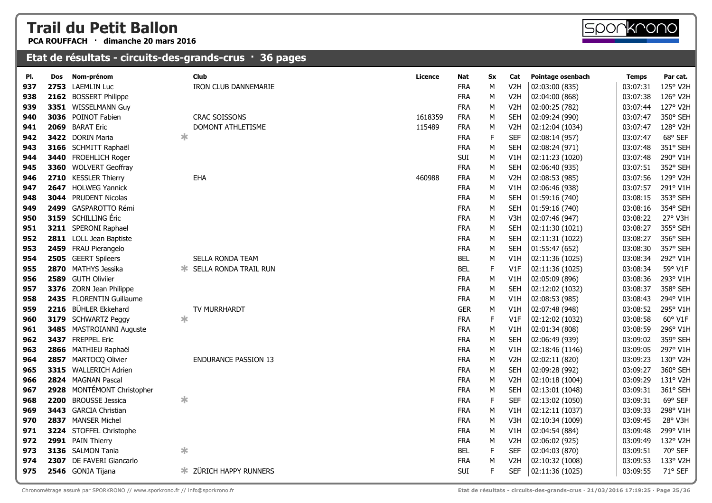**PCA ROUFFACH · dimanche 20 mars 2016**



| PI. | Dos | Nom-prénom                  |        | <b>Club</b>                 | <b>Licence</b> | Nat        | <b>Sx</b>   | Cat              | Pointage osenbach | <b>Temps</b> | Par cat. |
|-----|-----|-----------------------------|--------|-----------------------------|----------------|------------|-------------|------------------|-------------------|--------------|----------|
| 937 |     | 2753 LAEMLIN Luc            |        | <b>IRON CLUB DANNEMARIE</b> |                | <b>FRA</b> | M           | V <sub>2</sub> H | 02:03:00 (835)    | 03:07:31     | 125° V2H |
| 938 |     | 2162 BOSSERT Philippe       |        |                             |                | <b>FRA</b> | M           | V <sub>2</sub> H | 02:04:00 (868)    | 03:07:38     | 126° V2H |
| 939 |     | 3351 WISSELMANN Guy         |        |                             |                | <b>FRA</b> | M           | V <sub>2</sub> H | 02:00:25 (782)    | 03:07:44     | 127° V2H |
| 940 |     | 3036 POINOT Fabien          |        | <b>CRAC SOISSONS</b>        | 1618359        | <b>FRA</b> | M           | <b>SEH</b>       | 02:09:24 (990)    | 03:07:47     | 350° SEH |
| 941 |     | 2069 BARAT Eric             |        | DOMONT ATHLETISME           | 115489         | <b>FRA</b> | M           | V <sub>2</sub> H | 02:12:04 (1034)   | 03:07:47     | 128° V2H |
| 942 |     | 3422 DORIN Maria            | $\ast$ |                             |                | <b>FRA</b> | $\mathsf F$ | <b>SEF</b>       | 02:08:14 (957)    | 03:07:47     | 68° SEF  |
| 943 |     | 3166 SCHMITT Raphaël        |        |                             |                | <b>FRA</b> | M           | <b>SEH</b>       | 02:08:24 (971)    | 03:07:48     | 351° SEH |
| 944 |     | 3440 FROEHLICH Roger        |        |                             |                | SUI        | M           | V1H              | 02:11:23 (1020)   | 03:07:48     | 290° V1H |
| 945 |     | 3360 WOLVERT Geoffray       |        |                             |                | <b>FRA</b> | M           | <b>SEH</b>       | 02:06:40 (935)    | 03:07:51     | 352° SEH |
| 946 |     | 2710 KESSLER Thierry        |        | EHA                         | 460988         | <b>FRA</b> | M           | V <sub>2</sub> H | 02:08:53 (985)    | 03:07:56     | 129° V2H |
| 947 |     | 2647 HOLWEG Yannick         |        |                             |                | <b>FRA</b> | M           | V1H              | 02:06:46 (938)    | 03:07:57     | 291° V1H |
| 948 |     | <b>3044</b> PRUDENT Nicolas |        |                             |                | <b>FRA</b> | M           | <b>SEH</b>       | 01:59:16 (740)    | 03:08:15     | 353° SEH |
| 949 |     | 2499 GASPAROTTO Rémi        |        |                             |                | <b>FRA</b> | M           | <b>SEH</b>       | 01:59:16 (740)    | 03:08:16     | 354° SEH |
| 950 |     | 3159 SCHILLING Éric         |        |                             |                | <b>FRA</b> | M           | V3H              | 02:07:46 (947)    | 03:08:22     | 27° V3H  |
| 951 |     | 3211 SPERONI Raphael        |        |                             |                | <b>FRA</b> | M           | <b>SEH</b>       | 02:11:30 (1021)   | 03:08:27     | 355° SEH |
| 952 |     | 2811 LOLL Jean Baptiste     |        |                             |                | <b>FRA</b> | M           | <b>SEH</b>       | 02:11:31 (1022)   | 03:08:27     | 356° SEH |
| 953 |     | 2459 FRAU Pierangelo        |        |                             |                | <b>FRA</b> | M           | <b>SEH</b>       | 01:55:47 (652)    | 03:08:30     | 357° SEH |
| 954 |     | 2505 GEERT Spileers         |        | SELLA RONDA TEAM            |                | BEL        | M           | V1H              | 02:11:36 (1025)   | 03:08:34     | 292° V1H |
| 955 |     | 2870 MATHYS Jessika         |        | SELLA RONDA TRAIL RUN       |                | <b>BEL</b> | F           | V1F              | 02:11:36 (1025)   | 03:08:34     | 59° V1F  |
| 956 |     | 2589 GUTH Oliviier          |        |                             |                | <b>FRA</b> | M           | V1H              | 02:05:09 (896)    | 03:08:36     | 293° V1H |
| 957 |     | 3376 ZORN Jean Philippe     |        |                             |                | <b>FRA</b> | M           | <b>SEH</b>       | 02:12:02 (1032)   | 03:08:37     | 358° SEH |
| 958 |     | 2435 FLORENTIN Guillaume    |        |                             |                | <b>FRA</b> | M           | V1H              | 02:08:53 (985)    | 03:08:43     | 294° V1H |
| 959 |     | 2216 BÜHLER Ekkehard        |        | TV MURRHARDT                |                | <b>GER</b> | M           | V1H              | 02:07:48 (948)    | 03:08:52     | 295° V1H |
| 960 |     | 3179 SCHWARTZ Peggy         | *      |                             |                | <b>FRA</b> | $\mathsf F$ | V1F              | 02:12:02 (1032)   | 03:08:58     | 60° V1F  |
| 961 |     | 3485 MASTROIANNI Auguste    |        |                             |                | <b>FRA</b> | M           | V1H              | 02:01:34 (808)    | 03:08:59     | 296° V1H |
| 962 |     | 3437 FREPPEL Eric           |        |                             |                | <b>FRA</b> | M           | <b>SEH</b>       | 02:06:49 (939)    | 03:09:02     | 359° SEH |
| 963 |     | 2866 MATHIEU Raphaël        |        |                             |                | <b>FRA</b> | M           | V1H              | 02:18:46 (1146)   | 03:09:05     | 297° V1H |
| 964 |     | 2857 MARTOCQ Olivier        |        | <b>ENDURANCE PASSION 13</b> |                | <b>FRA</b> | M           | V <sub>2</sub> H | 02:02:11 (820)    | 03:09:23     | 130° V2H |
| 965 |     | 3315 WALLERICH Adrien       |        |                             |                | <b>FRA</b> | M           | <b>SEH</b>       | 02:09:28 (992)    | 03:09:27     | 360° SEH |
| 966 |     | 2824 MAGNAN Pascal          |        |                             |                | <b>FRA</b> | M           | V <sub>2</sub> H | 02:10:18 (1004)   | 03:09:29     | 131° V2H |
| 967 |     | 2928 MONTÉMONT Christopher  |        |                             |                | <b>FRA</b> | M           | <b>SEH</b>       | 02:13:01 (1048)   | 03:09:31     | 361° SEH |
| 968 |     | 2200 BROUSSE Jessica        | $\ast$ |                             |                | <b>FRA</b> | $\mathsf F$ | <b>SEF</b>       | 02:13:02 (1050)   | 03:09:31     | 69° SEF  |
| 969 |     | 3443 GARCIA Christian       |        |                             |                | <b>FRA</b> | M           | V1H              | 02:12:11 (1037)   | 03:09:33     | 298° V1H |
| 970 |     | 2837 MANSER Michel          |        |                             |                | <b>FRA</b> | M           | V3H              | 02:10:34 (1009)   | 03:09:45     | 28° V3H  |
| 971 |     | 3224 STOFFEL Christophe     |        |                             |                | <b>FRA</b> | M           | V1H              | 02:04:54 (884)    | 03:09:48     | 299° V1H |
| 972 |     | 2991 PAIN Thierry           |        |                             |                | <b>FRA</b> | M           | V <sub>2</sub> H | 02:06:02 (925)    | 03:09:49     | 132° V2H |
| 973 |     | 3136 SALMON Tania           | $\ast$ |                             |                | <b>BEL</b> | $\mathsf F$ | <b>SEF</b>       | 02:04:03 (870)    | 03:09:51     | 70° SEF  |
| 974 |     | 2307 DE FAVERI Giancarlo    |        |                             |                | <b>FRA</b> | M           | V <sub>2</sub> H | 02:10:32 (1008)   | 03:09:53     | 133° V2H |
| 975 |     | 2546 GONJA Tijana           |        | ZÜRICH HAPPY RUNNERS        |                | SUI        | F           | <b>SEF</b>       | 02:11:36 (1025)   | 03:09:55     | 71° SEF  |

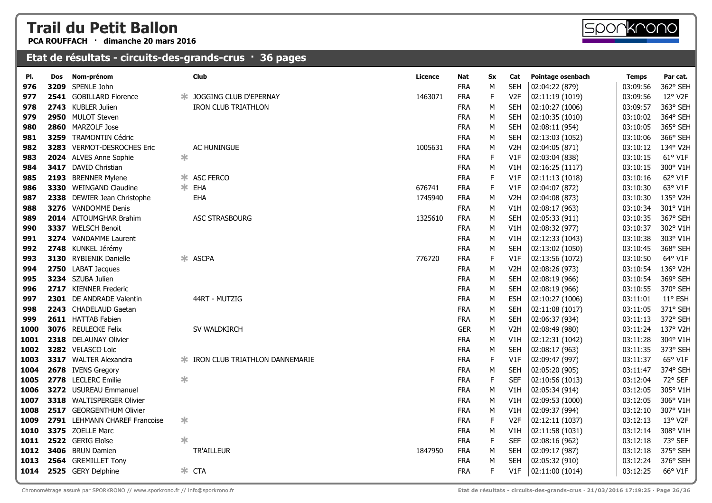**PCA ROUFFACH · dimanche 20 mars 2016**

| PI.  | Dos | Nom-prénom                    |        | Club                           | <b>Licence</b> | Nat        | Sx          | Cat              | Pointage osenbach | <b>Temps</b> | Par cat. |
|------|-----|-------------------------------|--------|--------------------------------|----------------|------------|-------------|------------------|-------------------|--------------|----------|
| 976  |     | 3209 SPENLE John              |        |                                |                | <b>FRA</b> | M           | <b>SEH</b>       | 02:04:22 (879)    | 03:09:56     | 362° SEH |
| 977  |     | 2541 GOBILLARD Florence       | ж      | JOGGING CLUB D'EPERNAY         | 1463071        | <b>FRA</b> | $\mathsf F$ | V <sub>2F</sub>  | 02:11:19 (1019)   | 03:09:56     | 12° V2F  |
| 978  |     | 2743 KUBLER Julien            |        | <b>IRON CLUB TRIATHLON</b>     |                | <b>FRA</b> | М           | <b>SEH</b>       | 02:10:27 (1006)   | 03:09:57     | 363° SEH |
| 979  |     | 2950 MULOT Steven             |        |                                |                | <b>FRA</b> | М           | <b>SEH</b>       | 02:10:35 (1010)   | 03:10:02     | 364° SEH |
| 980  |     | 2860 MARZOLF Jose             |        |                                |                | <b>FRA</b> | М           | <b>SEH</b>       | 02:08:11 (954)    | 03:10:05     | 365° SEH |
| 981  |     | 3259 TRAMONTIN Cédric         |        |                                |                | <b>FRA</b> | M           | <b>SEH</b>       | 02:13:03 (1052)   | 03:10:06     | 366° SEH |
| 982  |     | 3283 VERMOT-DESROCHES Eric    |        | AC HUNINGUE                    | 1005631        | <b>FRA</b> | M           | V <sub>2</sub> H | 02:04:05 (871)    | 03:10:12     | 134° V2H |
| 983  |     | 2024 ALVES Anne Sophie        | 氺      |                                |                | <b>FRA</b> | $\mathsf F$ | V1F              | 02:03:04 (838)    | 03:10:15     | 61° V1F  |
| 984  |     | 3417 DAVID Christian          |        |                                |                | <b>FRA</b> | М           | V1H              | 02:16:25 (1117)   | 03:10:15     | 300° V1H |
| 985  |     | 2193 BRENNER Mylene           |        | * ASC FERCO                    |                | <b>FRA</b> | F           | V1F              | 02:11:13 (1018)   | 03:10:16     | 62° V1F  |
| 986  |     | 3330 WEINGAND Claudine        |        | * EHA                          | 676741         | <b>FRA</b> | E           | V1F              | 02:04:07 (872)    | 03:10:30     | 63° V1F  |
| 987  |     | 2338 DEWIER Jean Christophe   |        | EHA                            | 1745940        | <b>FRA</b> | М           | V <sub>2</sub> H | 02:04:08 (873)    | 03:10:30     | 135° V2H |
| 988  |     | 3276 VANDOMME Denis           |        |                                |                | <b>FRA</b> | М           | V1H              | 02:08:17 (963)    | 03:10:34     | 301° V1H |
| 989  |     | 2014 AITOUMGHAR Brahim        |        | <b>ASC STRASBOURG</b>          | 1325610        | <b>FRA</b> | М           | <b>SEH</b>       | 02:05:33 (911)    | 03:10:35     | 367° SEH |
| 990  |     | 3337 WELSCH Benoit            |        |                                |                | <b>FRA</b> | М           | V1H              | 02:08:32 (977)    | 03:10:37     | 302° V1H |
| 991  |     | 3274 VANDAMME Laurent         |        |                                |                | <b>FRA</b> | M           | V1H              | 02:12:33 (1043)   | 03:10:38     | 303° V1H |
| 992  |     | 2748 KUNKEL Jérémy            |        |                                |                | <b>FRA</b> | M           | <b>SEH</b>       | 02:13:02 (1050)   | 03:10:45     | 368° SEH |
| 993  |     | <b>3130</b> RYBIENIK Danielle | ∗.     | <b>ASCPA</b>                   | 776720         | <b>FRA</b> | $\mathsf F$ | V1F              | 02:13:56 (1072)   | 03:10:50     | 64° V1F  |
| 994  |     | 2750 LABAT Jacques            |        |                                |                | <b>FRA</b> | M           | V <sub>2</sub> H | 02:08:26 (973)    | 03:10:54     | 136° V2H |
| 995  |     | 3234 SZUBA Julien             |        |                                |                | <b>FRA</b> | M           | <b>SEH</b>       | 02:08:19 (966)    | 03:10:54     | 369° SEH |
| 996  |     | 2717 KIENNER Frederic         |        |                                |                | <b>FRA</b> | М           | <b>SEH</b>       | 02:08:19 (966)    | 03:10:55     | 370° SEH |
| 997  |     | 2301 DE ANDRADE Valentin      |        | 44RT - MUTZIG                  |                | <b>FRA</b> | М           | <b>ESH</b>       | 02:10:27 (1006)   | 03:11:01     | 11° ESH  |
| 998  |     | 2243 CHADELAUD Gaetan         |        |                                |                | <b>FRA</b> | M           | <b>SEH</b>       | 02:11:08 (1017)   | 03:11:05     | 371° SEH |
| 999  |     | 2611 HATTAB Fabien            |        |                                |                | <b>FRA</b> | M           | <b>SEH</b>       | 02:06:37 (934)    | 03:11:13     | 372° SEH |
| 1000 |     | 3076 REULECKE Felix           |        | SV WALDKIRCH                   |                | <b>GER</b> | М           | V <sub>2</sub> H | 02:08:49 (980)    | 03:11:24     | 137° V2H |
| 1001 |     | 2318 DELAUNAY Olivier         |        |                                |                | <b>FRA</b> | М           | V1H              | 02:12:31 (1042)   | 03:11:28     | 304° V1H |
| 1002 |     | 3282 VELASCO Loic             |        |                                |                | <b>FRA</b> | М           | <b>SEH</b>       | 02:08:17 (963)    | 03:11:35     | 373° SEH |
| 1003 |     | 3317 WALTER Alexandra         | Ж.     | IRON CLUB TRIATHLON DANNEMARIE |                | <b>FRA</b> | E           | V1F              | 02:09:47 (997)    | 03:11:37     | 65° V1F  |
| 1004 |     | 2678 IVENS Gregory            |        |                                |                | <b>FRA</b> | M           | <b>SEH</b>       | 02:05:20 (905)    | 03:11:47     | 374° SEH |
| 1005 |     | 2778 LECLERC Emilie           | $\ast$ |                                |                | <b>FRA</b> | $\mathsf F$ | <b>SEF</b>       | 02:10:56 (1013)   | 03:12:04     | 72° SEF  |
| 1006 |     | 3272 USUREAU Emmanuel         |        |                                |                | <b>FRA</b> | M           | V1H              | 02:05:34 (914)    | 03:12:05     | 305° V1H |
| 1007 |     | 3318 WALTISPERGER Olivier     |        |                                |                | <b>FRA</b> | М           | V1H              | 02:09:53 (1000)   | 03:12:05     | 306° V1H |
| 1008 |     | 2517 GEORGENTHUM Olivier      |        |                                |                | <b>FRA</b> | М           | V1H              | 02:09:37 (994)    | 03:12:10     | 307° V1H |
| 1009 |     | 2791 LEHMANN CHAREF Francoise | $\ast$ |                                |                | <b>FRA</b> | F           | V2F              | 02:12:11 (1037)   | 03:12:13     | 13° V2F  |
| 1010 |     | 3375 ZOELLE Marc              |        |                                |                | <b>FRA</b> | М           | V1H              | 02:11:58 (1031)   | 03:12:14     | 308° V1H |
| 1011 |     | 2522 GERIG Eloïse             | $\ast$ |                                |                | <b>FRA</b> | $\mathsf F$ | <b>SEF</b>       | 02:08:16 (962)    | 03:12:18     | 73° SEF  |
| 1012 |     | 3406 BRUN Damien              |        | TR'AILLEUR                     | 1847950        | <b>FRA</b> | М           | <b>SEH</b>       | 02:09:17 (987)    | 03:12:18     | 375° SEH |
| 1013 |     | 2564 GREMILLET Tony           |        |                                |                | <b>FRA</b> | M           | <b>SEH</b>       | 02:05:32 (910)    | 03:12:24     | 376° SEH |
| 1014 |     | 2525 GERY Delphine            |        | $*$ CTA                        |                | <b>FRA</b> | F.          | V1F              | 02:11:00 (1014)   | 03:12:25     | 66° V1F  |
|      |     |                               |        |                                |                |            |             |                  |                   |              |          |

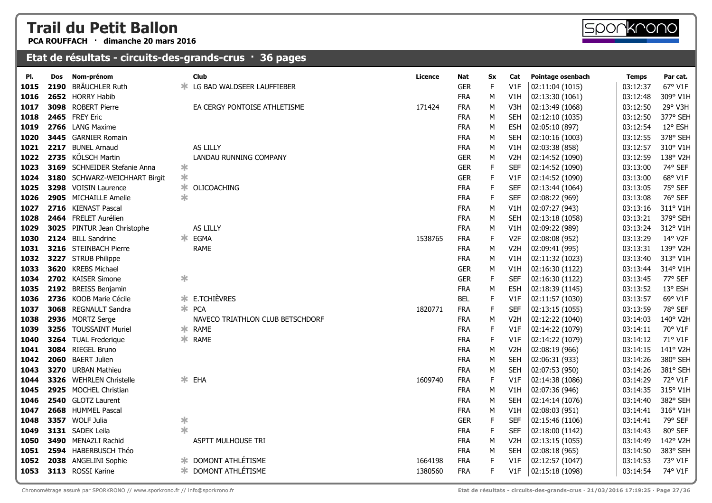**PCA ROUFFACH · dimanche 20 mars 2016**

| PI.  | Dos | Nom-prénom                    |        | Club                             | Licence | Nat        | Sx          | Cat              | Pointage osenbach | <b>Temps</b> | Par cat. |
|------|-----|-------------------------------|--------|----------------------------------|---------|------------|-------------|------------------|-------------------|--------------|----------|
| 1015 |     | 2190 BRÄUCHLER Ruth           |        | LG BAD WALDSEER LAUFFIEBER       |         | <b>GER</b> | F           | V1F              | 02:11:04 (1015)   | 03:12:37     | 67° V1F  |
| 1016 |     | 2652 HORRY Habib              |        |                                  |         | <b>FRA</b> | М           | V1H              | 02:13:30 (1061)   | 03:12:48     | 309° V1H |
| 1017 |     | 3098 ROBERT Pierre            |        | EA CERGY PONTOISE ATHLETISME     | 171424  | <b>FRA</b> | M           | V3H              | 02:13:49 (1068)   | 03:12:50     | 29° V3H  |
| 1018 |     | 2465 FREY Eric                |        |                                  |         | <b>FRA</b> | М           | SEH              | 02:12:10 (1035)   | 03:12:50     | 377° SEH |
| 1019 |     | 2766 LANG Maxime              |        |                                  |         | <b>FRA</b> | М           | <b>ESH</b>       | 02:05:10 (897)    | 03:12:54     | 12° ESH  |
| 1020 |     | <b>3445</b> GARNIER Romain    |        |                                  |         | <b>FRA</b> | М           | <b>SEH</b>       | 02:10:16 (1003)   | 03:12:55     | 378° SEH |
| 1021 |     | 2217 BUNEL Arnaud             |        | AS LILLY                         |         | <b>FRA</b> | M           | V1H              | 02:03:38 (858)    | 03:12:57     | 310° V1H |
| 1022 |     | 2735 KÖLSCH Martin            |        | LANDAU RUNNING COMPANY           |         | <b>GER</b> | M           | V <sub>2</sub> H | 02:14:52 (1090)   | 03:12:59     | 138° V2H |
| 1023 |     | 3169 SCHNEIDER Stefanie Anna  | $\ast$ |                                  |         | <b>GER</b> | $\mathsf F$ | <b>SEF</b>       | 02:14:52 (1090)   | 03:13:00     | 74° SEF  |
| 1024 |     | 3180 SCHWARZ-WEICHHART Birgit | $\ast$ |                                  |         | <b>GER</b> | F           | V1F              | 02:14:52 (1090)   | 03:13:00     | 68° V1F  |
| 1025 |     | 3298 VOISIN Laurence          | ∗      | OLICOACHING                      |         | <b>FRA</b> | F           | <b>SEF</b>       | 02:13:44 (1064)   | 03:13:05     | 75° SEF  |
| 1026 |     | 2905 MICHAILLE Amelie         | $\ast$ |                                  |         | <b>FRA</b> | F           | <b>SEF</b>       | 02:08:22 (969)    | 03:13:08     | 76° SEF  |
| 1027 |     | 2716 KIENAST Pascal           |        |                                  |         | <b>FRA</b> | М           | V1H              | 02:07:27 (943)    | 03:13:16     | 311° V1H |
| 1028 |     | 2464 FRELET Aurélien          |        |                                  |         | <b>FRA</b> | M           | <b>SEH</b>       | 02:13:18 (1058)   | 03:13:21     | 379° SEH |
| 1029 |     | 3025 PINTUR Jean Christophe   |        | AS LILLY                         |         | <b>FRA</b> | M           | V1H              | 02:09:22 (989)    | 03:13:24     | 312° V1H |
| 1030 |     | 2124 BILL Sandrine            |        | * EGMA                           | 1538765 | <b>FRA</b> | F           | V <sub>2F</sub>  | 02:08:08 (952)    | 03:13:29     | 14° V2F  |
| 1031 |     | 3216 STEINBACH Pierre         |        | <b>RAME</b>                      |         | <b>FRA</b> | M           | V <sub>2</sub> H | 02:09:41 (995)    | 03:13:31     | 139° V2H |
| 1032 |     | 3227 STRUB Philippe           |        |                                  |         | <b>FRA</b> | М           | V1H              | 02:11:32 (1023)   | 03:13:40     | 313° V1H |
| 1033 |     | <b>3620</b> KREBS Michael     |        |                                  |         | <b>GER</b> | М           | V1H              | 02:16:30 (1122)   | 03:13:44     | 314° V1H |
| 1034 |     | 2702 KAISER Simone            | ∗      |                                  |         | <b>GER</b> | F           | <b>SEF</b>       | 02:16:30 (1122)   | 03:13:45     | 77° SEF  |
| 1035 |     | 2192 BREISS Benjamin          |        |                                  |         | <b>FRA</b> | М           | ESH              | 02:18:39 (1145)   | 03:13:52     | 13° ESH  |
| 1036 |     | 2736 KOOB Marie Cécile        |        | <b>* E.TCHIÈVRES</b>             |         | <b>BEL</b> | F           | V1F              | 02:11:57 (1030)   | 03:13:57     | 69° V1F  |
| 1037 |     | 3068 REGNAULT Sandra          |        | * PCA                            | 1820771 | <b>FRA</b> | $\mathsf F$ | <b>SEF</b>       | 02:13:15 (1055)   | 03:13:59     | 78° SEF  |
| 1038 |     | 2936 MORTZ Serge              |        | NAVECO TRIATHLON CLUB BETSCHDORF |         | <b>FRA</b> | М           | V <sub>2</sub> H | 02:12:22 (1040)   | 03:14:03     | 140° V2H |
| 1039 |     | 3256 TOUSSAINT Muriel         |        | * RAME                           |         | <b>FRA</b> | F.          | V1F              | 02:14:22 (1079)   | 03:14:11     | 70° V1F  |
| 1040 |     | 3264 TUAL Frederique          |        | * RAME                           |         | <b>FRA</b> | F           | V1F              | 02:14:22 (1079)   | 03:14:12     | 71° V1F  |
| 1041 |     | 3084 RIEGEL Bruno             |        |                                  |         | <b>FRA</b> | М           | V2H              | 02:08:19 (966)    | 03:14:15     | 141° V2H |
| 1042 |     | 2060 BAERT Julien             |        |                                  |         | <b>FRA</b> | M           | <b>SEH</b>       | 02:06:31 (933)    | 03:14:26     | 380° SEH |
| 1043 |     | 3270 URBAN Mathieu            |        |                                  |         | <b>FRA</b> | M           | <b>SEH</b>       | 02:07:53 (950)    | 03:14:26     | 381° SEH |
| 1044 |     | 3326 WEHRLEN Christelle       |        | $*$ EHA                          | 1609740 | <b>FRA</b> | F           | V1F              | 02:14:38 (1086)   | 03:14:29     | 72° V1F  |
| 1045 |     | 2925 MOCHEL Christian         |        |                                  |         | <b>FRA</b> | M           | V1H              | 02:07:36 (946)    | 03:14:35     | 315° V1H |
| 1046 |     | 2540 GLOTZ Laurent            |        |                                  |         | <b>FRA</b> | М           | <b>SEH</b>       | 02:14:14 (1076)   | 03:14:40     | 382° SEH |
| 1047 |     | 2668 HUMMEL Pascal            |        |                                  |         | <b>FRA</b> | М           | V1H              | 02:08:03 (951)    | 03:14:41     | 316° V1H |
| 1048 |     | 3357 WOLF Julia               | ∗      |                                  |         | <b>GER</b> | F           | <b>SEF</b>       | 02:15:46 (1106)   | 03:14:41     | 79° SEF  |
| 1049 |     | 3131 SADEK Leila              | $\ast$ |                                  |         | <b>FRA</b> | F           | <b>SEF</b>       | 02:18:00 (1142)   | 03:14:43     | 80° SEF  |
| 1050 |     | 3490 MENAZLI Rachid           |        | ASPTT MULHOUSE TRI               |         | <b>FRA</b> | M           | V <sub>2</sub> H | 02:13:15 (1055)   | 03:14:49     | 142° V2H |
| 1051 |     | 2594 HABERBUSCH Théo          |        |                                  |         | <b>FRA</b> | М           | <b>SEH</b>       | 02:08:18 (965)    | 03:14:50     | 383° SEH |
| 1052 |     | 2038 ANGELINI Sophie          |        | <b>DOMONT ATHLÉTISME</b>         | 1664198 | <b>FRA</b> | F.          | V1F              | 02:12:57 (1047)   | 03:14:53     | 73° V1F  |
| 1053 |     | 3113 ROSSI Karine             |        | * DOMONT ATHLÉTISME              | 1380560 | <b>FRA</b> | F           | V1F              | 02:15:18 (1098)   | 03:14:54     | 74° V1F  |
|      |     |                               |        |                                  |         |            |             |                  |                   |              |          |

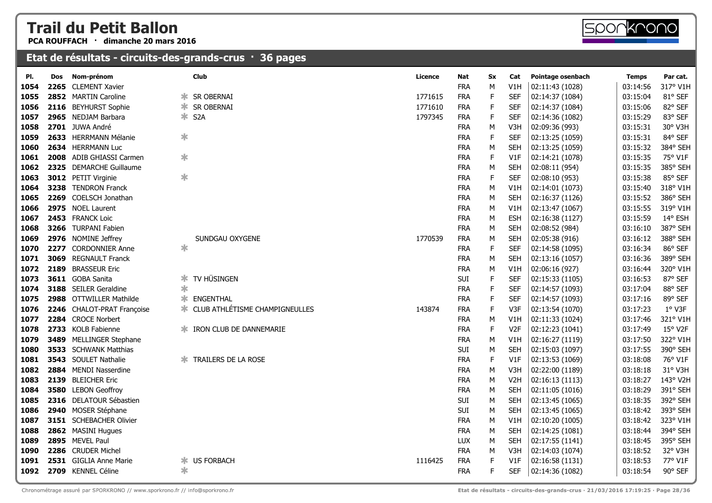**PCA ROUFFACH · dimanche 20 mars 2016**



#### **Etat de résultats - circuits-des-grands-crus · 36 pages**

| PI.  | <b>Dos</b> | Nom-prénom                 |        | <b>Club</b>                             | Licence | Nat        | Sx | Cat              | Pointage osenbach | <b>Temps</b> | Par cat. |
|------|------------|----------------------------|--------|-----------------------------------------|---------|------------|----|------------------|-------------------|--------------|----------|
| 1054 |            | 2265 CLEMENT Xavier        |        |                                         |         | <b>FRA</b> | M  | V1H              | 02:11:43 (1028)   | 03:14:56     | 317° V1H |
| 1055 |            | 2852 MARTIN Caroline       | ∗      | SR OBERNAI                              | 1771615 | <b>FRA</b> | F. | <b>SEF</b>       | 02:14:37 (1084)   | 03:15:04     | 81° SEF  |
| 1056 |            | 2116 BEYHURST Sophie       | ∗.     | SR OBERNAI                              | 1771610 | <b>FRA</b> | F. | <b>SEF</b>       | 02:14:37 (1084)   | 03:15:06     | 82° SEF  |
| 1057 |            | 2965 NEDJAM Barbara        |        | * S2A                                   | 1797345 | <b>FRA</b> | F. | <b>SEF</b>       | 02:14:36 (1082)   | 03:15:29     | 83° SEF  |
| 1058 |            | 2701 JUWA André            |        |                                         |         | <b>FRA</b> | М  | V3H              | 02:09:36 (993)    | 03:15:31     | 30° V3H  |
| 1059 |            | 2633 HERRMANN Mélanie      | ∗      |                                         |         | <b>FRA</b> | E  | <b>SEF</b>       | 02:13:25 (1059)   | 03:15:31     | 84° SEF  |
| 1060 |            | 2634 HERRMANN Luc          |        |                                         |         | <b>FRA</b> | M  | <b>SEH</b>       | 02:13:25 (1059)   | 03:15:32     | 384° SEH |
| 1061 |            | 2008 ADIB GHIASSI Carmen   | ∗      |                                         |         | <b>FRA</b> | F. | V1F              | 02:14:21 (1078)   | 03:15:35     | 75° V1F  |
| 1062 |            | 2325 DEMARCHE Guillaume    |        |                                         |         | <b>FRA</b> | M  | <b>SEH</b>       | 02:08:11 (954)    | 03:15:35     | 385° SEH |
| 1063 |            | 3012 PETIT Virginie        | $\ast$ |                                         |         | <b>FRA</b> | F  | <b>SEF</b>       | 02:08:10 (953)    | 03:15:38     | 85° SEF  |
| 1064 |            | 3238 TENDRON Franck        |        |                                         |         | <b>FRA</b> | M  | V1H              | 02:14:01 (1073)   | 03:15:40     | 318° V1H |
| 1065 |            | 2269 COELSCH Jonathan      |        |                                         |         | <b>FRA</b> | M  | <b>SEH</b>       | 02:16:37 (1126)   | 03:15:52     | 386° SEH |
| 1066 |            | 2975 NOEL Laurent          |        |                                         |         | <b>FRA</b> | М  | V1H              | 02:13:47 (1067)   | 03:15:55     | 319° V1H |
| 1067 |            | 2453 FRANCK Loic           |        |                                         |         | <b>FRA</b> | M  | <b>ESH</b>       | 02:16:38 (1127)   | 03:15:59     | 14° ESH  |
| 1068 |            | 3266 TURPANI Fabien        |        |                                         |         | <b>FRA</b> | M  | <b>SEH</b>       | 02:08:52 (984)    | 03:16:10     | 387° SEH |
| 1069 |            | 2976 NOMINE Jeffrey        |        | SUNDGAU OXYGENE                         | 1770539 | <b>FRA</b> | М  | <b>SEH</b>       | 02:05:38 (916)    | 03:16:12     | 388° SEH |
| 1070 |            | 2277 CORDONNIER Anne       | ∗      |                                         |         | <b>FRA</b> | F  | <b>SEF</b>       | 02:14:58 (1095)   | 03:16:34     | 86° SEF  |
| 1071 |            | 3069 REGNAULT Franck       |        |                                         |         | <b>FRA</b> | M  | <b>SEH</b>       | 02:13:16 (1057)   | 03:16:36     | 389° SEH |
| 1072 |            | 2189 BRASSEUR Eric         |        |                                         |         | <b>FRA</b> | M  | V1H              | 02:06:16 (927)    | 03:16:44     | 320° V1H |
| 1073 |            | 3611 GOBA Sanita           | ∗      | TV HÜSINGEN                             |         | SUI        | F. | <b>SEF</b>       | 02:15:33 (1105)   | 03:16:53     | 87° SEF  |
| 1074 |            | 3188 SEILER Geraldine      | $\ast$ |                                         |         | <b>FRA</b> | F. | <b>SEF</b>       | 02:14:57 (1093)   | 03:17:04     | 88° SEF  |
| 1075 |            | 2988 OTTWILLER Mathilde    | ж      | ENGENTHAL                               |         | <b>FRA</b> | F  | <b>SEF</b>       | 02:14:57 (1093)   | 03:17:16     | 89° SEF  |
| 1076 |            | 2246 CHALOT-PRAT Françoise |        | <b>* CLUB ATHLÉTISME CHAMPIGNEULLES</b> | 143874  | <b>FRA</b> | F  | V3F              | 02:13:54 (1070)   | 03:17:23     | 1° V3F   |
| 1077 |            | 2284 CROCE Norbert         |        |                                         |         | <b>FRA</b> | M  | V1H              | 02:11:33 (1024)   | 03:17:46     | 321° V1H |
| 1078 |            | 2733 KOLB Fabienne         |        | IRON CLUB DE DANNEMARIE                 |         | <b>FRA</b> | F  | V <sub>2F</sub>  | 02:12:23 (1041)   | 03:17:49     | 15° V2F  |
| 1079 |            | 3489 MELLINGER Stephane    |        |                                         |         | <b>FRA</b> | M  | V1H              | 02:16:27 (1119)   | 03:17:50     | 322° V1H |
| 1080 |            | 3533 SCHWANK Matthias      |        |                                         |         | SUI        | M  | <b>SEH</b>       | 02:15:03 (1097)   | 03:17:55     | 390° SEH |
| 1081 |            | 3543 SOULET Nathalie       |        | TRAILERS DE LA ROSE                     |         | <b>FRA</b> | F  | V1F              | 02:13:53 (1069)   | 03:18:08     | 76° V1F  |
| 1082 |            | 2884 MENDI Nasserdine      |        |                                         |         | <b>FRA</b> | M  | V3H              | 02:22:00 (1189)   | 03:18:18     | 31° V3H  |
| 1083 |            | 2139 BLEICHER Eric         |        |                                         |         | <b>FRA</b> | M  | V <sub>2</sub> H | 02:16:13 (1113)   | 03:18:27     | 143° V2H |
| 1084 |            | 3580 LEBON Geoffroy        |        |                                         |         | <b>FRA</b> | М  | <b>SEH</b>       | 02:11:05 (1016)   | 03:18:29     | 391° SEH |
| 1085 |            | 2316 DELATOUR Sébastien    |        |                                         |         | SUI        | M  | <b>SEH</b>       | 02:13:45 (1065)   | 03:18:35     | 392° SEH |
| 1086 |            | 2940 MOSER Stéphane        |        |                                         |         | SUI        | М  | <b>SEH</b>       | 02:13:45 (1065)   | 03:18:42     | 393° SEH |
| 1087 |            | 3151 SCHEBACHER Olivier    |        |                                         |         | <b>FRA</b> | M  | V1H              | 02:10:20 (1005)   | 03:18:42     | 323° V1H |
| 1088 |            | 2862 MASINI Hugues         |        |                                         |         | <b>FRA</b> | M  | <b>SEH</b>       | 02:14:25 (1081)   | 03:18:44     | 394° SEH |
| 1089 |            | 2895 MEVEL Paul            |        |                                         |         | LUX        | M  | <b>SEH</b>       | 02:17:55 (1141)   | 03:18:45     | 395° SEH |
| 1090 |            | 2286 CRUDER Michel         |        |                                         |         | <b>FRA</b> | M  | V3H              | 02:14:03 (1074)   | 03:18:52     | 32° V3H  |
| 1091 |            | 2531 GIGLIA Anne Marie     | ∗      | <b>US FORBACH</b>                       | 1116425 | <b>FRA</b> | F  | V1F              | 02:16:58 (1131)   | 03:18:53     | 77° V1F  |
| 1092 |            | 2709 KENNEL Céline         | ∗      |                                         |         | <b>FRA</b> | F  | <b>SEF</b>       | 02:14:36 (1082)   | 03:18:54     | 90° SEF  |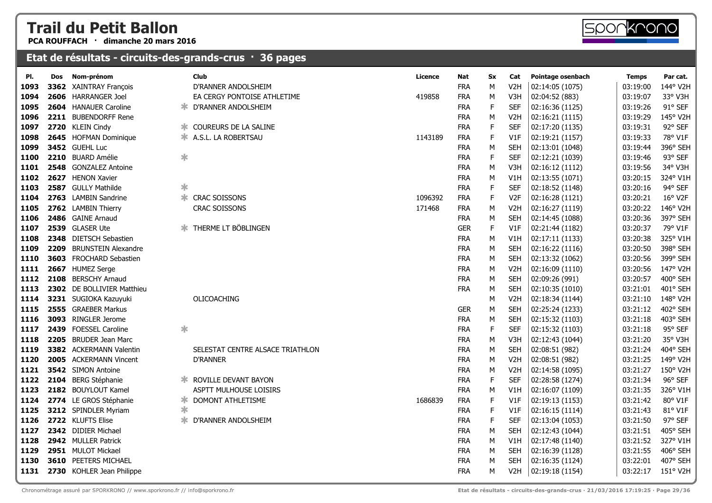**PCA ROUFFACH · dimanche 20 mars 2016**

#### **Etat de résultats - circuits-des-grands-crus · 36 pages**

**2604** HANAUER Caroline **DEALL SEE ANDOLSHEIM 1096 2211** BUBENDORFF Rene

 **<sup>2720</sup>** KLEIN Cindy COUREURS DE LA SALINE ✱

| 1098 |      | 2645 HOFMAN Dominique       |        | <b>* A.S.L. LA ROBERTSAU</b>     | 1143189 | <b>FRA</b> | F  | V1F              | 02:19:21 (1157) | 03:19:33 | 78° V1F        |
|------|------|-----------------------------|--------|----------------------------------|---------|------------|----|------------------|-----------------|----------|----------------|
| 1099 |      | 3452 GUEHL Luc              |        |                                  |         | <b>FRA</b> | м  | <b>SEH</b>       | 02:13:01 (1048) | 03:19:44 | 396° SEH       |
| 1100 |      | 2210 BUARD Amélie           | $\ast$ |                                  |         | <b>FRA</b> | F  | <b>SEF</b>       | 02:12:21 (1039) | 03:19:46 | 93° SEF        |
| 1101 |      | 2548 GONZALEZ Antoine       |        |                                  |         | <b>FRA</b> | М  | V3H              | 02:16:12 (1112) | 03:19:56 | 34° V3H        |
| 1102 | 2627 | <b>HENON Xavier</b>         |        |                                  |         | <b>FRA</b> | м  | V1H              | 02:13:55 (1071) | 03:20:15 | 324° V1H       |
| 1103 |      | 2587 GULLY Mathilde         | $\ast$ |                                  |         | <b>FRA</b> | F  | <b>SEF</b>       | 02:18:52 (1148) | 03:20:16 | 94° SEF        |
| 1104 |      | 2763 LAMBIN Sandrine        | ∗      | <b>CRAC SOISSONS</b>             | 1096392 | <b>FRA</b> | F  | V <sub>2F</sub>  | 02:16:28 (1121) | 03:20:21 | 16° V2F        |
| 1105 |      | 2762 LAMBIN Thierry         |        | <b>CRAC SOISSONS</b>             | 171468  | <b>FRA</b> | м  | V <sub>2</sub> H | 02:16:27 (1119) | 03:20:22 | 146° V2H       |
| 1106 |      | 2486 GAINE Arnaud           |        |                                  |         | <b>FRA</b> | М  | <b>SEH</b>       | 02:14:45 (1088) | 03:20:36 | 397° SEH       |
| 1107 |      | 2539 GLASER Ute             |        | <b>* THERME LT BÖBLINGEN</b>     |         | <b>GER</b> | F. | V1F              | 02:21:44 (1182) | 03:20:37 | 79° V1F        |
| 1108 | 2348 | <b>DIETSCH Sebastien</b>    |        |                                  |         | <b>FRA</b> | M  | V1H              | 02:17:11 (1133) | 03:20:38 | 325° V1H       |
| 1109 | 2209 | <b>BRUNSTEIN Alexandre</b>  |        |                                  |         | <b>FRA</b> | М  | <b>SEH</b>       | 02:16:22 (1116) | 03:20:50 | 398° SEH       |
| 1110 | 3603 | <b>FROCHARD Sebastien</b>   |        |                                  |         | <b>FRA</b> | М  | <b>SEH</b>       | 02:13:32 (1062) | 03:20:56 | 399° SEH       |
| 1111 | 2667 | <b>HUMEZ Serge</b>          |        |                                  |         | <b>FRA</b> | м  | V <sub>2</sub> H | 02:16:09 (1110) | 03:20:56 | 147° V2H       |
| 1112 | 2108 | <b>BERSCHY Arnaud</b>       |        |                                  |         | <b>FRA</b> | М  | <b>SEH</b>       | 02:09:26 (991)  | 03:20:57 | 400° SEH       |
| 1113 |      | 2302 DE BOLLIVIER Matthieu  |        |                                  |         | <b>FRA</b> | М  | <b>SEH</b>       | 02:10:35 (1010) | 03:21:01 | 401° SEH       |
| 1114 |      | 3231 SUGIOKA Kazuyuki       |        | OLICOACHING                      |         |            | M  | V <sub>2</sub> H | 02:18:34 (1144) | 03:21:10 | 148° V2H       |
| 1115 |      | 2555 GRAEBER Markus         |        |                                  |         | <b>GER</b> | М  | <b>SEH</b>       | 02:25:24 (1233) | 03:21:12 | 402° SEH       |
| 1116 | 3093 | <b>RINGLER Jerome</b>       |        |                                  |         | <b>FRA</b> | М  | <b>SEH</b>       | 02:15:32 (1103) | 03:21:18 | 403° SEH       |
| 1117 |      | 2439 FOESSEL Caroline       | $\ast$ |                                  |         | <b>FRA</b> | F. | <b>SEF</b>       | 02:15:32 (1103) | 03:21:18 | 95° SEF        |
| 1118 |      | 2205 BRUDER Jean Marc       |        |                                  |         | <b>FRA</b> | м  | V3H              | 02:12:43 (1044) | 03:21:20 | 35° V3H        |
| 1119 |      | 3382 ACKERMANN Valentin     |        | SELESTAT CENTRE ALSACE TRIATHLON |         | <b>FRA</b> | М  | <b>SEH</b>       | 02:08:51 (982)  | 03:21:24 | 404° SEH       |
| 1120 |      | 2005 ACKERMANN Vincent      |        | <b>D'RANNER</b>                  |         | <b>FRA</b> | М  | V <sub>2</sub> H | 02:08:51 (982)  | 03:21:25 | 149° V2H       |
| 1121 |      | 3542 SIMON Antoine          |        |                                  |         | <b>FRA</b> | М  | V <sub>2</sub> H | 02:14:58 (1095) | 03:21:27 | 150° V2H       |
| 1122 |      | 2104 BERG Stéphanie         |        | <b>* ROVILLE DEVANT BAYON</b>    |         | <b>FRA</b> | F  | <b>SEF</b>       | 02:28:58 (1274) | 03:21:34 | 96° SEF        |
| 1123 |      | 2182 BOUYLOUT Kamel         |        | ASPTT MULHOUSE LOISIRS           |         | <b>FRA</b> | М  | V1H              | 02:16:07 (1109) | 03:21:35 | 326° V1H       |
| 1124 |      | 2774 LE GROS Stéphanie      | ≭      | DOMONT ATHLETISME                | 1686839 | <b>FRA</b> | F  | V1F              | 02:19:13 (1153) | 03:21:42 | 80° V1F        |
| 1125 |      | 3212 SPINDLER Myriam        | $\ast$ |                                  |         | <b>FRA</b> | F  | V1F              | 02:16:15 (1114) | 03:21:43 | 81° V1F        |
| 1126 |      | 2722 KLUFTS Elise           | ∗      | D'RANNER ANDOLSHEIM              |         | <b>FRA</b> | F  | <b>SEF</b>       | 02:13:04 (1053) | 03:21:50 | $97^\circ$ SEF |
| 1127 |      | 2342 DIDIER Michael         |        |                                  |         | <b>FRA</b> | М  | <b>SEH</b>       | 02:12:43 (1044) | 03:21:51 | 405° SEH       |
| 1128 |      | 2942 MULLER Patrick         |        |                                  |         | <b>FRA</b> | М  | V1H              | 02:17:48 (1140) | 03:21:52 | 327° V1H       |
| 1129 |      | 2951 MULOT Mickael          |        |                                  |         | <b>FRA</b> | м  | <b>SEH</b>       | 02:16:39 (1128) | 03:21:55 | 406° SEH       |
| 1130 |      | <b>3610 PEETERS MICHAEL</b> |        |                                  |         | <b>FRA</b> | M  | <b>SEH</b>       | 02:16:35 (1124) | 03:22:01 | 407° SEH       |
| 1131 |      | 2730 KOHLER Jean Philippe   |        |                                  |         | <b>FRA</b> | М  | V <sub>2</sub> H | 02:19:18 (1154) | 03:22:17 | 151° V2H       |
|      |      |                             |        |                                  |         |            |    |                  |                 |          |                |

**Pl. Dos Nom-prénom Club Licence Nat Sx Cat Pointage osenbach Temps Par cat. <sup>3362</sup>** XAINTRAY François D'RANNER ANDOLSHEIM FRA <sup>M</sup> V2H 02:14:05 (1075) 03:19:00 144° V2H  **<sup>2606</sup>** HARRANGER Joel EA CERGY PONTOISE ATHLETIME <sup>419858</sup> FRA <sup>M</sup> V3H 02:04:52 (883) 03:19:07 33° V3H

 **<sup>2211</sup>** BUBENDORFF Rene FRA <sup>M</sup> V2H 02:16:21 (1115) 03:19:29 145° V2H

FRA <sup>F</sup> SEF 02:16:36 (1125) 03:19:26 91° SEF

FRA <sup>F</sup> SEF 02:17:20 (1135) 03:19:31 92° SEF

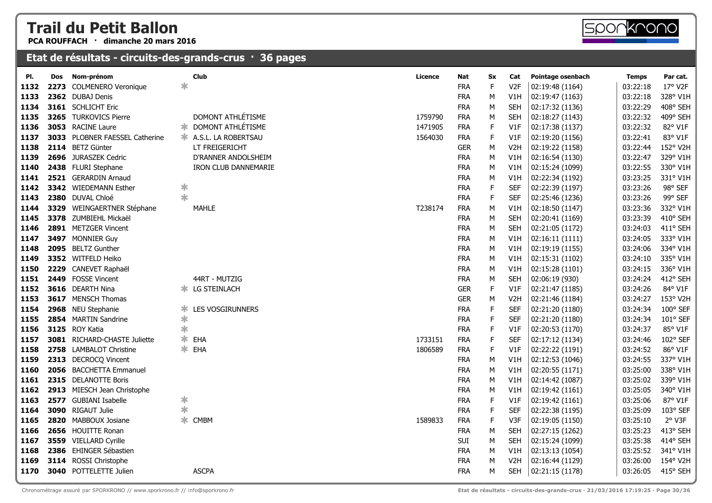**PCA ROUFFACH · dimanche 20 mars 2016**

| PI.  | Dos  | Nom-prénom                     |        | Club                              | Licence | Nat        | Sx          | Cat              | Pointage osenbach | <b>Temps</b> | Par cat.        |
|------|------|--------------------------------|--------|-----------------------------------|---------|------------|-------------|------------------|-------------------|--------------|-----------------|
| 1132 | 2273 | <b>COLMENERO Veronique</b>     | $\ast$ |                                   |         | <b>FRA</b> | F           | V <sub>2F</sub>  | 02:19:48 (1164)   | 03:22:18     | 17° V2F         |
| 1133 |      | 2362 DUBAJ Denis               |        |                                   |         | <b>FRA</b> | M           | V1H              | 02:19:47 (1163)   | 03:22:18     | 328° V1H        |
| 1134 |      | 3161 SCHLICHT Eric             |        |                                   |         | <b>FRA</b> | М           | <b>SEH</b>       | 02:17:32 (1136)   | 03:22:29     | 408° SEH        |
| 1135 |      | 3265 TURKOVICS Pierre          |        | DOMONT ATHLÉTISME                 | 1759790 | <b>FRA</b> | М           | <b>SEH</b>       | 02:18:27 (1143)   | 03:22:32     | 409° SEH        |
| 1136 |      | 3053 RACINE Laure              |        | <b>* DOMONT ATHLÉTISME</b>        | 1471905 | <b>FRA</b> | F           | V1F              | 02:17:38 (1137)   | 03:22:32     | 82° V1F         |
| 1137 |      | 3033 PLOBNER FAESSEL Catherine |        | <b>EXALGE ALS.L. LA ROBERTSAU</b> | 1564030 | <b>FRA</b> | F           | V1F              | 02:19:20 (1156)   | 03:22:41     | 83° V1F         |
| 1138 |      | 2114 BETZ Günter               |        | LT FREIGERICHT                    |         | <b>GER</b> | М           | V <sub>2</sub> H | 02:19:22 (1158)   | 03:22:44     | 152° V2H        |
| 1139 |      | 2696 JURASZEK Cedric           |        | D'RANNER ANDOLSHEIM               |         | <b>FRA</b> | М           | V1H              | 02:16:54 (1130)   | 03:22:47     | 329° V1H        |
| 1140 |      | 2438 FLURI Stephane            |        | IRON CLUB DANNEMARIE              |         | <b>FRA</b> | М           | V1H              | 02:15:24 (1099)   | 03:22:55     | 330° V1H        |
| 1141 |      | 2521 GERARDIN Arnaud           |        |                                   |         | <b>FRA</b> | М           | V1H              | 02:22:34 (1192)   | 03:23:25     | 331° V1H        |
| 1142 |      | 3342 WIEDEMANN Esther          | ∗      |                                   |         | <b>FRA</b> | F           | <b>SEF</b>       | 02:22:39 (1197)   | 03:23:26     | 98° SEF         |
| 1143 |      | 2380 DUVAL Chloé               | $\ast$ |                                   |         | <b>FRA</b> | F           | <b>SEF</b>       | 02:25:46 (1236)   | 03:23:26     | 99° SEF         |
| 1144 |      | 3329 WEINGAERTNER Stéphane     |        | <b>MAHLE</b>                      | T238174 | <b>FRA</b> | M           | V1H              | 02:18:50 (1147)   | 03:23:36     | 332° V1H        |
| 1145 |      | 3378 ZUMBIEHL Mickaël          |        |                                   |         | <b>FRA</b> | М           | <b>SEH</b>       | 02:20:41 (1169)   | 03:23:39     | 410° SEH        |
| 1146 |      | 2891 METZGER Vincent           |        |                                   |         | <b>FRA</b> | М           | <b>SEH</b>       | 02:21:05 (1172)   | 03:24:03     | 411° SEH        |
| 1147 |      | 3497 MONNIER Guy               |        |                                   |         | <b>FRA</b> | М           | V1H              | 02:16:11(1111)    | 03:24:05     | 333° V1H        |
| 1148 |      | 2095 BELTZ Gunther             |        |                                   |         | <b>FRA</b> | М           | V1H              | 02:19:19 (1155)   | 03:24:06     | 334° V1H        |
| 1149 |      | 3352 WITFELD Heiko             |        |                                   |         | <b>FRA</b> | М           | V1H              | 02:15:31 (1102)   | 03:24:10     | 335° V1H        |
| 1150 |      | 2229 CANEVET Raphaël           |        |                                   |         | <b>FRA</b> | М           | V1H              | 02:15:28 (1101)   | 03:24:15     | 336° V1H        |
| 1151 | 2449 | <b>FOSSE Vincent</b>           |        | 44RT - MUTZIG                     |         | <b>FRA</b> | М           | <b>SEH</b>       | 02:06:19 (930)    | 03:24:24     | 412° SEH        |
| 1152 |      | 3616 DEARTH Nina               |        | <b>* LG STEINLACH</b>             |         | <b>GER</b> | F           | V1F              | 02:21:47 (1185)   | 03:24:26     | 84° V1F         |
| 1153 |      | 3617 MENSCH Thomas             |        |                                   |         | <b>GER</b> | М           | V <sub>2</sub> H | 02:21:46 (1184)   | 03:24:27     | 153° V2H        |
| 1154 |      | 2968 NEU Stephanie             | Ж.     | LES VOSGIRUNNERS                  |         | <b>FRA</b> | F           | <b>SEF</b>       | 02:21:20 (1180)   | 03:24:34     | $100^\circ$ SEF |
| 1155 |      | 2854 MARTIN Sandrine           | ∗      |                                   |         | <b>FRA</b> | F           | <b>SEF</b>       | 02:21:20 (1180)   | 03:24:34     | 101° SEF        |
| 1156 |      | 3125 ROY Katia                 | $\ast$ |                                   |         | <b>FRA</b> | F           | V1F              | 02:20:53 (1170)   | 03:24:37     | 85° V1F         |
| 1157 |      | 3081 RICHARD-CHASTE Juliette   | ∗.     | EHA                               | 1733151 | <b>FRA</b> | F           | <b>SEF</b>       | 02:17:12 (1134)   | 03:24:46     | 102° SEF        |
| 1158 |      | 2758 LAMBALOT Christine        | ж.     | EHA                               | 1806589 | <b>FRA</b> | F           | V1F              | 02:22:22 (1191)   | 03:24:52     | 86° V1F         |
| 1159 |      | 2313 DECROCQ Vincent           |        |                                   |         | <b>FRA</b> | М           | V1H              | 02:12:53 (1046)   | 03:24:55     | 337° V1H        |
| 1160 |      | 2056 BACCHETTA Emmanuel        |        |                                   |         | <b>FRA</b> | М           | V1H              | 02:20:55 (1171)   | 03:25:00     | 338° V1H        |
| 1161 |      | 2315 DELANOTTE Boris           |        |                                   |         | <b>FRA</b> | M           | V1H              | 02:14:42 (1087)   | 03:25:02     | 339° V1H        |
| 1162 |      | 2913 MIESCH Jean Christophe    |        |                                   |         | <b>FRA</b> | М           | V1H              | 02:19:42 (1161)   | 03:25:05     | 340° V1H        |
| 1163 |      | 2577 GUBIANI Isabelle          | ∗      |                                   |         | <b>FRA</b> | F           | V1F              | 02:19:42 (1161)   | 03:25:06     | 87° V1F         |
| 1164 |      | 3090 RIGAUT Julie              | $\ast$ |                                   |         | <b>FRA</b> | $\mathsf F$ | <b>SEF</b>       | 02:22:38 (1195)   | 03:25:09     | 103° SEF        |
| 1165 | 2820 | <b>MABBOUX Josiane</b>         | ∗      | <b>CMBM</b>                       | 1589833 | <b>FRA</b> | F           | V3F              | 02:19:05 (1150)   | 03:25:10     | 2° V3F          |
| 1166 |      | 2656 HOUITTE Ronan             |        |                                   |         | <b>FRA</b> | М           | <b>SEH</b>       | 02:27:15 (1262)   | 03:25:23     | 413° SEH        |
| 1167 |      | 3559 VIELLARD Cyrille          |        |                                   |         | SUI        | М           | <b>SEH</b>       | 02:15:24 (1099)   | 03:25:38     | 414° SEH        |
| 1168 |      | 2386 EHINGER Sébastien         |        |                                   |         | <b>FRA</b> | М           | V1H              | 02:13:13 (1054)   | 03:25:52     | 341° V1H        |
| 1169 |      | 3114 ROSSI Christophe          |        |                                   |         | <b>FRA</b> | M           | V <sub>2</sub> H | 02:16:44 (1129)   | 03:26:00     | 154° V2H        |
| 1170 |      | <b>3040</b> POTTELETTE Julien  |        | <b>ASCPA</b>                      |         | <b>FRA</b> | M           | <b>SEH</b>       | 02:21:15 (1178)   | 03:26:05     | 415° SEH        |
|      |      |                                |        |                                   |         |            |             |                  |                   |              |                 |

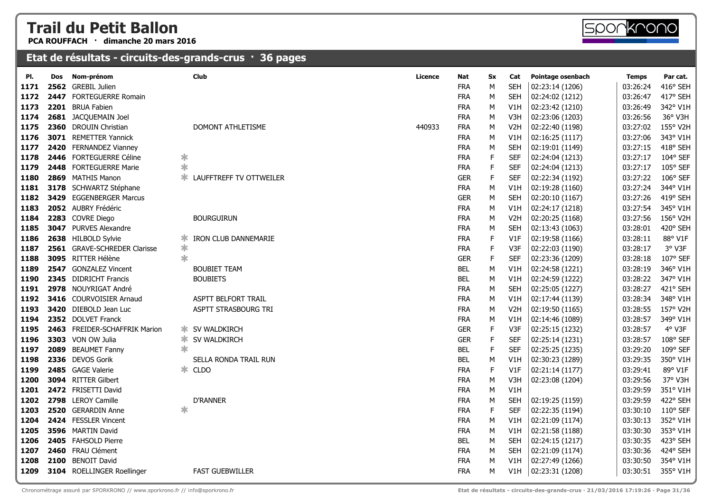**PCA ROUFFACH · dimanche 20 mars 2016**



| PI.  | Dos  | Nom-prénom                    |        | Club                            | Licence | Nat        | Sx | Cat              | Pointage osenbach | <b>Temps</b> | Par cat.          |
|------|------|-------------------------------|--------|---------------------------------|---------|------------|----|------------------|-------------------|--------------|-------------------|
| 1171 |      | 2562 GREBIL Julien            |        |                                 |         | <b>FRA</b> | м  | <b>SEH</b>       | 02:23:14 (1206)   | 03:26:24     | 416° SEH          |
| 1172 |      | 2447 FORTEGUERRE Romain       |        |                                 |         | <b>FRA</b> | М  | <b>SEH</b>       | 02:24:02 (1212)   | 03:26:47     | 417° SEH          |
| 1173 |      | 2201 BRUA Fabien              |        |                                 |         | <b>FRA</b> | М  | V1H              | 02:23:42 (1210)   | 03:26:49     | 342° V1H          |
| 1174 |      | 2681 JACQUEMAIN Joel          |        |                                 |         | <b>FRA</b> | М  | V3H              | 02:23:06 (1203)   | 03:26:56     | 36° V3H           |
| 1175 |      | 2360 DROUIN Christian         |        | DOMONT ATHLETISME               | 440933  | <b>FRA</b> | М  | V <sub>2</sub> H | 02:22:40 (1198)   | 03:27:02     | 155° V2H          |
| 1176 |      | 3071 REMETTER Yannick         |        |                                 |         | <b>FRA</b> | М  | V1H              | 02:16:25 (1117)   | 03:27:06     | 343° V1H          |
| 1177 |      | 2420 FERNANDEZ Vianney        |        |                                 |         | <b>FRA</b> | М  | <b>SEH</b>       | 02:19:01 (1149)   | 03:27:15     | 418° SEH          |
| 1178 |      | 2446 FORTEGUERRE Céline       | ∗      |                                 |         | <b>FRA</b> | F  | <b>SEF</b>       | 02:24:04 (1213)   | 03:27:17     | 104° SEF          |
| 1179 |      | 2448 FORTEGUERRE Marie        | $\ast$ |                                 |         | <b>FRA</b> | F  | <b>SEF</b>       | 02:24:04 (1213)   | 03:27:17     | 105° SEF          |
| 1180 |      | 2869 MATHIS Manon             | ж.     | LAUFFTREFF TV OTTWEILER         |         | <b>GER</b> | E  | <b>SEF</b>       | 02:22:34 (1192)   | 03:27:22     | 106° SEF          |
| 1181 |      | 3178 SCHWARTZ Stéphane        |        |                                 |         | <b>FRA</b> | М  | V1H              | 02:19:28 (1160)   | 03:27:24     | 344° V1H          |
| 1182 |      | 3429 EGGENBERGER Marcus       |        |                                 |         | <b>GER</b> | М  | <b>SEH</b>       | 02:20:10 (1167)   | 03:27:26     | 419° SEH          |
| 1183 |      | 2052 AUBRY Frédéric           |        |                                 |         | <b>FRA</b> | М  | V1H              | 02:24:17 (1218)   | 03:27:54     | 345° V1H          |
| 1184 |      | 2283 COVRE Diego              |        | <b>BOURGUIRUN</b>               |         | <b>FRA</b> | М  | V <sub>2</sub> H | 02:20:25 (1168)   | 03:27:56     | 156° V2H          |
| 1185 |      | <b>3047</b> PURVES Alexandre  |        |                                 |         | <b>FRA</b> | М  | <b>SEH</b>       | 02:13:43 (1063)   | 03:28:01     | 420° SEH          |
| 1186 |      | 2638 HILBOLD Sylvie           | ∗      | <b>IRON CLUB DANNEMARIE</b>     |         | <b>FRA</b> | F  | V1F              | 02:19:58 (1166)   | 03:28:11     | 88° V1F           |
| 1187 |      | 2561 GRAVE-SCHREDER Clarisse  | ∗      |                                 |         | <b>FRA</b> | E  | V3F              | 02:22:03 (1190)   | 03:28:17     | 3° V3F            |
| 1188 |      | 3095 RITTER Hélène            | ∗      |                                 |         | <b>GER</b> | F. | <b>SEF</b>       | 02:23:36 (1209)   | 03:28:18     | 107° SEF          |
| 1189 |      | 2547 GONZALEZ Vincent         |        | <b>BOUBIET TEAM</b>             |         | <b>BEL</b> | M  | V1H              | 02:24:58 (1221)   | 03:28:19     | 346° V1H          |
| 1190 |      | 2345 DIDRICHT Francis         |        | <b>BOUBIETS</b>                 |         | <b>BEL</b> | M  | V1H              | 02:24:59 (1222)   | 03:28:22     | 347° V1H          |
| 1191 |      | 2978 NOUYRIGAT André          |        |                                 |         | <b>FRA</b> | M  | <b>SEH</b>       | 02:25:05 (1227)   | 03:28:27     | 421° SEH          |
| 1192 |      | 3416 COURVOISIER Arnaud       |        | ASPTT BELFORT TRAIL             |         | <b>FRA</b> | М  | V1H              | 02:17:44 (1139)   | 03:28:34     | 348° V1H          |
| 1193 |      | 3420 DIEBOLD Jean Luc         |        | ASPTT STRASBOURG TRI            |         | <b>FRA</b> | М  | V <sub>2</sub> H | 02:19:50 (1165)   | 03:28:55     | 157° V2H          |
| 1194 |      | 2352 DOLVET Franck            |        |                                 |         | <b>FRA</b> | М  | V1H              | 02:14:46 (1089)   | 03:28:57     | 349° V1H          |
| 1195 |      | 2463 FREIDER-SCHAFFRIK Marion |        | <b>☀ SV WALDKIRCH</b>           |         | <b>GER</b> | F  | V3F              | 02:25:15 (1232)   | 03:28:57     | 4° V3F            |
| 1196 |      | 3303 VON OW Julia             |        | <b><del></del> SV WALDKIRCH</b> |         | <b>GER</b> | E  | <b>SEF</b>       | 02:25:14 (1231)   | 03:28:57     | 108° SEF          |
| 1197 |      | 2089 BEAUMET Fanny            | $\ast$ |                                 |         | <b>BEL</b> | F  | <b>SEF</b>       | 02:25:25 (1235)   | 03:29:20     | 109° SEF          |
| 1198 |      | 2336 DEVOS Gorik              |        | SELLA RONDA TRAIL RUN           |         | <b>BEL</b> | М  | V1H              | 02:30:23 (1289)   | 03:29:35     | 350° V1H          |
| 1199 |      | 2485 GAGE Valerie             | ж.     | <b>CLDO</b>                     |         | <b>FRA</b> | F  | V1F              | 02:21:14 (1177)   | 03:29:41     | 89° V1F           |
| 1200 |      | 3094 RITTER Gilbert           |        |                                 |         | <b>FRA</b> | М  | V3H              | 02:23:08 (1204)   | 03:29:56     | 37° V3H           |
| 1201 |      | 2472 FRISETTI David           |        |                                 |         | <b>FRA</b> | М  | V1H              |                   | 03:29:59     | 351° V1H          |
| 1202 |      | 2798 LEROY Camille            |        | <b>D'RANNER</b>                 |         | <b>FRA</b> | М  | <b>SEH</b>       | 02:19:25 (1159)   | 03:29:59     | 422° SEH          |
| 1203 |      | 2520 GERARDIN Anne            | $\ast$ |                                 |         | <b>FRA</b> | F. | <b>SEF</b>       | 02:22:35 (1194)   | 03:30:10     | $110^{\circ}$ SEF |
| 1204 |      | 2424 FESSLER Vincent          |        |                                 |         | <b>FRA</b> | М  | V1H              | 02:21:09 (1174)   | 03:30:13     | 352° V1H          |
| 1205 |      | 3596 MARTIN David             |        |                                 |         | <b>FRA</b> | М  | V1H              | 02:21:58 (1188)   | 03:30:30     | 353° V1H          |
| 1206 |      | 2405 FAHSOLD Pierre           |        |                                 |         | <b>BEL</b> | М  | <b>SEH</b>       | 02:24:15 (1217)   | 03:30:35     | 423° SEH          |
| 1207 |      | 2460 FRAU Clément             |        |                                 |         | <b>FRA</b> | М  | <b>SEH</b>       | 02:21:09 (1174)   | 03:30:36     | 424° SEH          |
| 1208 | 2100 | <b>BENOIT David</b>           |        |                                 |         | <b>FRA</b> | M  | V1H              | 02:27:49 (1266)   | 03:30:50     | 354° V1H          |
| 1209 |      | 3104 ROELLINGER Roellinger    |        | <b>FAST GUEBWILLER</b>          |         | <b>FRA</b> | M  | V1H              | 02:23:31 (1208)   | 03:30:51     | 355° V1H          |
|      |      |                               |        |                                 |         |            |    |                  |                   |              |                   |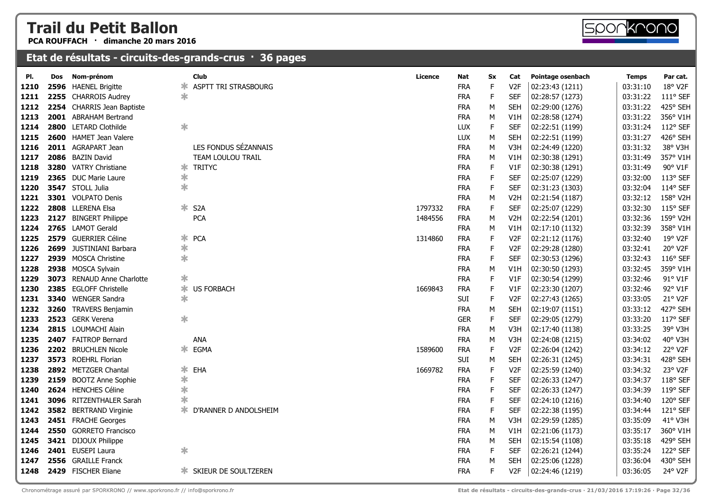**PCA ROUFFACH · dimanche 20 mars 2016**

#### **Etat de résultats - circuits-des-grands-crus · 36 pages**

| 1210 |      | 2596 HAENEL Brigitte                                                        | ∗.     | ASPTT TRI STRASBOURG  |         | <b>FRA</b> | F  | V2F              | 02:23:43 (1211)                                                                 | 03:31:10 | 18° V2F    |
|------|------|-----------------------------------------------------------------------------|--------|-----------------------|---------|------------|----|------------------|---------------------------------------------------------------------------------|----------|------------|
| 1211 |      | 2255 CHARROIS Audrey                                                        | $\ast$ |                       |         | <b>FRA</b> | E  | <b>SEF</b>       | 02:28:57 (1273)                                                                 | 03:31:22 | 111° SEF   |
| 1212 |      | 2254 CHARRIS Jean Baptiste                                                  |        |                       |         | <b>FRA</b> | M  | <b>SEH</b>       | 02:29:00 (1276)                                                                 | 03:31:22 | 425° SEH   |
| 1213 | 2001 | <b>ABRAHAM Bertrand</b>                                                     |        |                       |         | <b>FRA</b> | М  | V1H              | 02:28:58 (1274)                                                                 | 03:31:22 | 356° V1H   |
| 1214 | 2800 | <b>LETARD Clothilde</b>                                                     | $\ast$ |                       |         | <b>LUX</b> | E  | <b>SEF</b>       | 02:22:51 (1199)                                                                 | 03:31:24 | 112° SEF   |
| 1215 | 2600 | <b>HAMET Jean Valere</b>                                                    |        |                       |         | LUX        | М  | <b>SEH</b>       | 02:22:51 (1199)                                                                 | 03:31:27 | 426° SEH   |
| 1216 |      | 2011 AGRAPART Jean                                                          |        | LES FONDUS SÉZANNAIS  |         | <b>FRA</b> | M  | V <sub>3</sub> H | 02:24:49 (1220)                                                                 | 03:31:32 | 38° V3H    |
| 1217 |      | 2086 BAZIN David                                                            |        | TEAM LOULOU TRAIL     |         | <b>FRA</b> | М  | V1H              | 02:30:38 (1291)                                                                 | 03:31:49 | 357° V1H   |
| 1218 |      | 3280 VATRY Christiane                                                       | ∗.     | <b>TRITYC</b>         |         | <b>FRA</b> | E  | V1F              | 02:30:38 (1291)                                                                 | 03:31:49 | 90° V1F    |
| 1219 |      | 2365 DUC Marie Laure                                                        | ∗      |                       |         | <b>FRA</b> | F  | <b>SEF</b>       | 02:25:07 (1229)                                                                 | 03:32:00 | 113° SEF   |
| 1220 |      | 3547 STOLL Julia                                                            | $\ast$ |                       |         | <b>FRA</b> | F  | <b>SEF</b>       | 02:31:23 (1303)                                                                 | 03:32:04 | 114° SEF   |
| 1221 |      | 3301 VOLPATO Denis                                                          |        |                       |         | <b>FRA</b> | М  | V <sub>2</sub> H | 02:21:54 (1187)                                                                 | 03:32:12 | 158° V2H   |
| 1222 |      | 2808 LLERENA Elsa                                                           | ∗      | S <sub>2</sub> A      | 1797332 | <b>FRA</b> | F  | <b>SEF</b>       | 02:25:07 (1229)                                                                 | 03:32:30 | 115° SEF   |
| 1223 | 2127 | <b>BINGERT Philippe</b>                                                     |        | <b>PCA</b>            | 1484556 | <b>FRA</b> | М  | V <sub>2</sub> H | 02:22:54 (1201)                                                                 | 03:32:36 | 159° V2H   |
| 1224 |      | 2765 LAMOT Gerald                                                           |        |                       |         | <b>FRA</b> | М  | V1H              | 02:17:10 (1132)                                                                 | 03:32:39 | 358° V1H   |
| 1225 | 2579 | <b>GUERRIER Céline</b>                                                      | ∗      | <b>PCA</b>            | 1314860 | <b>FRA</b> | E  | V <sub>2F</sub>  | 02:21:12 (1176)                                                                 | 03:32:40 | 19° V2F    |
| 1226 | 2699 | <b>JUSTINIANI Barbara</b>                                                   | $\ast$ |                       |         | <b>FRA</b> | E  | V <sub>2F</sub>  | 02:29:28 (1280)                                                                 | 03:32:41 | 20° V2F    |
| 1227 | 2939 | <b>MOSCA Christine</b>                                                      | $\ast$ |                       |         | <b>FRA</b> | F  | <b>SEF</b>       | 02:30:53 (1296)                                                                 | 03:32:43 | $116°$ SEF |
| 1228 |      | 2938 MOSCA Sylvain                                                          |        |                       |         | <b>FRA</b> | М  | V1H              | 02:30:50 (1293)                                                                 | 03:32:45 | 359° V1H   |
| 1229 | 3073 | <b>RENAUD Anne Charlotte</b>                                                | $\ast$ |                       |         | <b>FRA</b> | F. | V1F              | 02:30:54 (1299)                                                                 | 03:32:46 | 91° V1F    |
| 1230 | 2385 | <b>EGLOFF Christelle</b>                                                    | ∗      | <b>US FORBACH</b>     | 1669843 | <b>FRA</b> | F  | V1F              | 02:23:30 (1207)                                                                 | 03:32:46 | 92° V1F    |
| 1231 | 3340 | <b>WENGER Sandra</b>                                                        | $\ast$ |                       |         | SUI        | F  | V <sub>2F</sub>  | 02:27:43 (1265)                                                                 | 03:33:05 | 21° V2F    |
| 1232 | 3260 | <b>TRAVERS Benjamin</b>                                                     |        |                       |         | <b>FRA</b> | М  | <b>SEH</b>       | 02:19:07 (1151)                                                                 | 03:33:12 | 427° SEH   |
| 1233 | 2523 | <b>GERK Verena</b>                                                          | $\ast$ |                       |         | <b>GER</b> | F. | <b>SEF</b>       | 02:29:05 (1279)                                                                 | 03:33:20 | 117° SEF   |
| 1234 |      | 2815 LOUMACHI Alain                                                         |        |                       |         | <b>FRA</b> | М  | V3H              | 02:17:40 (1138)                                                                 | 03:33:25 | 39° V3H    |
| 1235 |      | 2407 FAITROP Bernard                                                        |        | ANA                   |         | <b>FRA</b> | М  | V3H              | 02:24:08 (1215)                                                                 | 03:34:02 | 40° V3H    |
| 1236 |      | 2202 BRUCHLEN Nicole                                                        | ∗.     | EGMA                  | 1589600 | <b>FRA</b> | E  | V <sub>2F</sub>  | 02:26:04 (1242)                                                                 | 03:34:12 | 22° V2F    |
| 1237 |      | 3573 ROEHRL Florian                                                         |        |                       |         | SUI        | M  | <b>SEH</b>       | 02:26:31 (1245)                                                                 | 03:34:31 | 428° SEH   |
| 1238 |      | 2892 METZGER Chantal                                                        | ∗      | EHA                   | 1669782 | <b>FRA</b> | F  | V <sub>2F</sub>  | 02:25:59 (1240)                                                                 | 03:34:32 | 23° V2F    |
| 1239 |      | 2159 BOOTZ Anne Sophie                                                      | $\ast$ |                       |         | <b>FRA</b> | F  | <b>SEF</b>       | 02:26:33 (1247)                                                                 | 03:34:37 | 118° SEF   |
| 1240 |      | 2624 HENCHES Céline                                                         | $\ast$ |                       |         | <b>FRA</b> | F  | <b>SEF</b>       | 02:26:33 (1247)                                                                 | 03:34:39 | 119° SEF   |
| 1241 |      | 3096 RITZENTHALER Sarah                                                     |        |                       |         | <b>FRA</b> | E  | <b>SEF</b>       | 02:24:10 (1216)                                                                 | 03:34:40 | 120° SEF   |
| 1242 |      | 3582 BERTRAND Virginie                                                      | ∗.     | D'RANNER D ANDOLSHEIM |         | <b>FRA</b> | F  | <b>SEF</b>       | 02:22:38 (1195)                                                                 | 03:34:44 | 121° SEF   |
| 1243 |      | 2451 FRACHE Georges                                                         |        |                       |         | <b>FRA</b> | М  | V3H              | 02:29:59 (1285)                                                                 | 03:35:09 | 41° V3H    |
| 1244 |      | 2550 GORRETO Francisco                                                      |        |                       |         | <b>FRA</b> | M  | V1H              | 02:21:06 (1173)                                                                 | 03:35:17 | 360° V1H   |
| 1245 |      | 3421 DIJOUX Philippe                                                        |        |                       |         | <b>FRA</b> | М  | <b>SEH</b>       | 02:15:54 (1108)                                                                 | 03:35:18 | 429° SEH   |
| 1246 |      | 2401 EUSEPI Laura                                                           | $\ast$ |                       |         | <b>FRA</b> | F. | <b>SEF</b>       | 02:26:21 (1244)                                                                 | 03:35:24 | 122° SEF   |
| 1247 |      | 2556 GRAILLE Franck                                                         |        |                       |         | <b>FRA</b> | М  | <b>SEH</b>       | 02:25:06 (1228)                                                                 | 03:36:04 | 430° SEH   |
| 1248 |      | 2429 FISCHER Eliane                                                         |        | SKIEUR DE SOULTZEREN  |         | <b>FRA</b> | F  | V <sub>2F</sub>  | 02:24:46 (1219)                                                                 | 03:36:05 | 24° V2F    |
|      |      | Chronométrage assuré par SPORKRONO // www.sporkrono.fr // info@sporkrono.fr |        |                       |         |            |    |                  | Etat de résultats - circuits-des-grands-crus · 21/03/2016 17:19:26 · Page 32/36 |          |            |

**Pl. Dos Nom-prénom Club Licence Nat Sx Cat Pointage osenbach Temps Par cat.**

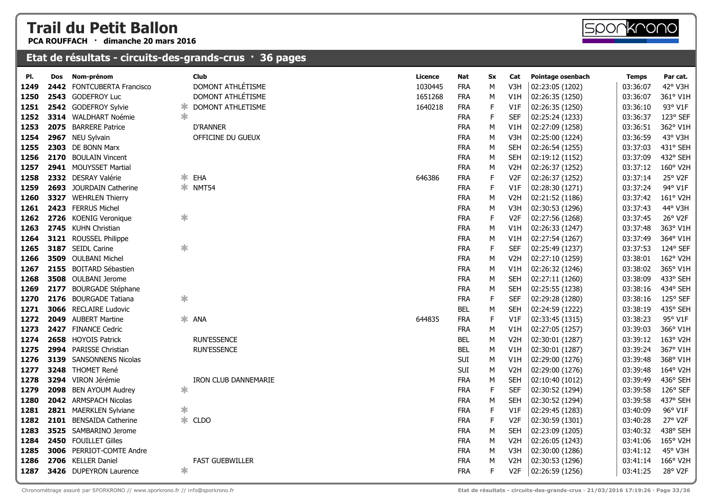**PCA ROUFFACH · dimanche 20 mars 2016**

| PI.  | Dos  | Nom-prénom                   |        | Club                        | Licence | Nat        | Sx          | Cat              | Pointage osenbach | <b>Temps</b> | Par cat. |
|------|------|------------------------------|--------|-----------------------------|---------|------------|-------------|------------------|-------------------|--------------|----------|
| 1249 |      | 2442 FONTCUBERTA Francisco   |        | DOMONT ATHLÉTISME           | 1030445 | <b>FRA</b> | М           | V3H              | 02:23:05 (1202)   | 03:36:07     | 42° V3H  |
| 1250 |      | 2543 GODEFROY Luc            |        | DOMONT ATHLÉTISME           | 1651268 | <b>FRA</b> | М           | V1H              | 02:26:35 (1250)   | 03:36:07     | 361° V1H |
| 1251 |      | 2542 GODEFROY Sylvie         | ж      | DOMONT ATHLETISME           | 1640218 | <b>FRA</b> | $\mathsf F$ | V1F              | 02:26:35 (1250)   | 03:36:10     | 93° V1F  |
| 1252 |      | 3314 WALDHART Noémie         | ∗      |                             |         | <b>FRA</b> | E           | <b>SEF</b>       | 02:25:24 (1233)   | 03:36:37     | 123° SEF |
| 1253 |      | 2075 BARRERE Patrice         |        | <b>D'RANNER</b>             |         | <b>FRA</b> | M           | V1H              | 02:27:09 (1258)   | 03:36:51     | 362° V1H |
| 1254 |      | 2967 NEU Sylvain             |        | OFFICINE DU GUEUX           |         | <b>FRA</b> | M           | V3H              | 02:25:00 (1224)   | 03:36:59     | 43° V3H  |
| 1255 |      | 2303 DE BONN Marx            |        |                             |         | <b>FRA</b> | М           | <b>SEH</b>       | 02:26:54 (1255)   | 03:37:03     | 431° SEH |
| 1256 |      | 2170 BOULAIN Vincent         |        |                             |         | <b>FRA</b> | M           | <b>SEH</b>       | 02:19:12 (1152)   | 03:37:09     | 432° SEH |
| 1257 |      | 2941 MOUYSSET Martial        |        |                             |         | <b>FRA</b> | M           | V <sub>2</sub> H | 02:26:37 (1252)   | 03:37:12     | 160° V2H |
| 1258 |      | 2332 DESRAY Valérie          | ∗.     | EHA                         | 646386  | <b>FRA</b> | F           | V <sub>2</sub> F | 02:26:37 (1252)   | 03:37:14     | 25° V2F  |
| 1259 |      | 2693 JOURDAIN Catherine      |        | * NMT54                     |         | <b>FRA</b> | E           | V1F              | 02:28:30 (1271)   | 03:37:24     | 94° V1F  |
| 1260 |      | 3327 WEHRLEN Thierry         |        |                             |         | <b>FRA</b> | M           | V <sub>2</sub> H | 02:21:52 (1186)   | 03:37:42     | 161° V2H |
| 1261 |      | 2423 FERRUS Michel           |        |                             |         | <b>FRA</b> | M           | V3H              | 02:30:53 (1296)   | 03:37:43     | 44° V3H  |
| 1262 |      | 2726 KOENIG Veronique        | $\ast$ |                             |         | <b>FRA</b> | $\mathsf F$ | V <sub>2F</sub>  | 02:27:56 (1268)   | 03:37:45     | 26° V2F  |
| 1263 |      | 2745 KUHN Christian          |        |                             |         | <b>FRA</b> | M           | V1H              | 02:26:33 (1247)   | 03:37:48     | 363° V1H |
| 1264 |      | 3121 ROUSSEL Philippe        |        |                             |         | <b>FRA</b> | М           | V1H              | 02:27:54 (1267)   | 03:37:49     | 364° V1H |
| 1265 |      | 3187 SEIDL Carine            | ∗      |                             |         | <b>FRA</b> | E           | <b>SEF</b>       | 02:25:49 (1237)   | 03:37:53     | 124° SEF |
| 1266 |      | 3509 OULBANI Michel          |        |                             |         | <b>FRA</b> | M           | V <sub>2</sub> H | 02:27:10 (1259)   | 03:38:01     | 162° V2H |
| 1267 |      | 2155 BOITARD Sébastien       |        |                             |         | <b>FRA</b> | M           | V1H              | 02:26:32 (1246)   | 03:38:02     | 365° V1H |
| 1268 |      | 3508 OULBANI Jerome          |        |                             |         | <b>FRA</b> | М           | <b>SEH</b>       | 02:27:11 (1260)   | 03:38:09     | 433° SEH |
| 1269 | 2177 | <b>BOURGADE Stéphane</b>     |        |                             |         | <b>FRA</b> | М           | <b>SEH</b>       | 02:25:55 (1238)   | 03:38:16     | 434° SEH |
| 1270 |      | 2176 BOURGADE Tatiana        | $\ast$ |                             |         | <b>FRA</b> | $\mathsf F$ | <b>SEF</b>       | 02:29:28 (1280)   | 03:38:16     | 125° SEF |
| 1271 |      | <b>3066</b> RECLAIRE Ludovic |        |                             |         | <b>BEL</b> | M           | <b>SEH</b>       | 02:24:59 (1222)   | 03:38:19     | 435° SEH |
| 1272 |      | 2049 AUBERT Martine          |        | * ANA                       | 644835  | <b>FRA</b> | $\mathsf F$ | V1F              | 02:33:45 (1315)   | 03:38:23     | 95° V1F  |
| 1273 |      | 2427 FINANCE Cedric          |        |                             |         | <b>FRA</b> | M           | V1H              | 02:27:05 (1257)   | 03:39:03     | 366° V1H |
| 1274 |      | 2658 HOYOIS Patrick          |        | <b>RUN'ESSENCE</b>          |         | <b>BEL</b> | M           | V <sub>2</sub> H | 02:30:01 (1287)   | 03:39:12     | 163° V2H |
| 1275 |      | 2994 PARISSE Christian       |        | <b>RUN'ESSENCE</b>          |         | <b>BEL</b> | М           | V1H              | 02:30:01 (1287)   | 03:39:24     | 367° V1H |
| 1276 |      | 3139 SANSONNENS Nicolas      |        |                             |         | SUI        | М           | V1H              | 02:29:00 (1276)   | 03:39:48     | 368° V1H |
| 1277 |      | 3248 THOMET René             |        |                             |         | SUI        | M           | V <sub>2</sub> H | 02:29:00 (1276)   | 03:39:48     | 164° V2H |
| 1278 |      | 3294 VIRON Jérémie           |        | <b>IRON CLUB DANNEMARIE</b> |         | <b>FRA</b> | М           | <b>SEH</b>       | 02:10:40 (1012)   | 03:39:49     | 436° SEH |
| 1279 |      | 2098 BEN AYOUM Audrey        | $\ast$ |                             |         | <b>FRA</b> | $\mathsf F$ | <b>SEF</b>       | 02:30:52 (1294)   | 03:39:58     | 126° SEF |
| 1280 |      | 2042 ARMSPACH Nicolas        |        |                             |         | <b>FRA</b> | М           | <b>SEH</b>       | 02:30:52 (1294)   | 03:39:58     | 437° SEH |
| 1281 |      | 2821 MAERKLEN Sylviane       | ∗      |                             |         | <b>FRA</b> | $\mathsf F$ | V1F              | 02:29:45 (1283)   | 03:40:09     | 96° V1F  |
| 1282 |      | 2101 BENSAIDA Catherine      | ∗.     | <b>CLDO</b>                 |         | <b>FRA</b> | $\mathsf F$ | V <sub>2F</sub>  | 02:30:59 (1301)   | 03:40:28     | 27° V2F  |
| 1283 |      | 3525 SAMBARINO Jerome        |        |                             |         | <b>FRA</b> | M           | <b>SEH</b>       | 02:23:09 (1205)   | 03:40:32     | 438° SEH |
| 1284 |      | 2450 FOUILLET Gilles         |        |                             |         | <b>FRA</b> | М           | V <sub>2</sub> H | 02:26:05 (1243)   | 03:41:06     | 165° V2H |
| 1285 |      | 3006 PERRIOT-COMTE Andre     |        |                             |         | <b>FRA</b> | М           | V3H              | 02:30:00 (1286)   | 03:41:12     | 45° V3H  |
| 1286 |      | 2706 KELLER Daniel           |        | <b>FAST GUEBWILLER</b>      |         | <b>FRA</b> | М           | V <sub>2</sub> H | 02:30:53 (1296)   | 03:41:14     | 166° V2H |
| 1287 |      | 3426 DUPEYRON Laurence       | ∗      |                             |         | <b>FRA</b> | F           | V2F              | 02:26:59 (1256)   | 03:41:25     | 28° V2F  |
|      |      |                              |        |                             |         |            |             |                  |                   |              |          |

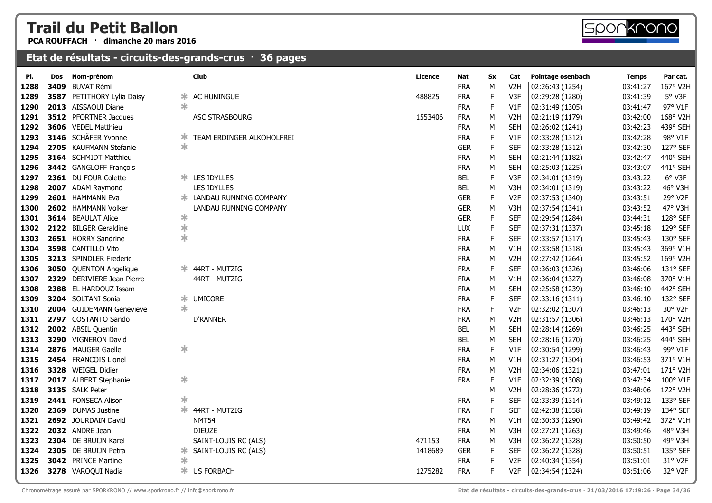**PCA ROUFFACH · dimanche 20 mars 2016**

| PI.  | <b>Dos</b> | Nom-prénom                   | Club                            | Licence | Nat        | <b>Sx</b>   | Cat              | Pointage osenbach | <b>Temps</b> | Par cat. |
|------|------------|------------------------------|---------------------------------|---------|------------|-------------|------------------|-------------------|--------------|----------|
| 1288 | 3409       | <b>BUVAT Rémi</b>            |                                 |         | <b>FRA</b> | М           | V <sub>2</sub> H | 02:26:43 (1254)   | 03:41:27     | 167° V2H |
| 1289 |            | 3587 PETITHORY Lylia Daisy   | AC HUNINGUE<br>ж                | 488825  | <b>FRA</b> | F           | V3F              | 02:29:28 (1280)   | 03:41:39     | 5° V3F   |
| 1290 |            | 2013 AISSAOUI Diane          | ж                               |         | <b>FRA</b> | $\mathsf F$ | V1F              | 02:31:49 (1305)   | 03:41:47     | 97° V1F  |
| 1291 |            | <b>3512</b> PFORTNER Jacques | <b>ASC STRASBOURG</b>           | 1553406 | <b>FRA</b> | М           | V <sub>2</sub> H | 02:21:19 (1179)   | 03:42:00     | 168° V2H |
| 1292 |            | 3606 VEDEL Matthieu          |                                 |         | <b>FRA</b> | М           | <b>SEH</b>       | 02:26:02 (1241)   | 03:42:23     | 439° SEH |
| 1293 |            | 3146 SCHÄFER Yvonne          | TEAM ERDINGER ALKOHOLFREI<br>∗  |         | <b>FRA</b> | $\mathsf F$ | V1F              | 02:33:28 (1312)   | 03:42:28     | 98° V1F  |
| 1294 |            | 2705 KAUFMANN Stefanie       | $\ast$                          |         | <b>GER</b> | F           | <b>SEF</b>       | 02:33:28 (1312)   | 03:42:30     | 127° SEF |
| 1295 |            | 3164 SCHMIDT Matthieu        |                                 |         | <b>FRA</b> | М           | <b>SEH</b>       | 02:21:44 (1182)   | 03:42:47     | 440° SEH |
| 1296 |            | 3442 GANGLOFF François       |                                 |         | <b>FRA</b> | М           | <b>SEH</b>       | 02:25:03 (1225)   | 03:43:07     | 441° SEH |
| 1297 |            | 2361 DU FOUR Colette         | <b>* LES IDYLLES</b>            |         | <b>BEL</b> | F           | V3F              | 02:34:01 (1319)   | 03:43:22     | 6° V3F   |
| 1298 |            | 2007 ADAM Raymond            | <b>LES IDYLLES</b>              |         | <b>BEL</b> | М           | V3H              | 02:34:01 (1319)   | 03:43:22     | 46° V3H  |
| 1299 |            | 2601 HAMMANN Eva             | <b>* LANDAU RUNNING COMPANY</b> |         | <b>GER</b> | F           | V <sub>2F</sub>  | 02:37:53 (1340)   | 03:43:51     | 29° V2F  |
| 1300 |            | 2602 HAMMANN Volker          | LANDAU RUNNING COMPANY          |         | <b>GER</b> | М           | V3H              | 02:37:54 (1341)   | 03:43:52     | 47° V3H  |
| 1301 |            | 3614 BEAULAT Alice           | $\ast$                          |         | <b>GER</b> | F           | <b>SEF</b>       | 02:29:54 (1284)   | 03:44:31     | 128° SEF |
| 1302 |            | 2122 BILGER Geraldine        | ∗                               |         | LUX        | F           | <b>SEF</b>       | 02:37:31 (1337)   | 03:45:18     | 129° SEF |
| 1303 |            | 2651 HORRY Sandrine          | $\ast$                          |         | <b>FRA</b> | F           | <b>SEF</b>       | 02:33:57 (1317)   | 03:45:43     | 130° SEF |
| 1304 |            | 3598 CANTILLO Vito           |                                 |         | <b>FRA</b> | М           | V1H              | 02:33:58 (1318)   | 03:45:43     | 369° V1H |
| 1305 |            | 3213 SPINDLER Frederic       |                                 |         | <b>FRA</b> | М           | V <sub>2</sub> H | 02:27:42 (1264)   | 03:45:52     | 169° V2H |
| 1306 | 3050       | <b>QUENTON Angelique</b>     | * 44RT - MUTZIG                 |         | <b>FRA</b> | F           | <b>SEF</b>       | 02:36:03 (1326)   | 03:46:06     | 131° SEF |
| 1307 | 2329       | DERIVIERE Jean Pierre        | 44RT - MUTZIG                   |         | <b>FRA</b> | М           | V1H              | 02:36:04 (1327)   | 03:46:08     | 370° V1H |
| 1308 |            | 2388 EL HARDOUZ Issam        |                                 |         | <b>FRA</b> | М           | <b>SEH</b>       | 02:25:58 (1239)   | 03:46:10     | 442° SEH |
| 1309 |            | 3204 SOLTANI Sonia           | <b>UMICORE</b><br>*             |         | <b>FRA</b> | F           | <b>SEF</b>       | 02:33:16 (1311)   | 03:46:10     | 132° SEF |
| 1310 |            | 2004 GUIDEMANN Genevieve     | ж                               |         | <b>FRA</b> | F           | V <sub>2F</sub>  | 02:32:02 (1307)   | 03:46:13     | 30° V2F  |
| 1311 |            | 2797 COSTANTO Sando          | <b>D'RANNER</b>                 |         | <b>FRA</b> | М           | V <sub>2</sub> H | 02:31:57 (1306)   | 03:46:13     | 170° V2H |
| 1312 |            | 2002 ABSIL Quentin           |                                 |         | <b>BEL</b> | М           | <b>SEH</b>       | 02:28:14 (1269)   | 03:46:25     | 443° SEH |
| 1313 |            | 3290 VIGNERON David          |                                 |         | <b>BEL</b> | М           | <b>SEH</b>       | 02:28:16 (1270)   | 03:46:25     | 444° SEH |
| 1314 |            | 2876 MAUGER Gaelle           | ∗                               |         | <b>FRA</b> | F           | V1F              | 02:30:54 (1299)   | 03:46:43     | 99° V1F  |
| 1315 |            | 2454 FRANCOIS Lionel         |                                 |         | <b>FRA</b> | М           | V1H              | 02:31:27 (1304)   | 03:46:53     | 371° V1H |
| 1316 |            | 3328 WEIGEL Didier           |                                 |         | <b>FRA</b> | М           | V <sub>2</sub> H | 02:34:06 (1321)   | 03:47:01     | 171° V2H |
| 1317 |            | 2017 ALBERT Stephanie        | $\ast$                          |         | <b>FRA</b> | F           | V1F              | 02:32:39 (1308)   | 03:47:34     | 100° V1F |
| 1318 |            | 3135 SALK Peter              |                                 |         |            | М           | V <sub>2</sub> H | 02:28:36 (1272)   | 03:48:06     | 172° V2H |
| 1319 |            | 2441 FONSECA Alison          | ∗                               |         | <b>FRA</b> | F           | <b>SEF</b>       | 02:33:39 (1314)   | 03:49:12     | 133° SEF |
| 1320 |            | 2369 DUMAS Justine           | Ж.<br>44RT - MUTZIG             |         | <b>FRA</b> | F           | <b>SEF</b>       | 02:42:38 (1358)   | 03:49:19     | 134° SEF |
| 1321 |            | 2692 JOURDAIN David          | <b>NMT54</b>                    |         | <b>FRA</b> | М           | V1H              | 02:30:33 (1290)   | 03:49:42     | 372° V1H |
| 1322 |            | 2032 ANDRE Jean              | <b>DIEUZE</b>                   |         | <b>FRA</b> | М           | V3H              | 02:27:21 (1263)   | 03:49:46     | 48° V3H  |
| 1323 |            | 2304 DE BRUIJN Karel         | SAINT-LOUIS RC (ALS)            | 471153  | <b>FRA</b> | М           | V3H              | 02:36:22 (1328)   | 03:50:50     | 49° V3H  |
| 1324 |            | 2305 DE BRUIJN Petra         | SAINT-LOUIS RC (ALS)<br>Ж.      | 1418689 | <b>GER</b> | F           | <b>SEF</b>       | 02:36:22 (1328)   | 03:50:51     | 135° SEF |
| 1325 |            | 3042 PRINCE Martine          | ∗                               |         | <b>FRA</b> | F           | V2F              | 02:40:34 (1354)   | 03:51:01     | 31° V2F  |
| 1326 |            | 3278 VAROQUI Nadia           | * US FORBACH                    | 1275282 | <b>FRA</b> | F           | V <sub>2F</sub>  | 02:34:54 (1324)   | 03:51:06     | 32° V2F  |
|      |            |                              |                                 |         |            |             |                  |                   |              |          |

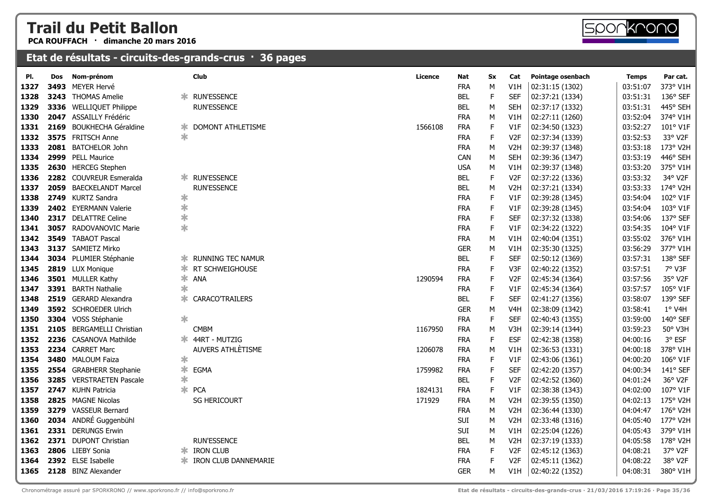**PCA ROUFFACH · dimanche 20 mars 2016**

| PI.  | Dos  | Nom-prénom                 |        | <b>Club</b>                   | Licence | Nat        | <b>Sx</b> | Cat              | Pointage osenbach | <b>Temps</b> | Par cat. |
|------|------|----------------------------|--------|-------------------------------|---------|------------|-----------|------------------|-------------------|--------------|----------|
| 1327 | 3493 | MEYER Hervé                |        |                               |         | <b>FRA</b> | M         | V1H              | 02:31:15 (1302)   | 03:51:07     | 373° V1H |
| 1328 | 3243 | <b>THOMAS Amelie</b>       |        | * RUN'ESSENCE                 |         | <b>BEL</b> | F.        | <b>SEF</b>       | 02:37:21 (1334)   | 03:51:31     | 136° SEF |
| 1329 |      | 3336 WELLIQUET Philippe    |        | <b>RUN'ESSENCE</b>            |         | <b>BEL</b> | м         | <b>SEH</b>       | 02:37:17 (1332)   | 03:51:31     | 445° SEH |
| 1330 |      | 2047 ASSAILLY Frédéric     |        |                               |         | <b>FRA</b> | M         | V <sub>1</sub> H | 02:27:11 (1260)   | 03:52:04     | 374° V1H |
| 1331 | 2169 | <b>BOUKHECHA Géraldine</b> | ж      | DOMONT ATHLETISME             | 1566108 | <b>FRA</b> | F.        | V1F              | 02:34:50 (1323)   | 03:52:27     | 101° V1F |
| 1332 | 3575 | <b>FRITSCH Anne</b>        | ∗      |                               |         | <b>FRA</b> | F         | V <sub>2F</sub>  | 02:37:34 (1339)   | 03:52:53     | 33° V2F  |
| 1333 | 2081 | <b>BATCHELOR John</b>      |        |                               |         | <b>FRA</b> | м         | V <sub>2</sub> H | 02:39:37 (1348)   | 03:53:18     | 173° V2H |
| 1334 | 2999 | <b>PELL Maurice</b>        |        |                               |         | <b>CAN</b> | М         | <b>SEH</b>       | 02:39:36 (1347)   | 03:53:19     | 446° SEH |
| 1335 |      | 2630 HERCEG Stephen        |        |                               |         | <b>USA</b> | М         | V1H              | 02:39:37 (1348)   | 03:53:20     | 375° V1H |
| 1336 |      | 2282 COUVREUR Esmeralda    | ∗.     | <b>RUN'ESSENCE</b>            |         | <b>BEL</b> | E         | V <sub>2F</sub>  | 02:37:22 (1336)   | 03:53:32     | 34° V2F  |
| 1337 | 2059 | <b>BAECKELANDT Marcel</b>  |        | <b>RUN'ESSENCE</b>            |         | <b>BEL</b> | М         | V <sub>2</sub> H | 02:37:21 (1334)   | 03:53:33     | 174° V2H |
| 1338 |      | 2749 KURTZ Sandra          | $\ast$ |                               |         | <b>FRA</b> | F         | V1F              | 02:39:28 (1345)   | 03:54:04     | 102° V1F |
| 1339 |      | 2402 EYERMANN Valerie      | $\ast$ |                               |         | <b>FRA</b> | E         | V1F              | 02:39:28 (1345)   | 03:54:04     | 103° V1F |
| 1340 | 2317 | <b>DELATTRE Celine</b>     | $\ast$ |                               |         | <b>FRA</b> | F         | <b>SEF</b>       | 02:37:32 (1338)   | 03:54:06     | 137° SEF |
| 1341 |      | 3057 RADOVANOVIC Marie     | $\ast$ |                               |         | <b>FRA</b> | F         | V1F              | 02:34:22 (1322)   | 03:54:35     | 104° V1F |
| 1342 |      | 3549 TABAOT Pascal         |        |                               |         | <b>FRA</b> | м         | V1H              | 02:40:04 (1351)   | 03:55:02     | 376° V1H |
| 1343 |      | 3137 SAMIETZ Mirko         |        |                               |         | <b>GER</b> | М         | V1H              | 02:35:30 (1325)   | 03:56:29     | 377° V1H |
| 1344 |      | 3034 PLUMIER Stéphanie     | ∗.     | <b>RUNNING TEC NAMUR</b>      |         | <b>BEL</b> | F         | <b>SEF</b>       | 02:50:12 (1369)   | 03:57:31     | 138° SEF |
| 1345 |      | 2819 LUX Monique           | ∗.     | RT SCHWEIGHOUSE               |         | <b>FRA</b> | E         | V3F              | 02:40:22 (1352)   | 03:57:51     | 7° V3F   |
| 1346 |      | 3501 MULLER Kathy          |        | * ANA                         | 1290594 | <b>FRA</b> | F         | V <sub>2F</sub>  | 02:45:34 (1364)   | 03:57:56     | 35° V2F  |
| 1347 |      | 3391 BARTH Nathalie        | $\ast$ |                               |         | <b>FRA</b> | E         | V1F              | 02:45:34 (1364)   | 03:57:57     | 105° V1F |
| 1348 |      | 2519 GERARD Alexandra      | ∗      | <b>CARACO'TRAILERS</b>        |         | <b>BEL</b> | E         | <b>SEF</b>       | 02:41:27 (1356)   | 03:58:07     | 139° SEF |
| 1349 |      | 3592 SCHROEDER Ulrich      |        |                               |         | <b>GER</b> | М         | V <sub>4</sub> H | 02:38:09 (1342)   | 03:58:41     | 1° V4H   |
| 1350 |      | 3304 VOSS Stéphanie        | $\ast$ |                               |         | <b>FRA</b> | F         | <b>SEF</b>       | 02:40:43 (1355)   | 03:59:00     | 140° SEF |
| 1351 |      | 2105 BERGAMELLI Christian  |        | <b>CMBM</b>                   | 1167950 | <b>FRA</b> | м         | V3H              | 02:39:14 (1344)   | 03:59:23     | 50° V3H  |
| 1352 |      | 2236 CASANOVA Mathilde     |        | * 44RT - MUTZIG               |         | <b>FRA</b> | E         | <b>ESF</b>       | 02:42:38 (1358)   | 04:00:16     | 3° ESF   |
| 1353 |      | 2234 CARRET Marc           |        | AUVERS ATHLÈTISME             | 1206078 | <b>FRA</b> | М         | V1H              | 02:36:53 (1331)   | 04:00:18     | 378° V1H |
| 1354 |      | 3480 MALOUM Faiza          | $\ast$ |                               |         | <b>FRA</b> | E         | V1F              | 02:43:06 (1361)   | 04:00:20     | 106° V1F |
| 1355 |      | 2554 GRABHERR Stephanie    | $\ast$ | <b>EGMA</b>                   | 1759982 | <b>FRA</b> | F         | <b>SEF</b>       | 02:42:20 (1357)   | 04:00:34     | 141° SEF |
| 1356 |      | 3285 VERSTRAETEN Pascale   | $\ast$ |                               |         | <b>BEL</b> | F         | V <sub>2F</sub>  | 02:42:52 (1360)   | 04:01:24     | 36° V2F  |
| 1357 |      | 2747 KUHN Patricia         | ∗.     | <b>PCA</b>                    | 1824131 | <b>FRA</b> | F         | V1F              | 02:38:38 (1343)   | 04:02:00     | 107° V1F |
| 1358 | 2825 | <b>MAGNE Nicolas</b>       |        | <b>SG HERICOURT</b>           | 171929  | <b>FRA</b> | M         | V <sub>2</sub> H | 02:39:55 (1350)   | 04:02:13     | 175° V2H |
| 1359 |      | 3279 VASSEUR Bernard       |        |                               |         | <b>FRA</b> | М         | V <sub>2</sub> H | 02:36:44 (1330)   | 04:04:47     | 176° V2H |
| 1360 |      | 2034 ANDRÉ Guggenbühl      |        |                               |         | <b>SUI</b> | М         | V <sub>2</sub> H | 02:33:48 (1316)   | 04:05:40     | 177° V2H |
| 1361 |      | 2331 DERUNGS Erwin         |        |                               |         | <b>SUI</b> | М         | V1H              | 02:25:04 (1226)   | 04:05:43     | 379° V1H |
| 1362 |      | 2371 DUPONT Christian      |        | <b>RUN'ESSENCE</b>            |         | <b>BEL</b> | м         | V <sub>2</sub> H | 02:37:19 (1333)   | 04:05:58     | 178° V2H |
| 1363 |      | 2806 LIEBY Sonia           |        | <b>* IRON CLUB</b>            |         | <b>FRA</b> | F         | V <sub>2F</sub>  | 02:45:12 (1363)   | 04:08:21     | 37° V2F  |
| 1364 |      | 2392 ELSE Isabelle         |        | <b>* IRON CLUB DANNEMARIE</b> |         | <b>FRA</b> | F         | V <sub>2F</sub>  | 02:45:11 (1362)   | 04:08:22     | 38° V2F  |
| 1365 |      | 2128 BINZ Alexander        |        |                               |         | <b>GER</b> | M         | V1H              | 02:40:22 (1352)   | 04:08:31     | 380° V1H |